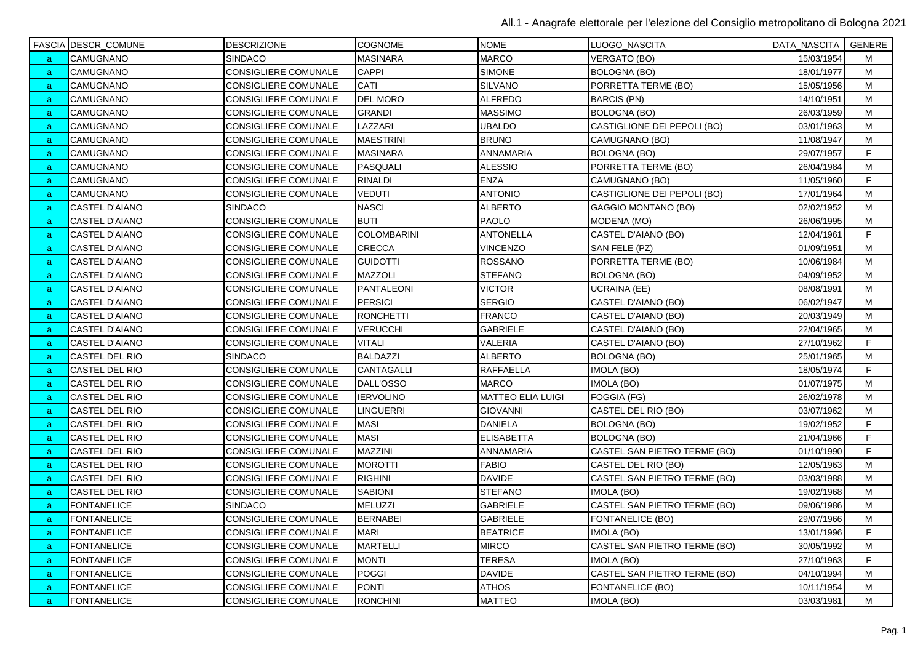|    | FASCIA DESCR_COMUNE   | <b>DESCRIZIONE</b>          | <b>COGNOME</b>     | <b>NOME</b>              | LUOGO_NASCITA                | DATA_NASCITA   GENERE |   |
|----|-----------------------|-----------------------------|--------------------|--------------------------|------------------------------|-----------------------|---|
| a. | CAMUGNANO             | <b>SINDACO</b>              | <b>MASINARA</b>    | <b>MARCO</b>             | <b>VERGATO (BO)</b>          | 15/03/1954            | м |
| a  | CAMUGNANO             | CONSIGLIERE COMUNALE        | CAPPI              | <b>SIMONE</b>            | <b>BOLOGNA (BO)</b>          | 18/01/1977            | м |
| a  | CAMUGNANO             | CONSIGLIERE COMUNALE        | CATI               | <b>SILVANO</b>           | PORRETTA TERME (BO)          | 15/05/1956            | M |
| a, | CAMUGNANO             | CONSIGLIERE COMUNALE        | DEL MORO           | <b>ALFREDO</b>           | <b>BARCIS (PN)</b>           | 14/10/1951            | M |
| a. | CAMUGNANO             | CONSIGLIERE COMUNALE        | <b>GRANDI</b>      | <b>MASSIMO</b>           | BOLOGNA (BO)                 | 26/03/1959            | M |
| a. | CAMUGNANO             | CONSIGLIERE COMUNALE        | LAZZARI            | <b>UBALDO</b>            | CASTIGLIONE DEI PEPOLI (BO)  | 03/01/1963            | M |
| a. | CAMUGNANO             | CONSIGLIERE COMUNALE        | <b>MAESTRINI</b>   | <b>BRUNO</b>             | CAMUGNANO (BO)               | 11/08/1947            | м |
| a, | CAMUGNANO             | CONSIGLIERE COMUNALE        | <b>MASINARA</b>    | ANNAMARIA                | <b>BOLOGNA (BO)</b>          | 29/07/1957            | F |
| a  | CAMUGNANO             | <b>CONSIGLIERE COMUNALE</b> | <b>PASQUALI</b>    | <b>ALESSIO</b>           | PORRETTA TERME (BO)          | 26/04/1984            | М |
| a  | CAMUGNANO             | <b>CONSIGLIERE COMUNALE</b> | <b>RINALDI</b>     | <b>ENZA</b>              | CAMUGNANO (BO)               | 11/05/1960            | F |
| a  | CAMUGNANO             | <b>CONSIGLIERE COMUNALE</b> | VEDUTI             | <b>ANTONIO</b>           | CASTIGLIONE DEI PEPOLI (BO)  | 17/01/1964            | M |
| a  | CASTEL D'AIANO        | <b>SINDACO</b>              | <b>NASCI</b>       | <b>ALBERTO</b>           | GAGGIO MONTANO (BO)          | 02/02/1952            | M |
| a, | CASTEL D'AIANO        | CONSIGLIERE COMUNALE        | <b>BUTI</b>        | <b>PAOLO</b>             | MODENA (MO)                  | 26/06/1995            | M |
| a  | CASTEL D'AIANO        | <b>CONSIGLIERE COMUNALE</b> | <b>COLOMBARINI</b> | <b>ANTONELLA</b>         | CASTEL D'AIANO (BO)          | 12/04/1961            | F |
| a. | CASTEL D'AIANO        | CONSIGLIERE COMUNALE        | <b>CRECCA</b>      | <b>VINCENZO</b>          | SAN FELE (PZ)                | 01/09/1951            | M |
| a. | <b>CASTEL D'AIANO</b> | CONSIGLIERE COMUNALE        | <b>GUIDOTTI</b>    | <b>ROSSANO</b>           | PORRETTA TERME (BO)          | 10/06/1984            | M |
| a  | CASTEL D'AIANO        | CONSIGLIERE COMUNALE        | MAZZOLI            | <b>STEFANO</b>           | <b>BOLOGNA (BO)</b>          | 04/09/1952            | M |
| a  | <b>CASTEL D'AIANO</b> | <b>CONSIGLIERE COMUNALE</b> | <b>PANTALEONI</b>  | <b>VICTOR</b>            | <b>UCRAINA (EE)</b>          | 08/08/1991            | M |
| a  | CASTEL D'AIANO        | CONSIGLIERE COMUNALE        | <b>PERSICI</b>     | <b>SERGIO</b>            | CASTEL D'AIANO (BO)          | 06/02/1947            | M |
| a. | CASTEL D'AIANO        | <b>CONSIGLIERE COMUNALE</b> | <b>RONCHETTI</b>   | <b>FRANCO</b>            | CASTEL D'AIANO (BO)          | 20/03/1949            | M |
| a, | CASTEL D'AIANO        | CONSIGLIERE COMUNALE        | <b>VERUCCHI</b>    | <b>GABRIELE</b>          | CASTEL D'AIANO (BO)          | 22/04/1965            | M |
| a, | <b>CASTEL D'AIANO</b> | CONSIGLIERE COMUNALE        | <b>VITALI</b>      | <b>VALERIA</b>           | CASTEL D'AIANO (BO)          | 27/10/1962            | F |
| a  | CASTEL DEL RIO        | <b>SINDACO</b>              | <b>BALDAZZI</b>    | <b>ALBERTO</b>           | <b>BOLOGNA (BO)</b>          | 25/01/1965            | M |
| a. | CASTEL DEL RIO        | CONSIGLIERE COMUNALE        | CANTAGALLI         | <b>RAFFAELLA</b>         | IMOLA (BO)                   | 18/05/1974            | F |
| a  | CASTEL DEL RIO        | CONSIGLIERE COMUNALE        | DALL'OSSO          | <b>MARCO</b>             | IMOLA (BO)                   | 01/07/1975            | M |
| a. | CASTEL DEL RIO        | CONSIGLIERE COMUNALE        | <b>IERVOLINO</b>   | <b>MATTEO ELIA LUIGI</b> | FOGGIA (FG)                  | 26/02/1978            | м |
| a  | CASTEL DEL RIO        | CONSIGLIERE COMUNALE        | LINGUERRI          | <b>GIOVANNI</b>          | CASTEL DEL RIO (BO)          | 03/07/1962            | M |
| a  | CASTEL DEL RIO        | <b>CONSIGLIERE COMUNALE</b> | <b>MASI</b>        | <b>DANIELA</b>           | <b>BOLOGNA (BO)</b>          | 19/02/1952            | F |
| a. | CASTEL DEL RIO        | CONSIGLIERE COMUNALE        | <b>MASI</b>        | <b>ELISABETTA</b>        | <b>BOLOGNA (BO)</b>          | 21/04/1966            | F |
| a. | CASTEL DEL RIO        | <b>CONSIGLIERE COMUNALE</b> | <b>MAZZINI</b>     | ANNAMARIA                | CASTEL SAN PIETRO TERME (BO) | 01/10/1990            | F |
| -a | CASTEL DEL RIO        | <b>CONSIGLIERE COMUNALE</b> | <b>MOROTTI</b>     | <b>FABIO</b>             | CASTEL DEL RIO (BO)          | 12/05/1963            | M |
| a  | CASTEL DEL RIO        | <b>CONSIGLIERE COMUNALE</b> | <b>RIGHINI</b>     | <b>DAVIDE</b>            | CASTEL SAN PIETRO TERME (BO) | 03/03/1988            | M |
| a  | CASTEL DEL RIO        | <b>CONSIGLIERE COMUNALE</b> | <b>SABIONI</b>     | <b>STEFANO</b>           | IMOLA (BO)                   | 19/02/1968            | M |
| a  | <b>FONTANELICE</b>    | <b>SINDACO</b>              | MELUZZI            | <b>GABRIELE</b>          | CASTEL SAN PIETRO TERME (BO) | 09/06/1986            | M |
| a  | <b>FONTANELICE</b>    | CONSIGLIERE COMUNALE        | <b>BERNABEI</b>    | <b>GABRIELE</b>          | FONTANELICE (BO)             | 29/07/1966            | М |
| a  | <b>FONTANELICE</b>    | CONSIGLIERE COMUNALE        | <b>MARI</b>        | <b>BEATRICE</b>          | IMOLA (BO)                   | 13/01/1996            | F |
| a. | <b>FONTANELICE</b>    | <b>CONSIGLIERE COMUNALE</b> | <b>MARTELLI</b>    | <b>MIRCO</b>             | CASTEL SAN PIETRO TERME (BO) | 30/05/1992            | M |
| a. | <b>FONTANELICE</b>    | CONSIGLIERE COMUNALE        | <b>MONTI</b>       | <b>TERESA</b>            | IMOLA (BO)                   | 27/10/1963            | F |
| a. | <b>FONTANELICE</b>    | CONSIGLIERE COMUNALE        | <b>POGGI</b>       | <b>DAVIDE</b>            | CASTEL SAN PIETRO TERME (BO) | 04/10/1994            | м |
| a  | <b>FONTANELICE</b>    | CONSIGLIERE COMUNALE        | <b>PONTI</b>       | <b>ATHOS</b>             | FONTANELICE (BO)             | 10/11/1954            | M |
| a. | <b>FONTANELICE</b>    | <b>CONSIGLIERE COMUNALE</b> | <b>RONCHINI</b>    | <b>MATTEO</b>            | IMOLA (BO)                   | 03/03/1981            | M |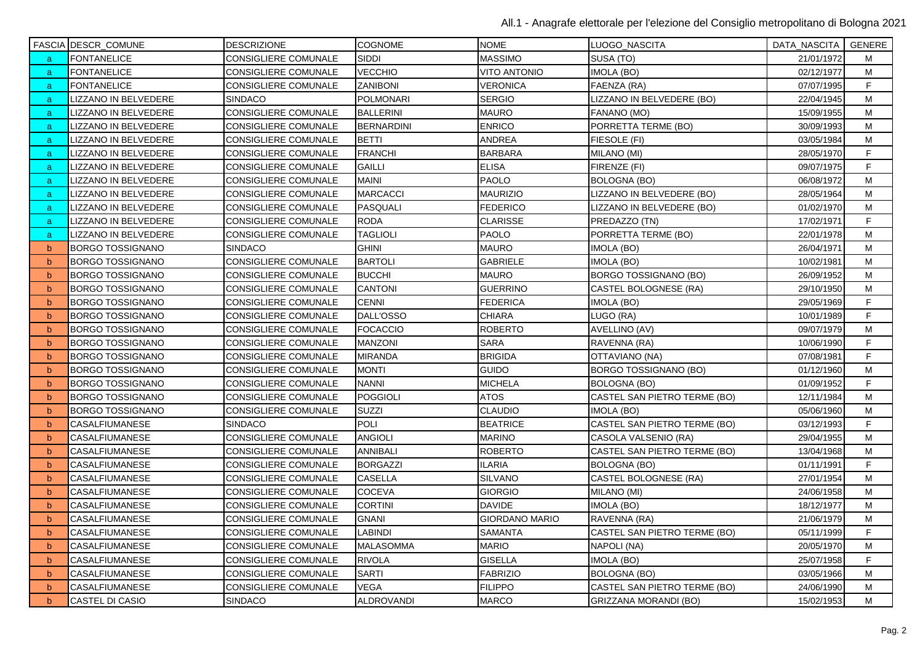|              | FASCIA DESCR_COMUNE     | <b>DESCRIZIONE</b>          | <b>COGNOME</b>    | <b>NOME</b>           | LUOGO_NASCITA                | DATA_NASCITA   GENERE |   |
|--------------|-------------------------|-----------------------------|-------------------|-----------------------|------------------------------|-----------------------|---|
| a            | <b>FONTANELICE</b>      | CONSIGLIERE COMUNALE        | <b>SIDDI</b>      | <b>MASSIMO</b>        | SUSA (TO)                    | 21/01/1972            | м |
| a            | <b>FONTANELICE</b>      | <b>CONSIGLIERE COMUNALE</b> | VECCHIO           | <b>VITO ANTONIO</b>   | IMOLA (BO)                   | 02/12/1977            | м |
| a,           | FONTANELICE             | CONSIGLIERE COMUNALE        | <b>ZANIBONI</b>   | VERONICA              | FAENZA (RA)                  | 07/07/1995            | F |
| a            | LIZZANO IN BELVEDERE    | <b>SINDACO</b>              | <b>POLMONARI</b>  | <b>SERGIO</b>         | LIZZANO IN BELVEDERE (BO)    | 22/04/1945            | M |
| a            | LIZZANO IN BELVEDERE    | <b>CONSIGLIERE COMUNALE</b> | <b>BALLERINI</b>  | <b>MAURO</b>          | FANANO (MO)                  | 15/09/1955            | M |
| a            | LIZZANO IN BELVEDERE    | <b>CONSIGLIERE COMUNALE</b> | <b>BERNARDINI</b> | <b>ENRICO</b>         | PORRETTA TERME (BO)          | 30/09/1993            | M |
| a            | LIZZANO IN BELVEDERE    | CONSIGLIERE COMUNALE        | <b>BETTI</b>      | <b>ANDREA</b>         | FIESOLE (FI)                 | 03/05/1984            | М |
| a            | LIZZANO IN BELVEDERE    | CONSIGLIERE COMUNALE        | <b>FRANCHI</b>    | <b>BARBARA</b>        | MILANO (MI)                  | 28/05/1970            | F |
| a            | LIZZANO IN BELVEDERE    | <b>CONSIGLIERE COMUNALE</b> | <b>GAILLI</b>     | <b>ELISA</b>          | FIRENZE (FI)                 | 09/07/1975            | F |
| a            | LIZZANO IN BELVEDERE    | <b>CONSIGLIERE COMUNALE</b> | <b>MAINI</b>      | <b>PAOLO</b>          | BOLOGNA (BO)                 | 06/08/1972            | М |
| a            | LIZZANO IN BELVEDERE    | CONSIGLIERE COMUNALE        | <b>MARCACCI</b>   | <b>MAURIZIO</b>       | LIZZANO IN BELVEDERE (BO)    | 28/05/1964            | M |
| a            | LIZZANO IN BELVEDERE    | <b>CONSIGLIERE COMUNALE</b> | <b>PASQUALI</b>   | <b>FEDERICO</b>       | LIZZANO IN BELVEDERE (BO)    | 01/02/1970            | M |
| a            | LIZZANO IN BELVEDERE    | CONSIGLIERE COMUNALE        | <b>RODA</b>       | <b>CLARISSE</b>       | PREDAZZO (TN)                | 17/02/1971            | F |
| a            | LIZZANO IN BELVEDERE    | <b>CONSIGLIERE COMUNALE</b> | <b>TAGLIOLI</b>   | <b>PAOLO</b>          | PORRETTA TERME (BO)          | 22/01/1978            | M |
| $\mathsf{b}$ | BORGO TOSSIGNANO        | SINDACO                     | <b>GHINI</b>      | <b>MAURO</b>          | IMOLA (BO)                   | 26/04/1971            | М |
| $\mathbf b$  | <b>BORGO TOSSIGNANO</b> | CONSIGLIERE COMUNALE        | <b>BARTOLI</b>    | <b>GABRIELE</b>       | IMOLA (BO)                   | 10/02/1981            | M |
| b            | <b>BORGO TOSSIGNANO</b> | CONSIGLIERE COMUNALE        | <b>BUCCHI</b>     | <b>MAURO</b>          | BORGO TOSSIGNANO (BO)        | 26/09/1952            | M |
| b            | <b>BORGO TOSSIGNANO</b> | <b>CONSIGLIERE COMUNALE</b> | <b>CANTONI</b>    | <b>GUERRINO</b>       | CASTEL BOLOGNESE (RA)        | 29/10/1950            | M |
| $\mathsf{b}$ | BORGO TOSSIGNANO        | <b>CONSIGLIERE COMUNALE</b> | <b>CENNI</b>      | <b>FEDERICA</b>       | IMOLA (BO)                   | 29/05/1969            | F |
| $\mathbf b$  | <b>BORGO TOSSIGNANO</b> | CONSIGLIERE COMUNALE        | DALL'OSSO         | <b>CHIARA</b>         | LUGO (RA)                    | 10/01/1989            | F |
| $\mathbf b$  | <b>BORGO TOSSIGNANO</b> | <b>CONSIGLIERE COMUNALE</b> | <b>FOCACCIO</b>   | <b>ROBERTO</b>        | AVELLINO (AV)                | 09/07/1979            | M |
| $\mathbf b$  | <b>BORGO TOSSIGNANO</b> | CONSIGLIERE COMUNALE        | MANZONI           | <b>SARA</b>           | RAVENNA (RA)                 | 10/06/1990            | F |
| $\mathsf{b}$ | <b>BORGO TOSSIGNANO</b> | <b>CONSIGLIERE COMUNALE</b> | <b>MIRANDA</b>    | <b>BRIGIDA</b>        | OTTAVIANO (NA)               | 07/08/1981            | F |
| $\mathbf b$  | BORGO TOSSIGNANO        | CONSIGLIERE COMUNALE        | <b>MONTI</b>      | <b>GUIDO</b>          | BORGO TOSSIGNANO (BO)        | 01/12/1960            | M |
| $\mathbf b$  | <b>BORGO TOSSIGNANO</b> | CONSIGLIERE COMUNALE        | <b>NANNI</b>      | <b>MICHELA</b>        | BOLOGNA (BO)                 | 01/09/1952            | F |
| b            | <b>BORGO TOSSIGNANO</b> | CONSIGLIERE COMUNALE        | <b>POGGIOLI</b>   | <b>ATOS</b>           | CASTEL SAN PIETRO TERME (BO) | 12/11/1984            | М |
| b            | <b>BORGO TOSSIGNANO</b> | <b>CONSIGLIERE COMUNALE</b> | <b>SUZZI</b>      | <b>CLAUDIO</b>        | IMOLA (BO)                   | 05/06/1960            | M |
| $\mathsf{b}$ | CASALFIUMANESE          | <b>SINDACO</b>              | <b>POLI</b>       | <b>BEATRICE</b>       | CASTEL SAN PIETRO TERME (BO) | 03/12/1993            | F |
| $\mathbf b$  | CASALFIUMANESE          | <b>CONSIGLIERE COMUNALE</b> | <b>ANGIOLI</b>    | <b>MARINO</b>         | CASOLA VALSENIO (RA)         | 29/04/1955            | M |
| $\mathbf b$  | CASALFIUMANESE          | CONSIGLIERE COMUNALE        | ANNIBALI          | <b>ROBERTO</b>        | CASTEL SAN PIETRO TERME (BO) | 13/04/1968            | М |
| $\mathbf b$  | CASALFIUMANESE          | <b>CONSIGLIERE COMUNALE</b> | <b>BORGAZZI</b>   | <b>ILARIA</b>         | <b>BOLOGNA (BO)</b>          | 01/11/1991            | F |
| $\mathsf{b}$ | CASALFIUMANESE          | <b>CONSIGLIERE COMUNALE</b> | CASELLA           | <b>SILVANO</b>        | CASTEL BOLOGNESE (RA)        | 27/01/1954            | M |
| $\mathbf b$  | CASALFIUMANESE          | CONSIGLIERE COMUNALE        | COCEVA            | <b>GIORGIO</b>        | MILANO (MI)                  | 24/06/1958            | M |
| $\mathsf{b}$ | CASALFIUMANESE          | CONSIGLIERE COMUNALE        | <b>CORTINI</b>    | <b>DAVIDE</b>         | IMOLA (BO)                   | 18/12/1977            | м |
| b            | CASALFIUMANESE          | CONSIGLIERE COMUNALE        | <b>GNANI</b>      | <b>GIORDANO MARIO</b> | RAVENNA (RA)                 | 21/06/1979            | М |
| $\mathsf{b}$ | CASALFIUMANESE          | <b>CONSIGLIERE COMUNALE</b> | <b>LABINDI</b>    | <b>SAMANTA</b>        | CASTEL SAN PIETRO TERME (BO) | 05/11/1999            | F |
| b            | CASALFIUMANESE          | <b>CONSIGLIERE COMUNALE</b> | <b>MALASOMMA</b>  | <b>MARIO</b>          | NAPOLI (NA)                  | 20/05/1970            | M |
| b            | CASALFIUMANESE          | <b>CONSIGLIERE COMUNALE</b> | <b>RIVOLA</b>     | <b>GISELLA</b>        | IMOLA (BO)                   | 25/07/1958            | F |
| $\mathbf b$  | CASALFIUMANESE          | CONSIGLIERE COMUNALE        | <b>SARTI</b>      | <b>FABRIZIO</b>       | <b>BOLOGNA (BO)</b>          | 03/05/1966            | М |
| b            | CASALFIUMANESE          | CONSIGLIERE COMUNALE        | VEGA              | <b>FILIPPO</b>        | CASTEL SAN PIETRO TERME (BO) | 24/06/1990            | М |
| $\mathsf{b}$ | <b>CASTEL DI CASIO</b>  | <b>SINDACO</b>              | <b>ALDROVANDI</b> | <b>MARCO</b>          | GRIZZANA MORANDI (BO)        | 15/02/1953            | M |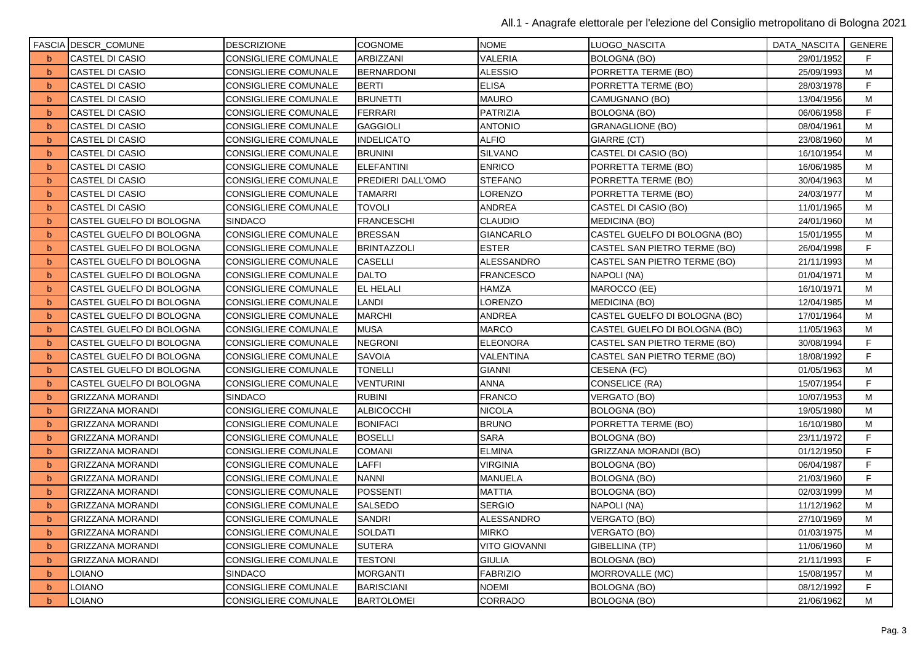|              | FASCIA DESCR_COMUNE      | <b>DESCRIZIONE</b>          | <b>COGNOME</b>     | <b>NOME</b>          | LUOGO_NASCITA                 | DATA_NASCITA   GENERE |    |
|--------------|--------------------------|-----------------------------|--------------------|----------------------|-------------------------------|-----------------------|----|
| <sub>b</sub> | CASTEL DI CASIO          | CONSIGLIERE COMUNALE        | ARBIZZANI          | <b>VALERIA</b>       | <b>BOLOGNA (BO)</b>           | 29/01/1952            | F  |
| $\mathbf b$  | <b>CASTEL DI CASIO</b>   | CONSIGLIERE COMUNALE        | <b>BERNARDONI</b>  | <b>ALESSIO</b>       | PORRETTA TERME (BO)           | 25/09/1993            | M  |
| b            | CASTEL DI CASIO          | CONSIGLIERE COMUNALE        | <b>BERTI</b>       | <b>ELISA</b>         | PORRETTA TERME (BO)           | 28/03/1978            | F  |
| b            | CASTEL DI CASIO          | CONSIGLIERE COMUNALE        | <b>BRUNETTI</b>    | <b>MAURO</b>         | CAMUGNANO (BO)                | 13/04/1956            | M  |
| b            | CASTEL DI CASIO          | CONSIGLIERE COMUNALE        | <b>FERRARI</b>     | <b>PATRIZIA</b>      | <b>BOLOGNA (BO)</b>           | 06/06/1958            | F  |
| b            | CASTEL DI CASIO          | CONSIGLIERE COMUNALE        | <b>GAGGIOLI</b>    | <b>ANTONIO</b>       | <b>GRANAGLIONE (BO)</b>       | 08/04/1961            | M  |
| b            | CASTEL DI CASIO          | CONSIGLIERE COMUNALE        | INDELICATO         | <b>ALFIO</b>         | GIARRE (CT)                   | 23/08/1960            | M  |
| b            | CASTEL DI CASIO          | CONSIGLIERE COMUNALE        | <b>BRUNINI</b>     | SILVANO              | CASTEL DI CASIO (BO)          | 16/10/1954            | M  |
| b            | CASTEL DI CASIO          | CONSIGLIERE COMUNALE        | <b>ELEFANTINI</b>  | <b>ENRICO</b>        | PORRETTA TERME (BO)           | 16/06/1985            | M  |
| b            | <b>CASTEL DI CASIO</b>   | CONSIGLIERE COMUNALE        | PREDIERI DALL'OMO  | <b>STEFANO</b>       | PORRETTA TERME (BO)           | 30/04/1963            | M  |
| $\mathbf b$  | CASTEL DI CASIO          | <b>CONSIGLIERE COMUNALE</b> | <b>TAMARRI</b>     | LORENZO              | PORRETTA TERME (BO)           | 24/03/1977            | M  |
| b            | CASTEL DI CASIO          | CONSIGLIERE COMUNALE        | TOVOLI             | ANDREA               | CASTEL DI CASIO (BO)          | 11/01/1965            | м  |
| b            | CASTEL GUELFO DI BOLOGNA | <b>SINDACO</b>              | <b>FRANCESCHI</b>  | <b>CLAUDIO</b>       | <b>MEDICINA (BO)</b>          | 24/01/1960            | M  |
| b            | CASTEL GUELFO DI BOLOGNA | CONSIGLIERE COMUNALE        | <b>BRESSAN</b>     | <b>GIANCARLO</b>     | CASTEL GUELFO DI BOLOGNA (BO) | 15/01/1955            | M  |
| b            | CASTEL GUELFO DI BOLOGNA | CONSIGLIERE COMUNALE        | <b>BRINTAZZOLI</b> | <b>ESTER</b>         | CASTEL SAN PIETRO TERME (BO)  | 26/04/1998            | F  |
| b            | CASTEL GUELFO DI BOLOGNA | CONSIGLIERE COMUNALE        | CASELLI            | ALESSANDRO           | CASTEL SAN PIETRO TERME (BO)  | 21/11/1993            | м  |
| b            | CASTEL GUELFO DI BOLOGNA | CONSIGLIERE COMUNALE        | <b>DALTO</b>       | <b>FRANCESCO</b>     | NAPOLI (NA)                   | 01/04/1971            | M  |
| b            | CASTEL GUELFO DI BOLOGNA | <b>CONSIGLIERE COMUNALE</b> | <b>EL HELALI</b>   | HAMZA                | MAROCCO (EE)                  | 16/10/1971            | M  |
| b            | CASTEL GUELFO DI BOLOGNA | CONSIGLIERE COMUNALE        | LANDI              | LORENZO              | <b>MEDICINA (BO)</b>          | 12/04/1985            | M  |
| b            | CASTEL GUELFO DI BOLOGNA | <b>CONSIGLIERE COMUNALE</b> | <b>MARCHI</b>      | ANDREA               | CASTEL GUELFO DI BOLOGNA (BO) | 17/01/1964            | M  |
| b            | CASTEL GUELFO DI BOLOGNA | CONSIGLIERE COMUNALE        | <b>MUSA</b>        | <b>MARCO</b>         | CASTEL GUELFO DI BOLOGNA (BO) | 11/05/1963            | M  |
| b            | CASTEL GUELFO DI BOLOGNA | <b>CONSIGLIERE COMUNALE</b> | <b>NEGRONI</b>     | <b>ELEONORA</b>      | CASTEL SAN PIETRO TERME (BO)  | 30/08/1994            | F  |
| b            | CASTEL GUELFO DI BOLOGNA | CONSIGLIERE COMUNALE        | SAVOIA             | VALENTINA            | CASTEL SAN PIETRO TERME (BO)  | 18/08/1992            | F  |
| b            | CASTEL GUELFO DI BOLOGNA | <b>CONSIGLIERE COMUNALE</b> | <b>TONELLI</b>     | <b>GIANNI</b>        | CESENA (FC)                   | 01/05/1963            | M  |
| b            | CASTEL GUELFO DI BOLOGNA | CONSIGLIERE COMUNALE        | VENTURINI          | ANNA                 | CONSELICE (RA)                | 15/07/1954            | F  |
| b            | <b>GRIZZANA MORANDI</b>  | <b>SINDACO</b>              | <b>RUBINI</b>      | <b>FRANCO</b>        | VERGATO (BO)                  | 10/07/1953            | M  |
| b            | <b>GRIZZANA MORANDI</b>  | CONSIGLIERE COMUNALE        | ALBICOCCHI         | <b>NICOLA</b>        | <b>BOLOGNA (BO)</b>           | 19/05/1980            | M  |
| b            | <b>GRIZZANA MORANDI</b>  | CONSIGLIERE COMUNALE        | <b>BONIFACI</b>    | <b>BRUNO</b>         | PORRETTA TERME (BO)           | 16/10/1980            | M  |
| b            | <b>GRIZZANA MORANDI</b>  | CONSIGLIERE COMUNALE        | <b>BOSELLI</b>     | <b>SARA</b>          | <b>BOLOGNA (BO)</b>           | 23/11/1972            | F  |
| $\mathbf b$  | <b>GRIZZANA MORANDI</b>  | CONSIGLIERE COMUNALE        | COMANI             | <b>ELMINA</b>        | GRIZZANA MORANDI (BO)         | 01/12/1950            | F  |
| b            | <b>GRIZZANA MORANDI</b>  | <b>CONSIGLIERE COMUNALE</b> | LAFFI              | <b>VIRGINIA</b>      | <b>BOLOGNA (BO)</b>           | 06/04/1987            | F  |
| b            | <b>GRIZZANA MORANDI</b>  | CONSIGLIERE COMUNALE        | NANNI              | <b>MANUELA</b>       | <b>BOLOGNA (BO)</b>           | 21/03/1960            | F. |
| b            | <b>GRIZZANA MORANDI</b>  | <b>CONSIGLIERE COMUNALE</b> | POSSENTI           | <b>MATTIA</b>        | <b>BOLOGNA (BO)</b>           | 02/03/1999            | M  |
| b            | <b>GRIZZANA MORANDI</b>  | CONSIGLIERE COMUNALE        | SALSEDO            | <b>SERGIO</b>        | NAPOLI (NA)                   | 11/12/1962            | м  |
| b            | GRIZZANA MORANDI         | CONSIGLIERE COMUNALE        | SANDRI             | ALESSANDRO           | VERGATO (BO)                  | 27/10/1969            | M  |
| b            | <b>GRIZZANA MORANDI</b>  | <b>CONSIGLIERE COMUNALE</b> | <b>SOLDATI</b>     | <b>MIRKO</b>         | VERGATO (BO)                  | 01/03/1975            | M  |
| b            | <b>GRIZZANA MORANDI</b>  | CONSIGLIERE COMUNALE        | <b>SUTERA</b>      | <b>VITO GIOVANNI</b> | GIBELLINA (TP)                | 11/06/1960            | M  |
| b            | <b>GRIZZANA MORANDI</b>  | CONSIGLIERE COMUNALE        | <b>TESTONI</b>     | <b>GIULIA</b>        | BOLOGNA (BO)                  | 21/11/1993            | F  |
| $\mathbf b$  | LOIANO                   | SINDACO                     | MORGANTI           | <b>FABRIZIO</b>      | MORROVALLE (MC)               | 15/08/1957            | М  |
| b            | LOIANO                   | CONSIGLIERE COMUNALE        | <b>BARISCIANI</b>  | <b>NOEMI</b>         | <b>BOLOGNA (BO)</b>           | 08/12/1992            | F  |
| b            | LOIANO                   | CONSIGLIERE COMUNALE        | <b>BARTOLOMEI</b>  | CORRADO              | <b>BOLOGNA (BO)</b>           | 21/06/1962            | M  |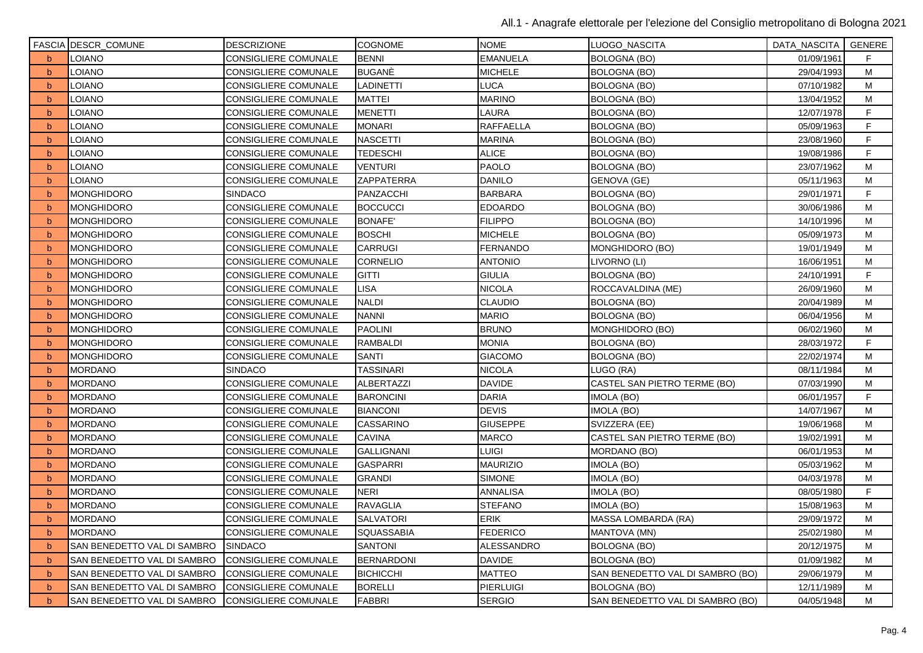|             | <b>FASCIA DESCR_COMUNE</b>  | <b>DESCRIZIONE</b>          | <b>COGNOME</b>    | <b>NOME</b>      | LUOGO_NASCITA                    | DATA_NASCITA   GENERE |    |
|-------------|-----------------------------|-----------------------------|-------------------|------------------|----------------------------------|-----------------------|----|
| b           | <b>LOIANO</b>               | CONSIGLIERE COMUNALE        | <b>BENNI</b>      | <b>EMANUELA</b>  | <b>BOLOGNA (BO)</b>              | 01/09/1961            | F. |
| b           | LOIANO                      | <b>CONSIGLIERE COMUNALE</b> | <b>BUGANE</b>     | <b>MICHELE</b>   | <b>BOLOGNA (BO)</b>              | 29/04/1993            | M  |
| $\mathbf b$ | LOIANO                      | CONSIGLIERE COMUNALE        | <b>LADINETTI</b>  | LUCA             | <b>BOLOGNA (BO)</b>              | 07/10/1982            | М  |
| b           | <b>LOIANO</b>               | <b>CONSIGLIERE COMUNALE</b> | <b>MATTEI</b>     | <b>MARINO</b>    | <b>BOLOGNA (BO)</b>              | 13/04/1952            | M  |
| $\mathbf b$ | <b>LOIANO</b>               | CONSIGLIERE COMUNALE        | <b>MENETTI</b>    | LAURA            | <b>BOLOGNA (BO)</b>              | 12/07/1978            | F  |
| b           | LOIANO                      | <b>CONSIGLIERE COMUNALE</b> | <b>MONARI</b>     | <b>RAFFAELLA</b> | <b>BOLOGNA (BO)</b>              | 05/09/1963            | F  |
| b           | LOIANO                      | <b>CONSIGLIERE COMUNALE</b> | <b>NASCETTI</b>   | <b>MARINA</b>    | <b>BOLOGNA (BO)</b>              | 23/08/1960            | F. |
| b           | LOIANO                      | CONSIGLIERE COMUNALE        | <b>TEDESCHI</b>   | <b>ALICE</b>     | <b>BOLOGNA (BO)</b>              | 19/08/1986            | F  |
| b           | LOIANO                      | <b>CONSIGLIERE COMUNALE</b> | <b>VENTURI</b>    | <b>PAOLO</b>     | <b>BOLOGNA (BO)</b>              | 23/07/1962            | M  |
| b           | <b>LOIANO</b>               | <b>CONSIGLIERE COMUNALE</b> | ZAPPATERRA        | <b>DANILO</b>    | GENOVA (GE)                      | 05/11/1963            | M  |
| b           | <b>MONGHIDORO</b>           | <b>SINDACO</b>              | PANZACCHI         | <b>BARBARA</b>   | <b>BOLOGNA (BO)</b>              | 29/01/1971            | F  |
| b           | <b>MONGHIDORO</b>           | <b>CONSIGLIERE COMUNALE</b> | <b>BOCCUCCI</b>   | <b>EDOARDO</b>   | BOLOGNA (BO)                     | 30/06/1986            | M  |
| b           | <b>MONGHIDORO</b>           | CONSIGLIERE COMUNALE        | <b>BONAFE'</b>    | <b>FILIPPO</b>   | <b>BOLOGNA (BO)</b>              | 14/10/1996            | M  |
| $\mathbf b$ | <b>MONGHIDORO</b>           | CONSIGLIERE COMUNALE        | <b>BOSCHI</b>     | <b>MICHELE</b>   | <b>BOLOGNA (BO)</b>              | 05/09/1973            | M  |
| b           | <b>MONGHIDORO</b>           | <b>CONSIGLIERE COMUNALE</b> | <b>CARRUGI</b>    | <b>FERNANDO</b>  | MONGHIDORO (BO)                  | 19/01/1949            | M  |
| b           | <b>MONGHIDORO</b>           | CONSIGLIERE COMUNALE        | <b>CORNELIO</b>   | <b>ANTONIO</b>   | LIVORNO (LI)                     | 16/06/1951            | M  |
| b           | <b>MONGHIDORO</b>           | <b>CONSIGLIERE COMUNALE</b> | <b>GITTI</b>      | <b>GIULIA</b>    | <b>BOLOGNA (BO)</b>              | 24/10/1991            | F  |
| b           | <b>MONGHIDORO</b>           | <b>CONSIGLIERE COMUNALE</b> | <b>LISA</b>       | <b>NICOLA</b>    | ROCCAVALDINA (ME)                | 26/09/1960            | M  |
| b           | <b>MONGHIDORO</b>           | <b>CONSIGLIERE COMUNALE</b> | <b>NALDI</b>      | <b>CLAUDIO</b>   | <b>BOLOGNA (BO)</b>              | 20/04/1989            | M  |
| b           | <b>MONGHIDORO</b>           | <b>CONSIGLIERE COMUNALE</b> | <b>NANNI</b>      | <b>MARIO</b>     | <b>BOLOGNA (BO)</b>              | 06/04/1956            | M  |
| b           | <b>MONGHIDORO</b>           | <b>CONSIGLIERE COMUNALE</b> | <b>PAOLINI</b>    | <b>BRUNO</b>     | MONGHIDORO (BO)                  | 06/02/1960            | M  |
| $\mathbf b$ | <b>MONGHIDORO</b>           | <b>CONSIGLIERE COMUNALE</b> | <b>RAMBALDI</b>   | <b>MONIA</b>     | <b>BOLOGNA (BO)</b>              | 28/03/1972            | F  |
| b           | <b>MONGHIDORO</b>           | <b>CONSIGLIERE COMUNALE</b> | <b>SANTI</b>      | <b>GIACOMO</b>   | <b>BOLOGNA (BO)</b>              | 22/02/1974            | M  |
| $\mathbf b$ | <b>MORDANO</b>              | <b>SINDACO</b>              | <b>TASSINARI</b>  | <b>NICOLA</b>    | LUGO (RA)                        | 08/11/1984            | M  |
| b           | <b>MORDANO</b>              | <b>CONSIGLIERE COMUNALE</b> | ALBERTAZZI        | <b>DAVIDE</b>    | CASTEL SAN PIETRO TERME (BO)     | 07/03/1990            | М  |
| b           | <b>MORDANO</b>              | <b>CONSIGLIERE COMUNALE</b> | <b>BARONCINI</b>  | <b>DARIA</b>     | IMOLA (BO)                       | 06/01/1957            | F  |
| b           | <b>MORDANO</b>              | <b>CONSIGLIERE COMUNALE</b> | <b>BIANCONI</b>   | <b>DEVIS</b>     | IMOLA (BO)                       | 14/07/1967            | M  |
| b           | <b>MORDANO</b>              | CONSIGLIERE COMUNALE        | CASSARINO         | <b>GIUSEPPE</b>  | SVIZZERA (EE)                    | 19/06/1968            | M  |
| b           | <b>MORDANO</b>              | <b>CONSIGLIERE COMUNALE</b> | <b>CAVINA</b>     | <b>MARCO</b>     | CASTEL SAN PIETRO TERME (BO)     | 19/02/1991            | M  |
| b           | <b>MORDANO</b>              | <b>CONSIGLIERE COMUNALE</b> | <b>GALLIGNANI</b> | <b>LUIGI</b>     | MORDANO (BO)                     | 06/01/1953            | M  |
| b           | <b>MORDANO</b>              | <b>CONSIGLIERE COMUNALE</b> | <b>GASPARRI</b>   | <b>MAURIZIO</b>  | IMOLA (BO)                       | 05/03/1962            | M  |
| b           | <b>MORDANO</b>              | CONSIGLIERE COMUNALE        | <b>GRANDI</b>     | <b>SIMONE</b>    | IMOLA (BO)                       | 04/03/1978            | M  |
| b           | <b>MORDANO</b>              | <b>CONSIGLIERE COMUNALE</b> | <b>NERI</b>       | ANNALISA         | IMOLA (BO)                       | 08/05/1980            | F  |
| b           | <b>MORDANO</b>              | <b>CONSIGLIERE COMUNALE</b> | <b>RAVAGLIA</b>   | <b>STEFANO</b>   | IMOLA (BO)                       | 15/08/1963            | м  |
| b           | <b>MORDANO</b>              | <b>CONSIGLIERE COMUNALE</b> | <b>SALVATORI</b>  | <b>ERIK</b>      | MASSA LOMBARDA (RA)              | 29/09/1972            | М  |
| b           | <b>MORDANO</b>              | <b>CONSIGLIERE COMUNALE</b> | SQUASSABIA        | <b>FEDERICO</b>  | MANTOVA (MN)                     | 25/02/1980            | M  |
| b           | SAN BENEDETTO VAL DI SAMBRO | <b>SINDACO</b>              | <b>SANTONI</b>    | ALESSANDRO       | <b>BOLOGNA (BO)</b>              | 20/12/1975            | M  |
| b           | SAN BENEDETTO VAL DI SAMBRO | <b>CONSIGLIERE COMUNALE</b> | <b>BERNARDONI</b> | <b>DAVIDE</b>    | <b>BOLOGNA (BO)</b>              | 01/09/1982            | M  |
| $\mathbf b$ | SAN BENEDETTO VAL DI SAMBRO | CONSIGLIERE COMUNALE        | <b>BICHICCHI</b>  | <b>MATTEO</b>    | SAN BENEDETTO VAL DI SAMBRO (BO) | 29/06/1979            | М  |
| b           | SAN BENEDETTO VAL DI SAMBRO | <b>CONSIGLIERE COMUNALE</b> | <b>BORELLI</b>    | <b>PIERLUIGI</b> | <b>BOLOGNA (BO)</b>              | 12/11/1989            | M  |
| $\mathbf b$ | SAN BENEDETTO VAL DI SAMBRO | <b>CONSIGLIERE COMUNALE</b> | <b>FABBRI</b>     | <b>SERGIO</b>    | SAN BENEDETTO VAL DI SAMBRO (BO) | 04/05/1948            | M  |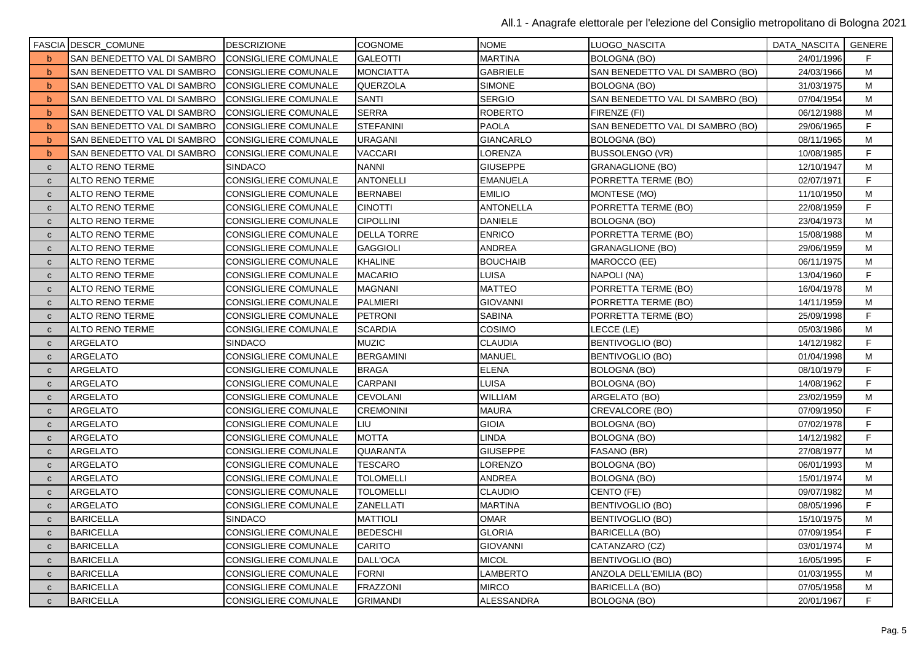|              | FASCIA DESCR_COMUNE         | <b>DESCRIZIONE</b>          | COGNOME            | <b>NOME</b>      | LUOGO_NASCITA                    | DATA_NASCITA | GENERE |
|--------------|-----------------------------|-----------------------------|--------------------|------------------|----------------------------------|--------------|--------|
| b            | SAN BENEDETTO VAL DI SAMBRO | CONSIGLIERE COMUNALE        | <b>GALEOTTI</b>    | <b>MARTINA</b>   | <b>BOLOGNA (BO)</b>              | 24/01/1996   | F.     |
| b            | SAN BENEDETTO VAL DI SAMBRO | CONSIGLIERE COMUNALE        | <b>MONCIATTA</b>   | <b>GABRIELE</b>  | SAN BENEDETTO VAL DI SAMBRO (BO) | 24/03/1966   | M      |
| b            | SAN BENEDETTO VAL DI SAMBRO | <b>CONSIGLIERE COMUNALE</b> | <b>QUERZOLA</b>    | <b>SIMONE</b>    | BOLOGNA (BO)                     | 31/03/1975   | м      |
| b            | SAN BENEDETTO VAL DI SAMBRO | CONSIGLIERE COMUNALE        | SANTI              | <b>SERGIO</b>    | SAN BENEDETTO VAL DI SAMBRO (BO) | 07/04/1954   | M      |
| b            | SAN BENEDETTO VAL DI SAMBRO | <b>CONSIGLIERE COMUNALE</b> | <b>SERRA</b>       | <b>ROBERTO</b>   | FIRENZE (FI)                     | 06/12/1988   | M      |
| b            | SAN BENEDETTO VAL DI SAMBRO | CONSIGLIERE COMUNALE        | <b>STEFANINI</b>   | <b>PAOLA</b>     | SAN BENEDETTO VAL DI SAMBRO (BO) | 29/06/1965   | F      |
| b            | SAN BENEDETTO VAL DI SAMBRO | CONSIGLIERE COMUNALE        | <b>JRAGANI</b>     | GIANCARLO        | BOLOGNA (BO)                     | 08/11/1965   | M      |
| b            | SAN BENEDETTO VAL DI SAMBRO | CONSIGLIERE COMUNALE        | VACCARI            | <b>_ORENZA</b>   | BUSSOLENGO (VR)                  | 10/08/1985   | F      |
| $\mathbf{C}$ | ALTO RENO TERME             | <b>SINDACO</b>              | <b>NANNI</b>       | <b>GIUSEPPE</b>  | <b>GRANAGLIONE (BO)</b>          | 12/10/1947   | M      |
| $\mathbf{C}$ | <b>ALTO RENO TERME</b>      | CONSIGLIERE COMUNALE        | <b>ANTONELLI</b>   | <b>EMANUELA</b>  | PORRETTA TERME (BO)              | 02/07/1971   | F      |
| $\mathbf{C}$ | <b>ALTO RENO TERME</b>      | CONSIGLIERE COMUNALE        | <b>BERNABEI</b>    | <b>EMILIO</b>    | MONTESE (MO)                     | 11/10/1950   | M      |
| $\mathbf{C}$ | ALTO RENO TERME             | CONSIGLIERE COMUNALE        | <b>CINOTTI</b>     | <b>ANTONELLA</b> | PORRETTA TERME (BO)              | 22/08/1959   | F.     |
| $\mathbf{C}$ | <b>ALTO RENO TERME</b>      | CONSIGLIERE COMUNALE        | <b>CIPOLLINI</b>   | DANIELE          | BOLOGNA (BO)                     | 23/04/1973   | M      |
| $\mathbf{C}$ | <b>ALTO RENO TERME</b>      | CONSIGLIERE COMUNALE        | <b>DELLA TORRE</b> | <b>ENRICO</b>    | PORRETTA TERME (BO)              | 15/08/1988   | M      |
| $\mathbf{C}$ | ALTO RENO TERME             | CONSIGLIERE COMUNALE        | <b>GAGGIOLI</b>    | ANDREA           | <b>GRANAGLIONE (BO)</b>          | 29/06/1959   | M      |
| $\mathbf{C}$ | <b>ALTO RENO TERME</b>      | CONSIGLIERE COMUNALE        | KHALINE            | <b>BOUCHAIB</b>  | MAROCCO (EE)                     | 06/11/1975   | M      |
| $\mathbf{C}$ | <b>ALTO RENO TERME</b>      | CONSIGLIERE COMUNALE        | <b>MACARIO</b>     | LUISA            | NAPOLI (NA)                      | 13/04/1960   | F      |
| $\mathbf{C}$ | ALTO RENO TERME             | CONSIGLIERE COMUNALE        | <b>MAGNANI</b>     | <b>MATTEO</b>    | PORRETTA TERME (BO)              | 16/04/1978   | M      |
| $\mathbf{C}$ | <b>ALTO RENO TERME</b>      | CONSIGLIERE COMUNALE        | <b>PALMIERI</b>    | <b>GIOVANNI</b>  | PORRETTA TERME (BO)              | 14/11/1959   | M      |
| $\mathbf{C}$ | <b>ALTO RENO TERME</b>      | CONSIGLIERE COMUNALE        | <b>PETRONI</b>     | <b>SABINA</b>    | PORRETTA TERME (BO)              | 25/09/1998   | F      |
| $\mathbf{C}$ | <b>ALTO RENO TERME</b>      | CONSIGLIERE COMUNALE        | <b>SCARDIA</b>     | COSIMO           | LECCE (LE)                       | 05/03/1986   | M      |
| $\mathbf{C}$ | ARGELATO                    | <b>SINDACO</b>              | <b>MUZIC</b>       | <b>CLAUDIA</b>   | <b>BENTIVOGLIO (BO)</b>          | 14/12/1982   | F      |
| $\mathbf{C}$ | ARGELATO                    | CONSIGLIERE COMUNALE        | <b>BERGAMINI</b>   | <b>MANUEL</b>    | <b>BENTIVOGLIO (BO)</b>          | 01/04/1998   | M      |
| $\mathbf{C}$ | ARGELATO                    | CONSIGLIERE COMUNALE        | <b>BRAGA</b>       | <b>ELENA</b>     | <b>BOLOGNA (BO)</b>              | 08/10/1979   | F      |
| $\mathbf{C}$ | ARGELATO                    | CONSIGLIERE COMUNALE        | CARPANI            | LUISA            | <b>BOLOGNA (BO)</b>              | 14/08/1962   | F      |
| $\mathbf{C}$ | ARGELATO                    | CONSIGLIERE COMUNALE        | <b>CEVOLANI</b>    | WILLIAM          | ARGELATO (BO)                    | 23/02/1959   | м      |
| $\mathbf{C}$ | ARGELATO                    | CONSIGLIERE COMUNALE        | <b>CREMONINI</b>   | <b>MAURA</b>     | CREVALCORE (BO)                  | 07/09/1950   | F      |
| $\mathbf{C}$ | ARGELATO                    | CONSIGLIERE COMUNALE        | LIU                | <b>GIOIA</b>     | BOLOGNA (BO)                     | 07/02/1978   | F      |
| $\mathbf{C}$ | ARGELATO                    | CONSIGLIERE COMUNALE        | MOTTA              | LINDA            | <b>BOLOGNA (BO)</b>              | 14/12/1982   | F      |
| $\mathbf{C}$ | ARGELATO                    | CONSIGLIERE COMUNALE        | QUARANTA           | GIUSEPPE         | FASANO (BR)                      | 27/08/1977   | М      |
| $\mathbf{C}$ | <b>ARGELATO</b>             | CONSIGLIERE COMUNALE        | <b>TESCARO</b>     | LORENZO          | <b>BOLOGNA (BO)</b>              | 06/01/1993   | M      |
| $\mathbf{C}$ | ARGELATO                    | CONSIGLIERE COMUNALE        | <b>TOLOMELLI</b>   | ANDREA           | BOLOGNA (BO)                     | 15/01/1974   | M      |
| $\mathbf{C}$ | ARGELATO                    | CONSIGLIERE COMUNALE        | <b>TOLOMELLI</b>   | CLAUDIO          | CENTO (FE)                       | 09/07/1982   | M      |
| $\mathbf{C}$ | ARGELATO                    | CONSIGLIERE COMUNALE        | ZANELLATI          | <b>MARTINA</b>   | BENTIVOGLIO (BO)                 | 08/05/1996   | F      |
| $\mathbf{C}$ | <b>BARICELLA</b>            | <b>SINDACO</b>              | <b>MATTIOLI</b>    | OMAR             | <b>BENTIVOGLIO (BO)</b>          | 15/10/1975   | М      |
| $\mathbf{C}$ | <b>BARICELLA</b>            | CONSIGLIERE COMUNALE        | <b>BEDESCHI</b>    | <b>GLORIA</b>    | <b>BARICELLA (BO)</b>            | 07/09/1954   | F      |
| $\mathbf{C}$ | <b>BARICELLA</b>            | CONSIGLIERE COMUNALE        | CARITO             | <b>GIOVANNI</b>  | CATANZARO (CZ)                   | 03/01/1974   | М      |
| $\mathbf{C}$ | <b>BARICELLA</b>            | CONSIGLIERE COMUNALE        | DALL'OCA           | MICOL            | BENTIVOGLIO (BO)                 | 16/05/1995   | F      |
| $\mathbf{C}$ | <b>BARICELLA</b>            | CONSIGLIERE COMUNALE        | <b>FORNI</b>       | LAMBERTO         | ANZOLA DELL'EMILIA (BO)          | 01/03/1955   | М      |
| $\mathbf{C}$ | <b>BARICELLA</b>            | CONSIGLIERE COMUNALE        | <b>FRAZZONI</b>    | <b>MIRCO</b>     | <b>BARICELLA (BO)</b>            | 07/05/1958   | M      |
| $\mathbf{C}$ | <b>BARICELLA</b>            | CONSIGLIERE COMUNALE        | <b>GRIMANDI</b>    | ALESSANDRA       | <b>BOLOGNA (BO)</b>              | 20/01/1967   | F      |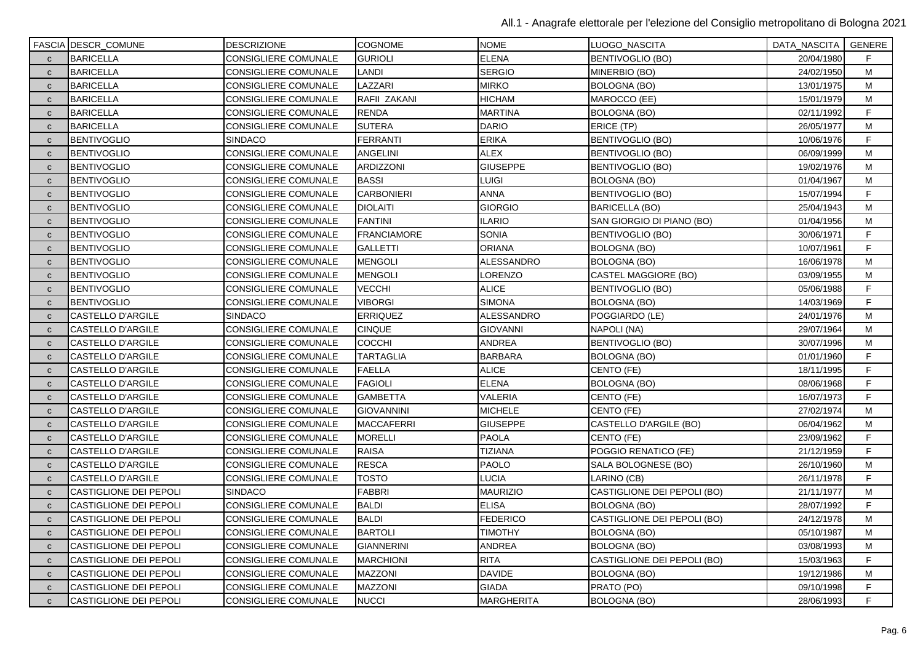|              | <b>FASCIA DESCR_COMUNE</b>    | <b>DESCRIZIONE</b>          | <b>COGNOME</b>     | <b>NOME</b>       | LUOGO_NASCITA               | DATA_NASCITA   GENERE |    |
|--------------|-------------------------------|-----------------------------|--------------------|-------------------|-----------------------------|-----------------------|----|
| $\mathbf{C}$ | <b>BARICELLA</b>              | CONSIGLIERE COMUNALE        | <b>GURIOLI</b>     | <b>ELENA</b>      | <b>BENTIVOGLIO (BO)</b>     | 20/04/1980            | F. |
| $\mathbf{C}$ | <b>BARICELLA</b>              | CONSIGLIERE COMUNALE        | LANDI              | <b>SERGIO</b>     | MINERBIO (BO)               | 24/02/1950            | M  |
| $\mathbf{C}$ | <b>BARICELLA</b>              | CONSIGLIERE COMUNALE        | LAZZARI            | <b>MIRKO</b>      | BOLOGNA (BO)                | 13/01/1975            | М  |
| $\mathbf{C}$ | <b>BARICELLA</b>              | CONSIGLIERE COMUNALE        | RAFII ZAKANI       | <b>HICHAM</b>     | MAROCCO (EE)                | 15/01/1979            | M  |
| $\mathbf{C}$ | <b>BARICELLA</b>              | <b>CONSIGLIERE COMUNALE</b> | <b>RENDA</b>       | <b>MARTINA</b>    | <b>BOLOGNA (BO)</b>         | 02/11/1992            | F. |
| $\mathbf{C}$ | <b>BARICELLA</b>              | CONSIGLIERE COMUNALE        | <b>SUTERA</b>      | <b>DARIO</b>      | ERICE (TP)                  | 26/05/1977            | M  |
| $\mathbf{C}$ | <b>BENTIVOGLIO</b>            | <b>SINDACO</b>              | <b>FERRANTI</b>    | <b>ERIKA</b>      | BENTIVOGLIO (BO)            | 10/06/1976            | F  |
| $\mathbf{C}$ | <b>BENTIVOGLIO</b>            | CONSIGLIERE COMUNALE        | <b>ANGELINI</b>    | <b>ALEX</b>       | BENTIVOGLIO (BO)            | 06/09/1999            | м  |
| $\mathbf{C}$ | <b>BENTIVOGLIO</b>            | CONSIGLIERE COMUNALE        | ARDIZZONI          | <b>GIUSEPPE</b>   | <b>BENTIVOGLIO (BO)</b>     | 19/02/1976            | M  |
| $\mathbf{C}$ | <b>BENTIVOGLIO</b>            | CONSIGLIERE COMUNALE        | <b>BASSI</b>       | LUIGI             | <b>BOLOGNA (BO)</b>         | 01/04/1967            | м  |
| $\mathbf{C}$ | <b>BENTIVOGLIO</b>            | CONSIGLIERE COMUNALE        | <b>CARBONIERI</b>  | <b>ANNA</b>       | BENTIVOGLIO (BO)            | 15/07/1994            | F  |
| $\mathbf{C}$ | <b>BENTIVOGLIO</b>            | <b>CONSIGLIERE COMUNALE</b> | <b>DIOLAITI</b>    | <b>GIORGIO</b>    | BARICELLA (BO)              | 25/04/1943            | м  |
| $\mathbf{C}$ | <b>BENTIVOGLIO</b>            | <b>CONSIGLIERE COMUNALE</b> | <b>FANTINI</b>     | <b>ILARIO</b>     | SAN GIORGIO DI PIANO (BO)   | 01/04/1956            | M  |
| $\mathbf{C}$ | <b>BENTIVOGLIO</b>            | <b>CONSIGLIERE COMUNALE</b> | <b>FRANCIAMORE</b> | <b>SONIA</b>      | <b>BENTIVOGLIO (BO)</b>     | 30/06/1971            | F  |
| $\mathbf{C}$ | <b>BENTIVOGLIO</b>            | CONSIGLIERE COMUNALE        | <b>GALLETTI</b>    | <b>ORIANA</b>     | BOLOGNA (BO)                | 10/07/1961            | F  |
| $\mathbf{C}$ | <b>BENTIVOGLIO</b>            | CONSIGLIERE COMUNALE        | <b>MENGOLI</b>     | <b>ALESSANDRO</b> | <b>BOLOGNA (BO)</b>         | 16/06/1978            | M  |
| $\mathbf{C}$ | <b>BENTIVOGLIO</b>            | CONSIGLIERE COMUNALE        | <b>MENGOLI</b>     | _ORENZO           | CASTEL MAGGIORE (BO)        | 03/09/1955            | M  |
| $\mathbf{C}$ | <b>BENTIVOGLIO</b>            | <b>CONSIGLIERE COMUNALE</b> | <b>VECCHI</b>      | <b>ALICE</b>      | <b>BENTIVOGLIO (BO)</b>     | 05/06/1988            | F  |
| $\mathbf{C}$ | <b>BENTIVOGLIO</b>            | <b>CONSIGLIERE COMUNALE</b> | <b>VIBORGI</b>     | <b>SIMONA</b>     | BOLOGNA (BO)                | 14/03/1969            | F  |
| $\mathbf{C}$ | CASTELLO D'ARGILE             | <b>SINDACO</b>              | <b>ERRIQUEZ</b>    | ALESSANDRO        | POGGIARDO (LE)              | 24/01/1976            | M  |
| $\mathbf{C}$ | CASTELLO D'ARGILE             | <b>CONSIGLIERE COMUNALE</b> | <b>CINQUE</b>      | <b>GIOVANNI</b>   | NAPOLI (NA)                 | 29/07/1964            | M  |
| $\mathbf{C}$ | CASTELLO D'ARGILE             | CONSIGLIERE COMUNALE        | COCCHI             | ANDREA            | <b>BENTIVOGLIO (BO)</b>     | 30/07/1996            | M  |
| $\mathbf{C}$ | CASTELLO D'ARGILE             | <b>CONSIGLIERE COMUNALE</b> | <b>TARTAGLIA</b>   | <b>BARBARA</b>    | BOLOGNA (BO)                | 01/01/1960            | F  |
| $\mathbf{C}$ | CASTELLO D'ARGILE             | CONSIGLIERE COMUNALE        | <b>FAELLA</b>      | <b>ALICE</b>      | CENTO (FE)                  | 18/11/1995            | F  |
| $\mathbf{C}$ | <b>CASTELLO D'ARGILE</b>      | <b>CONSIGLIERE COMUNALE</b> | <b>FAGIOLI</b>     | <b>ELENA</b>      | <b>BOLOGNA (BO)</b>         | 08/06/1968            | F. |
| $\mathbf{C}$ | CASTELLO D'ARGILE             | CONSIGLIERE COMUNALE        | <b>GAMBETTA</b>    | VALERIA           | CENTO (FE)                  | 16/07/1973            | F  |
| $\mathbf{C}$ | CASTELLO D'ARGILE             | <b>CONSIGLIERE COMUNALE</b> | <b>GIOVANNINI</b>  | <b>MICHELE</b>    | CENTO (FE)                  | 27/02/1974            | M  |
| $\mathbf{C}$ | CASTELLO D'ARGILE             | CONSIGLIERE COMUNALE        | <b>MACCAFERRI</b>  | <b>GIUSEPPE</b>   | CASTELLO D'ARGILE (BO)      | 06/04/1962            | M  |
| $\mathbf{C}$ | <b>CASTELLO D'ARGILE</b>      | <b>CONSIGLIERE COMUNALE</b> | <b>MORELLI</b>     | <b>PAOLA</b>      | CENTO (FE)                  | 23/09/1962            | F  |
| $\mathbf{C}$ | <b>CASTELLO D'ARGILE</b>      | <b>CONSIGLIERE COMUNALE</b> | <b>RAISA</b>       | TIZIANA           | POGGIO RENATICO (FE)        | 21/12/1959            | F  |
| $\mathbf{C}$ | CASTELLO D'ARGILE             | CONSIGLIERE COMUNALE        | <b>RESCA</b>       | <b>PAOLO</b>      | SALA BOLOGNESE (BO)         | 26/10/1960            | M  |
| $\mathbf{C}$ | CASTELLO D'ARGILE             | <b>CONSIGLIERE COMUNALE</b> | <b>TOSTO</b>       | <b>LUCIA</b>      | LARINO (CB)                 | 26/11/1978            | F  |
| $\mathbf{C}$ | CASTIGLIONE DEI PEPOLI        | <b>SINDACO</b>              | <b>FABBRI</b>      | <b>MAURIZIO</b>   | CASTIGLIONE DEI PEPOLI (BO) | 21/11/1977            | М  |
| $\mathbf{C}$ | CASTIGLIONE DEI PEPOLI        | <b>CONSIGLIERE COMUNALE</b> | <b>BALDI</b>       | <b>ELISA</b>      | <b>BOLOGNA (BO)</b>         | 28/07/1992            | F  |
| $\mathbf{C}$ | CASTIGLIONE DEI PEPOLI        | CONSIGLIERE COMUNALE        | <b>BALDI</b>       | <b>FEDERICO</b>   | CASTIGLIONE DEI PEPOLI (BO) | 24/12/1978            | м  |
| $\mathbf c$  | CASTIGLIONE DEI PEPOLI        | CONSIGLIERE COMUNALE        | <b>BARTOLI</b>     | <b>TIMOTHY</b>    | <b>BOLOGNA (BO)</b>         | 05/10/1987            | M  |
| $\mathbf{C}$ | CASTIGLIONE DEI PEPOLI        | <b>CONSIGLIERE COMUNALE</b> | <b>GIANNERINI</b>  | ANDREA            | <b>BOLOGNA (BO)</b>         | 03/08/1993            | M  |
| $\mathbf{C}$ | CASTIGLIONE DEI PEPOLI        | CONSIGLIERE COMUNALE        | <b>MARCHIONI</b>   | <b>RITA</b>       | CASTIGLIONE DEI PEPOLI (BO) | 15/03/1963            | F  |
| $\mathbf{C}$ | CASTIGLIONE DEI PEPOLI        | CONSIGLIERE COMUNALE        | <b>MAZZONI</b>     | <b>DAVIDE</b>     | BOLOGNA (BO)                | 19/12/1986            | М  |
| $\mathbf{C}$ | CASTIGLIONE DEI PEPOLI        | CONSIGLIERE COMUNALE        | <b>MAZZONI</b>     | <b>GIADA</b>      | PRATO (PO)                  | 09/10/1998            | F  |
| $\mathbf{C}$ | <b>CASTIGLIONE DEI PEPOLI</b> | <b>CONSIGLIERE COMUNALE</b> | <b>NUCCI</b>       | <b>MARGHERITA</b> | BOLOGNA (BO)                | 28/06/1993            | F  |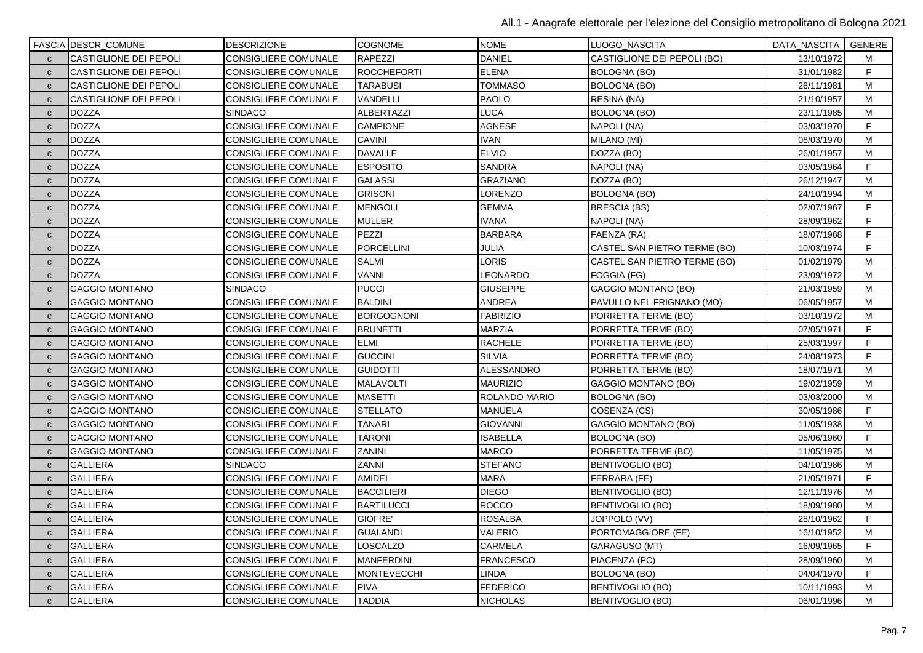|              | FASCIA DESCR_COMUNE           | <b>DESCRIZIONE</b>          | <b>COGNOME</b>     | <b>NOME</b>      | LUOGO NASCITA                | DATA_NASCITA | GENERE |
|--------------|-------------------------------|-----------------------------|--------------------|------------------|------------------------------|--------------|--------|
| $\mathbf{C}$ | <b>CASTIGLIONE DEI PEPOLI</b> | CONSIGLIERE COMUNALE        | <b>RAPEZZI</b>     | <b>DANIEL</b>    | CASTIGLIONE DEI PEPOLI (BO)  | 13/10/1972   | М      |
| $\mathbf{C}$ | <b>CASTIGLIONE DEI PEPOLI</b> | CONSIGLIERE COMUNALE        | <b>ROCCHEFORTI</b> | <b>ELENA</b>     | <b>BOLOGNA (BO)</b>          | 31/01/1982   | F.     |
| $\mathbf{C}$ | CASTIGLIONE DEI PEPOLI        | <b>CONSIGLIERE COMUNALE</b> | <b>TARABUSI</b>    | <b>TOMMASO</b>   | <b>BOLOGNA (BO)</b>          | 26/11/1981   | M      |
| $\mathbf{C}$ | <b>CASTIGLIONE DEI PEPOLI</b> | <b>CONSIGLIERE COMUNALE</b> | VANDELLI           | <b>PAOLO</b>     | RESINA (NA)                  | 21/10/1957   | M      |
| $\mathbf{C}$ | <b>DOZZA</b>                  | <b>SINDACO</b>              | <b>ALBERTAZZI</b>  | LUCA             | <b>BOLOGNA (BO)</b>          | 23/11/1985   | M      |
| $\mathbf{C}$ | <b>DOZZA</b>                  | CONSIGLIERE COMUNALE        | <b>CAMPIONE</b>    | <b>AGNESE</b>    | NAPOLI (NA)                  | 03/03/1970   | F      |
| $\mathbf{C}$ | <b>DOZZA</b>                  | <b>CONSIGLIERE COMUNALE</b> | <b>CAVINI</b>      | <b>IVAN</b>      | MILANO (MI)                  | 08/03/1970   | M      |
| $\mathbf{C}$ | <b>DOZZA</b>                  | <b>CONSIGLIERE COMUNALE</b> | <b>DAVALLE</b>     | <b>ELVIO</b>     | DOZZA (BO)                   | 26/01/1957   | M      |
| $\mathbf{C}$ | <b>DOZZA</b>                  | <b>CONSIGLIERE COMUNALE</b> | <b>ESPOSITO</b>    | <b>SANDRA</b>    | NAPOLI (NA)                  | 03/05/1964   | F      |
| $\mathbf{C}$ | <b>DOZZA</b>                  | <b>CONSIGLIERE COMUNALE</b> | <b>GALASSI</b>     | <b>GRAZIANO</b>  | DOZZA (BO)                   | 26/12/1947   | M      |
| $\mathbf{C}$ | <b>DOZZA</b>                  | <b>CONSIGLIERE COMUNALE</b> | <b>GRISONI</b>     | LORENZO          | <b>BOLOGNA (BO)</b>          | 24/10/1994   | M      |
| $\mathbf{C}$ | <b>DOZZA</b>                  | <b>CONSIGLIERE COMUNALE</b> | <b>MENGOLI</b>     | <b>GEMMA</b>     | <b>BRESCIA (BS)</b>          | 02/07/1967   | F.     |
| $\mathbf{C}$ | <b>DOZZA</b>                  | <b>CONSIGLIERE COMUNALE</b> | <b>MULLER</b>      | <b>IVANA</b>     | NAPOLI (NA)                  | 28/09/1962   | F      |
| $\mathbf{C}$ | <b>DOZZA</b>                  | <b>CONSIGLIERE COMUNALE</b> | PEZZI              | <b>BARBARA</b>   | FAENZA (RA)                  | 18/07/1968   | F.     |
| $\mathbf{C}$ | <b>DOZZA</b>                  | <b>CONSIGLIERE COMUNALE</b> | PORCELLINI         | JULIA            | CASTEL SAN PIETRO TERME (BO) | 10/03/1974   | F      |
| $\mathbf{C}$ | <b>DOZZA</b>                  | <b>CONSIGLIERE COMUNALE</b> | <b>SALMI</b>       | LORIS            | CASTEL SAN PIETRO TERME (BO) | 01/02/1979   | M      |
| $\mathbf{C}$ | <b>DOZZA</b>                  | <b>CONSIGLIERE COMUNALE</b> | <b>VANNI</b>       | LEONARDO         | FOGGIA (FG)                  | 23/09/1972   | M      |
| $\mathbf{C}$ | <b>GAGGIO MONTANO</b>         | <b>SINDACO</b>              | <b>PUCCI</b>       | <b>GIUSEPPE</b>  | <b>GAGGIO MONTANO (BO)</b>   | 21/03/1959   | M      |
| $\mathbf{C}$ | <b>GAGGIO MONTANO</b>         | <b>CONSIGLIERE COMUNALE</b> | BALDINI            | <b>ANDREA</b>    | PAVULLO NEL FRIGNANO (MO)    | 06/05/1957   | M      |
| $\mathbf{C}$ | <b>GAGGIO MONTANO</b>         | CONSIGLIERE COMUNALE        | <b>BORGOGNONI</b>  | <b>FABRIZIO</b>  | PORRETTA TERME (BO)          | 03/10/1972   | M      |
| $\mathbf{C}$ | <b>GAGGIO MONTANO</b>         | <b>CONSIGLIERE COMUNALE</b> | <b>BRUNETTI</b>    | <b>MARZIA</b>    | PORRETTA TERME (BO)          | 07/05/1971   | F      |
| $\mathbf{C}$ | <b>GAGGIO MONTANO</b>         | CONSIGLIERE COMUNALE        | <b>ELMI</b>        | <b>RACHELE</b>   | PORRETTA TERME (BO)          | 25/03/1997   | F      |
| $\mathbf{C}$ | <b>GAGGIO MONTANO</b>         | <b>CONSIGLIERE COMUNALE</b> | <b>GUCCINI</b>     | <b>SILVIA</b>    | PORRETTA TERME (BO)          | 24/08/1973   | F.     |
| $\mathbf{C}$ | <b>GAGGIO MONTANO</b>         | CONSIGLIERE COMUNALE        | <b>GUIDOTTI</b>    | ALESSANDRO       | PORRETTA TERME (BO)          | 18/07/1971   | M      |
| $\mathbf{C}$ | <b>GAGGIO MONTANO</b>         | <b>CONSIGLIERE COMUNALE</b> | <b>MALAVOLTI</b>   | <b>MAURIZIO</b>  | <b>GAGGIO MONTANO (BO)</b>   | 19/02/1959   | M      |
| $\mathbf{C}$ | <b>GAGGIO MONTANO</b>         | <b>CONSIGLIERE COMUNALE</b> | <b>MASETTI</b>     | ROLANDO MARIO    | BOLOGNA (BO)                 | 03/03/2000   | М      |
| $\mathbf c$  | <b>GAGGIO MONTANO</b>         | <b>CONSIGLIERE COMUNALE</b> | <b>STELLATO</b>    | <b>MANUELA</b>   | COSENZA (CS)                 | 30/05/1986   | F      |
| $\mathbf{C}$ | <b>GAGGIO MONTANO</b>         | CONSIGLIERE COMUNALE        | <b>TANARI</b>      | <b>GIOVANNI</b>  | <b>GAGGIO MONTANO (BO)</b>   | 11/05/1938   | M      |
| $\mathbf{C}$ | <b>GAGGIO MONTANO</b>         | CONSIGLIERE COMUNALE        | <b>TARONI</b>      | <b>ISABELLA</b>  | <b>BOLOGNA (BO)</b>          | 05/06/1960   | F.     |
| $\mathbf{C}$ | <b>GAGGIO MONTANO</b>         | <b>CONSIGLIERE COMUNALE</b> | <b>ZANINI</b>      | <b>MARCO</b>     | PORRETTA TERME (BO)          | 11/05/1975   | M      |
| $\mathbf{C}$ | <b>GALLIERA</b>               | <b>SINDACO</b>              | ZANNI              | <b>STEFANO</b>   | BENTIVOGLIO (BO)             | 04/10/1986   | M      |
| $\mathbf{C}$ | <b>GALLIERA</b>               | <b>CONSIGLIERE COMUNALE</b> | <b>AMIDEI</b>      | <b>MARA</b>      | FERRARA (FE)                 | 21/05/1971   | F      |
| $\mathbf{C}$ | <b>GALLIERA</b>               | CONSIGLIERE COMUNALE        | <b>BACCILIERI</b>  | <b>DIEGO</b>     | BENTIVOGLIO (BO)             | 12/11/1976   | M      |
| $\mathbf{C}$ | <b>GALLIERA</b>               | <b>CONSIGLIERE COMUNALE</b> | <b>BARTILUCCI</b>  | <b>ROCCO</b>     | <b>BENTIVOGLIO (BO)</b>      | 18/09/1980   | M      |
| $\mathbf{C}$ | <b>GALLIERA</b>               | <b>CONSIGLIERE COMUNALE</b> | GIOFRE'            | <b>ROSALBA</b>   | JOPPOLO (VV)                 | 28/10/1962   | F.     |
| $\mathbf{C}$ | <b>GALLIERA</b>               | <b>CONSIGLIERE COMUNALE</b> | <b>GUALANDI</b>    | VALERIO          | PORTOMAGGIORE (FE)           | 16/10/1952   | M      |
| $\mathbf{C}$ | <b>GALLIERA</b>               | CONSIGLIERE COMUNALE        | LOSCALZO           | <b>CARMELA</b>   | <b>GARAGUSO (MT)</b>         | 16/09/1965   | F.     |
| $\mathbf{C}$ | <b>GALLIERA</b>               | CONSIGLIERE COMUNALE        | <b>MANFERDINI</b>  | <b>FRANCESCO</b> | PIACENZA (PC)                | 28/09/1960   | M      |
| $\mathbf{C}$ | <b>GALLIERA</b>               | <b>CONSIGLIERE COMUNALE</b> | <b>MONTEVECCHI</b> | LINDA            | <b>BOLOGNA (BO)</b>          | 04/04/1970   | F.     |
| $\mathbf{C}$ | <b>GALLIERA</b>               | <b>CONSIGLIERE COMUNALE</b> | <b>PIVA</b>        | <b>FEDERICO</b>  | BENTIVOGLIO (BO)             | 10/11/1993   | M      |
| $\mathbf{C}$ | <b>GALLIERA</b>               | <b>CONSIGLIERE COMUNALE</b> | <b>TADDIA</b>      | <b>NICHOLAS</b>  | <b>BENTIVOGLIO (BO)</b>      | 06/01/1996   | M      |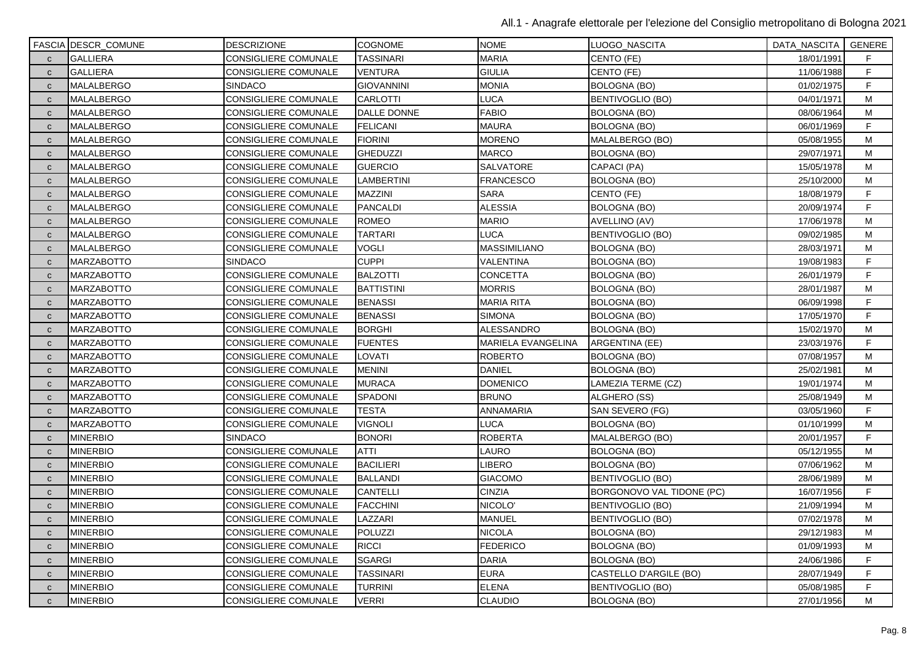|              | <b>FASCIA DESCR_COMUNE</b> | <b>DESCRIZIONE</b>          | <b>COGNOME</b>     | <b>NOME</b>         | LUOGO_NASCITA             | DATA_NASCITA   GENERE |    |
|--------------|----------------------------|-----------------------------|--------------------|---------------------|---------------------------|-----------------------|----|
| $\mathbf{C}$ | <b>GALLIERA</b>            | CONSIGLIERE COMUNALE        | <b>TASSINARI</b>   | <b>MARIA</b>        | CENTO (FE)                | 18/01/1991            | F. |
| $\mathbf{C}$ | <b>GALLIERA</b>            | <b>CONSIGLIERE COMUNALE</b> | VENTURA            | <b>GIULIA</b>       | CENTO (FE)                | 11/06/1988            | F  |
| $\mathbf{C}$ | MALALBERGO                 | <b>SINDACO</b>              | <b>GIOVANNINI</b>  | <b>MONIA</b>        | BOLOGNA (BO)              | 01/02/1975            | F. |
| $\mathbf{C}$ | MALALBERGO                 | CONSIGLIERE COMUNALE        | <b>CARLOTTI</b>    | LUCA                | <b>BENTIVOGLIO (BO)</b>   | 04/01/1971            | M  |
| $\mathbf{C}$ | MALALBERGO                 | CONSIGLIERE COMUNALE        | <b>DALLE DONNE</b> | <b>FABIO</b>        | <b>BOLOGNA (BO)</b>       | 08/06/1964            | M  |
| $\mathbf{C}$ | MALALBERGO                 | CONSIGLIERE COMUNALE        | <b>FELICANI</b>    | <b>MAURA</b>        | <b>BOLOGNA (BO)</b>       | 06/01/1969            | F  |
| $\mathbf{C}$ | MALALBERGO                 | CONSIGLIERE COMUNALE        | <b>FIORINI</b>     | <b>MORENO</b>       | MALALBERGO (BO)           | 05/08/1955            | M  |
| $\mathbf{C}$ | MALALBERGO                 | CONSIGLIERE COMUNALE        | <b>GHEDUZZI</b>    | <b>MARCO</b>        | <b>BOLOGNA (BO)</b>       | 29/07/1971            | м  |
| $\mathbf{C}$ | MALALBERGO                 | CONSIGLIERE COMUNALE        | <b>GUERCIO</b>     | <b>SALVATORE</b>    | CAPACI (PA)               | 15/05/1978            | M  |
| $\mathbf{C}$ | <b>MALALBERGO</b>          | CONSIGLIERE COMUNALE        | LAMBERTINI         | <b>FRANCESCO</b>    | <b>BOLOGNA (BO)</b>       | 25/10/2000            | M  |
| $\mathbf{C}$ | MALALBERGO                 | CONSIGLIERE COMUNALE        | <b>MAZZINI</b>     | <b>SARA</b>         | CENTO (FE)                | 18/08/1979            | F  |
| $\mathbf{C}$ | MALALBERGO                 | CONSIGLIERE COMUNALE        | <b>PANCALDI</b>    | <b>ALESSIA</b>      | BOLOGNA (BO)              | 20/09/1974            | F  |
| $\mathbf{C}$ | MALALBERGO                 | CONSIGLIERE COMUNALE        | <b>ROMEO</b>       | <b>MARIO</b>        | AVELLINO (AV)             | 17/06/1978            | M  |
| $\mathbf{C}$ | MALALBERGO                 | <b>CONSIGLIERE COMUNALE</b> | <b>TARTARI</b>     | <b>LUCA</b>         | <b>BENTIVOGLIO (BO)</b>   | 09/02/1985            | M  |
| $\mathbf{C}$ | MALALBERGO                 | CONSIGLIERE COMUNALE        | <b>VOGLI</b>       | <b>MASSIMILIANO</b> | <b>BOLOGNA (BO)</b>       | 28/03/1971            | M  |
| $\mathbf{C}$ | <b>MARZABOTTO</b>          | <b>SINDACO</b>              | <b>CUPPI</b>       | <b>VALENTINA</b>    | <b>BOLOGNA (BO)</b>       | 19/08/1983            | F  |
| $\mathbf{C}$ | <b>MARZABOTTO</b>          | CONSIGLIERE COMUNALE        | <b>BALZOTTI</b>    | <b>CONCETTA</b>     | BOLOGNA (BO)              | 26/01/1979            | F  |
| $\mathbf{C}$ | <b>MARZABOTTO</b>          | <b>CONSIGLIERE COMUNALE</b> | <b>BATTISTINI</b>  | <b>MORRIS</b>       | BOLOGNA (BO)              | 28/01/1987            | M  |
| $\mathbf{C}$ | <b>MARZABOTTO</b>          | <b>CONSIGLIERE COMUNALE</b> | <b>BENASSI</b>     | <b>MARIA RITA</b>   | BOLOGNA (BO)              | 06/09/1998            | F  |
| $\mathbf{C}$ | <b>MARZABOTTO</b>          | CONSIGLIERE COMUNALE        | <b>BENASSI</b>     | <b>SIMONA</b>       | <b>BOLOGNA (BO)</b>       | 17/05/1970            | F  |
| $\mathbf{C}$ | <b>MARZABOTTO</b>          | CONSIGLIERE COMUNALE        | <b>BORGHI</b>      | <b>ALESSANDRO</b>   | BOLOGNA (BO)              | 15/02/1970            | M  |
| $\mathbf{C}$ | <b>MARZABOTTO</b>          | CONSIGLIERE COMUNALE        | <b>FUENTES</b>     | MARIELA EVANGELINA  | ARGENTINA (EE)            | 23/03/1976            | F  |
| $\mathbf{C}$ | <b>MARZABOTTO</b>          | <b>CONSIGLIERE COMUNALE</b> | LOVATI             | <b>ROBERTO</b>      | BOLOGNA (BO)              | 07/08/1957            | м  |
| $\mathbf{C}$ | <b>MARZABOTTO</b>          | CONSIGLIERE COMUNALE        | <b>MENINI</b>      | <b>DANIEL</b>       | <b>BOLOGNA (BO)</b>       | 25/02/1981            | М  |
| $\mathbf{C}$ | <b>MARZABOTTO</b>          | <b>CONSIGLIERE COMUNALE</b> | <b>MURACA</b>      | <b>DOMENICO</b>     | LAMEZIA TERME (CZ)        | 19/01/1974            | M  |
| $\mathbf{C}$ | <b>MARZABOTTO</b>          | CONSIGLIERE COMUNALE        | SPADONI            | <b>BRUNO</b>        | ALGHERO (SS)              | 25/08/1949            | М  |
| $\mathbf{C}$ | <b>MARZABOTTO</b>          | <b>CONSIGLIERE COMUNALE</b> | <b>TESTA</b>       | ANNAMARIA           | SAN SEVERO (FG)           | 03/05/1960            | F  |
| $\mathbf{C}$ | <b>MARZABOTTO</b>          | CONSIGLIERE COMUNALE        | <b>VIGNOLI</b>     | <b>LUCA</b>         | <b>BOLOGNA (BO)</b>       | 01/10/1999            | М  |
| $\mathbf{C}$ | <b>MINERBIO</b>            | <b>SINDACO</b>              | <b>BONORI</b>      | <b>ROBERTA</b>      | MALALBERGO (BO)           | 20/01/1957            | F  |
| $\mathbf{C}$ | <b>MINERBIO</b>            | CONSIGLIERE COMUNALE        | <b>ATTI</b>        | LAURO               | <b>BOLOGNA (BO)</b>       | 05/12/1955            | м  |
| $\mathbf{C}$ | <b>MINERBIO</b>            | CONSIGLIERE COMUNALE        | <b>BACILIERI</b>   | <b>LIBERO</b>       | <b>BOLOGNA (BO)</b>       | 07/06/1962            | M  |
| $\mathbf{C}$ | <b>MINERBIO</b>            | <b>CONSIGLIERE COMUNALE</b> | <b>BALLANDI</b>    | <b>GIACOMO</b>      | <b>BENTIVOGLIO (BO)</b>   | 28/06/1989            | M  |
| $\mathbf{C}$ | <b>MINERBIO</b>            | CONSIGLIERE COMUNALE        | <b>CANTELLI</b>    | <b>CINZIA</b>       | BORGONOVO VAL TIDONE (PC) | 16/07/1956            | F  |
| $\mathsf{C}$ | <b>MINERBIO</b>            | CONSIGLIERE COMUNALE        | <b>FACCHINI</b>    | NICOLO'             | BENTIVOGLIO (BO)          | 21/09/1994            | М  |
| $\mathbf{C}$ | <b>MINERBIO</b>            | CONSIGLIERE COMUNALE        | LAZZARI            | <b>MANUEL</b>       | BENTIVOGLIO (BO)          | 07/02/1978            | М  |
| $\mathbf{C}$ | <b>MINERBIO</b>            | CONSIGLIERE COMUNALE        | POLUZZI            | <b>NICOLA</b>       | <b>BOLOGNA (BO)</b>       | 29/12/1983            | M  |
| $\mathbf{C}$ | <b>MINERBIO</b>            | CONSIGLIERE COMUNALE        | <b>RICCI</b>       | <b>FEDERICO</b>     | <b>BOLOGNA (BO)</b>       | 01/09/1993            | М  |
| $\mathbf{C}$ | <b>MINERBIO</b>            | CONSIGLIERE COMUNALE        | <b>SGARGI</b>      | <b>DARIA</b>        | BOLOGNA (BO)              | 24/06/1986            | F  |
| $\mathbf{C}$ | <b>MINERBIO</b>            | CONSIGLIERE COMUNALE        | TASSINARI          | <b>EURA</b>         | CASTELLO D'ARGILE (BO)    | 28/07/1949            | F  |
| $\mathbf{C}$ | <b>MINERBIO</b>            | CONSIGLIERE COMUNALE        | TURRINI            | <b>ELENA</b>        | <b>BENTIVOGLIO (BO)</b>   | 05/08/1985            | F  |
| $\mathbf{C}$ | <b>MINERBIO</b>            | <b>CONSIGLIERE COMUNALE</b> | <b>VERRI</b>       | <b>CLAUDIO</b>      | BOLOGNA (BO)              | 27/01/1956            | м  |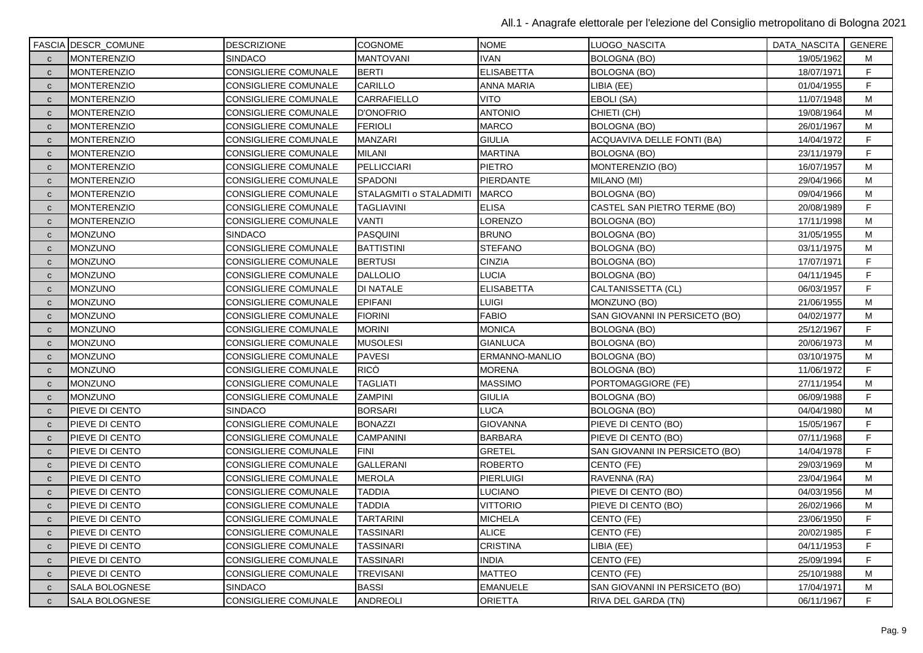|              | <b>FASCIA DESCR_COMUNE</b> | <b>DESCRIZIONE</b>          | <b>COGNOME</b>          | <b>NOME</b>       | LUOGO_NASCITA                  | DATA_NASCITA   GENERE |   |
|--------------|----------------------------|-----------------------------|-------------------------|-------------------|--------------------------------|-----------------------|---|
| $\mathbf{C}$ | <b>MONTERENZIO</b>         | <b>SINDACO</b>              | <b>MANTOVANI</b>        | <b>IVAN</b>       | <b>BOLOGNA (BO)</b>            | 19/05/1962            | м |
| $\mathbf{C}$ | MONTERENZIO                | <b>CONSIGLIERE COMUNALE</b> | <b>BERTI</b>            | <b>ELISABETTA</b> | <b>BOLOGNA (BO)</b>            | 18/07/1971            | F |
| $\mathbf{C}$ | <b>MONTERENZIO</b>         | CONSIGLIERE COMUNALE        | CARILLO                 | ANNA MARIA        | LIBIA (EE)                     | 01/04/1955            | F |
| $\mathbf{C}$ | <b>MONTERENZIO</b>         | CONSIGLIERE COMUNALE        | <b>CARRAFIELLO</b>      | <b>VITO</b>       | EBOLI (SA)                     | 11/07/1948            | M |
| $\mathbf{C}$ | <b>MONTERENZIO</b>         | CONSIGLIERE COMUNALE        | <b>D'ONOFRIO</b>        | <b>ANTONIO</b>    | CHIETI (CH)                    | 19/08/1964            | M |
| $\mathbf{C}$ | <b>MONTERENZIO</b>         | CONSIGLIERE COMUNALE        | <b>FERIOLI</b>          | <b>MARCO</b>      | BOLOGNA (BO)                   | 26/01/1967            | M |
| $\mathbf{C}$ | <b>MONTERENZIO</b>         | CONSIGLIERE COMUNALE        | <b>MANZARI</b>          | <b>GIULIA</b>     | ACQUAVIVA DELLE FONTI (BA)     | 14/04/1972            | F |
| $\mathbf{C}$ | <b>MONTERENZIO</b>         | CONSIGLIERE COMUNALE        | <b>MILANI</b>           | <b>MARTINA</b>    | <b>BOLOGNA (BO)</b>            | 23/11/1979            | F |
| $\mathbf{C}$ | <b>MONTERENZIO</b>         | CONSIGLIERE COMUNALE        | <b>PELLICCIARI</b>      | <b>PIETRO</b>     | MONTERENZIO (BO)               | 16/07/1957            | M |
| $\mathbf{C}$ | <b>MONTERENZIO</b>         | CONSIGLIERE COMUNALE        | SPADONI                 | PIERDANTE         | MILANO (MI)                    | 29/04/1966            | M |
| $\mathbf{C}$ | <b>MONTERENZIO</b>         | CONSIGLIERE COMUNALE        | STALAGMITI o STALADMITI | <b>MARCO</b>      | <b>BOLOGNA (BO)</b>            | 09/04/1966            | M |
| $\mathbf{C}$ | <b>MONTERENZIO</b>         | CONSIGLIERE COMUNALE        | TAGLIAVINI              | <b>ELISA</b>      | CASTEL SAN PIETRO TERME (BO)   | 20/08/1989            | F |
| $\mathbf{C}$ | <b>MONTERENZIO</b>         | CONSIGLIERE COMUNALE        | VANTI                   | LORENZO           | BOLOGNA (BO)                   | 17/11/1998            | M |
| $\mathbf{C}$ | <b>MONZUNO</b>             | SINDACO                     | <b>PASQUINI</b>         | <b>BRUNO</b>      | <b>BOLOGNA (BO)</b>            | 31/05/1955            | M |
| $\mathbf{C}$ | MONZUNO                    | CONSIGLIERE COMUNALE        | <b>BATTISTINI</b>       | <b>STEFANO</b>    | BOLOGNA (BO)                   | 03/11/1975            | M |
| $\mathsf{C}$ | <b>MONZUNO</b>             | CONSIGLIERE COMUNALE        | <b>BERTUSI</b>          | <b>CINZIA</b>     | <b>BOLOGNA (BO)</b>            | 17/07/1971            | F |
| $\mathbf{C}$ | <b>MONZUNO</b>             | CONSIGLIERE COMUNALE        | <b>DALLOLIO</b>         | <b>LUCIA</b>      | <b>BOLOGNA (BO)</b>            | 04/11/1945            | F |
| $\mathbf{C}$ | <b>MONZUNO</b>             | <b>CONSIGLIERE COMUNALE</b> | <b>DI NATALE</b>        | <b>ELISABETTA</b> | CALTANISSETTA (CL)             | 06/03/1957            | F |
| $\mathbf{C}$ | <b>MONZUNO</b>             | <b>CONSIGLIERE COMUNALE</b> | <b>EPIFANI</b>          | <b>LUIGI</b>      | MONZUNO (BO)                   | 21/06/1955            | M |
| $\mathbf{C}$ | MONZUNO                    | CONSIGLIERE COMUNALE        | <b>FIORINI</b>          | <b>FABIO</b>      | SAN GIOVANNI IN PERSICETO (BO) | 04/02/1977            | M |
| $\mathbf{C}$ | <b>MONZUNO</b>             | CONSIGLIERE COMUNALE        | <b>MORINI</b>           | <b>MONICA</b>     | <b>BOLOGNA (BO)</b>            | 25/12/1967            | F |
| $\mathbf{C}$ | <b>MONZUNO</b>             | CONSIGLIERE COMUNALE        | <b>MUSOLESI</b>         | <b>GIANLUCA</b>   | <b>BOLOGNA (BO)</b>            | 20/06/1973            | M |
| $\mathbf{C}$ | <b>MONZUNO</b>             | <b>CONSIGLIERE COMUNALE</b> | <b>PAVESI</b>           | ERMANNO-MANLIO    | BOLOGNA (BO)                   | 03/10/1975            | M |
| $\mathbf{C}$ | MONZUNO                    | CONSIGLIERE COMUNALE        | <b>RICÒ</b>             | <b>MORENA</b>     | <b>BOLOGNA (BO)</b>            | 11/06/1972            | F |
| $\mathbf{C}$ | <b>MONZUNO</b>             | CONSIGLIERE COMUNALE        | <b>TAGLIATI</b>         | <b>MASSIMO</b>    | PORTOMAGGIORE (FE)             | 27/11/1954            | м |
| $\mathbf{C}$ | Monzuno                    | CONSIGLIERE COMUNALE        | ZAMPINI                 | <b>GIULIA</b>     | <b>BOLOGNA (BO)</b>            | 06/09/1988            | F |
| $\mathbf{C}$ | PIEVE DI CENTO             | <b>SINDACO</b>              | <b>BORSARI</b>          | <b>LUCA</b>       | BOLOGNA (BO)                   | 04/04/1980            | М |
| $\mathbf{C}$ | PIEVE DI CENTO             | CONSIGLIERE COMUNALE        | <b>BONAZZI</b>          | <b>GIOVANNA</b>   | PIEVE DI CENTO (BO)            | 15/05/1967            | F |
| $\mathbf{C}$ | PIEVE DI CENTO             | CONSIGLIERE COMUNALE        | <b>CAMPANINI</b>        | <b>BARBARA</b>    | PIEVE DI CENTO (BO)            | 07/11/1968            | F |
| $\mathbf{C}$ | PIEVE DI CENTO             | CONSIGLIERE COMUNALE        | <b>FINI</b>             | <b>GRETEL</b>     | SAN GIOVANNI IN PERSICETO (BO) | 14/04/1978            | F |
| $\mathbf{C}$ | PIEVE DI CENTO             | CONSIGLIERE COMUNALE        | <b>GALLERANI</b>        | <b>ROBERTO</b>    | CENTO (FE)                     | 29/03/1969            | M |
| $\mathbf{C}$ | PIEVE DI CENTO             | CONSIGLIERE COMUNALE        | <b>MEROLA</b>           | <b>PIERLUIGI</b>  | RAVENNA (RA)                   | 23/04/1964            | M |
| $\mathbf{C}$ | PIEVE DI CENTO             | CONSIGLIERE COMUNALE        | <b>TADDIA</b>           | LUCIANO           | PIEVE DI CENTO (BO)            | 04/03/1956            | M |
| $\mathbf{C}$ | PIEVE DI CENTO             | CONSIGLIERE COMUNALE        | <b>TADDIA</b>           | <b>VITTORIO</b>   | PIEVE DI CENTO (BO)            | 26/02/1966            | М |
| $\mathbf{C}$ | PIEVE DI CENTO             | CONSIGLIERE COMUNALE        | <b>TARTARINI</b>        | <b>MICHELA</b>    | CENTO (FE)                     | 23/06/1950            | F |
| $\mathbf{C}$ | PIEVE DI CENTO             | CONSIGLIERE COMUNALE        | <b>TASSINARI</b>        | <b>ALICE</b>      | CENTO (FE)                     | 20/02/1985            | F |
| $\mathbf{C}$ | PIEVE DI CENTO             | CONSIGLIERE COMUNALE        | <b>TASSINARI</b>        | <b>CRISTINA</b>   | LIBIA (EE)                     | 04/11/1953            | F |
| $\mathbf{C}$ | PIEVE DI CENTO             | CONSIGLIERE COMUNALE        | <b>TASSINARI</b>        | <b>INDIA</b>      | CENTO (FE)                     | 25/09/1994            | F |
| $\mathbf{C}$ | PIEVE DI CENTO             | CONSIGLIERE COMUNALE        | <b>TREVISANI</b>        | <b>MATTEO</b>     | CENTO (FE)                     | 25/10/1988            | м |
| $\mathbf{C}$ | SALA BOLOGNESE             | SINDACO                     | <b>BASSI</b>            | <b>EMANUELE</b>   | SAN GIOVANNI IN PERSICETO (BO) | 17/04/1971            | М |
| $\mathbf{C}$ | SALA BOLOGNESE             | <b>CONSIGLIERE COMUNALE</b> | <b>ANDREOLI</b>         | <b>ORIETTA</b>    | <b>RIVA DEL GARDA (TN)</b>     | 06/11/1967            | F |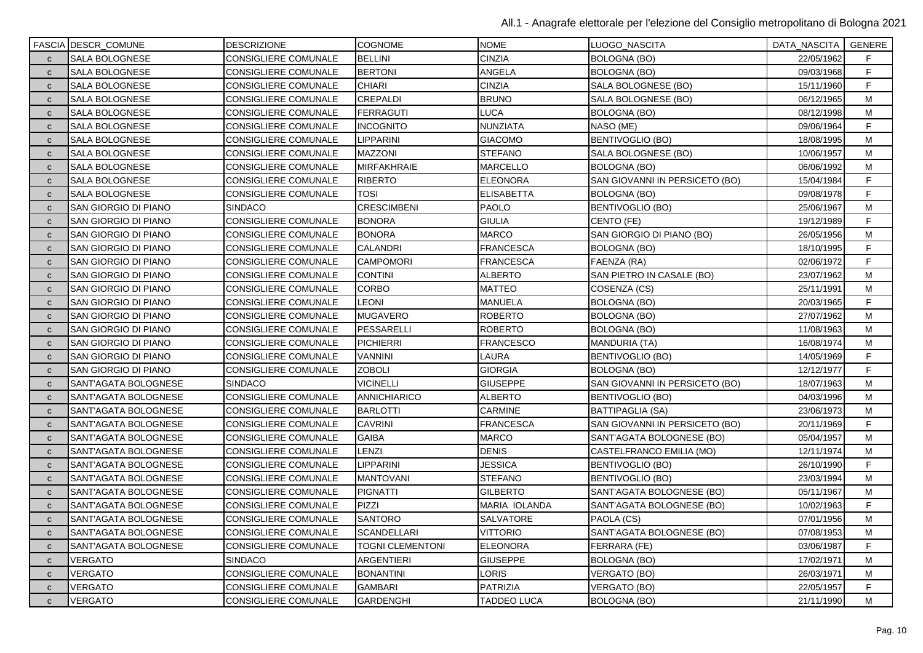|              | <b>FASCIA DESCR_COMUNE</b>  | <b>DESCRIZIONE</b>   | <b>COGNOME</b>          | <b>NOME</b>        | LUOGO_NASCITA                  | DATA_NASCITA   GENERE |    |
|--------------|-----------------------------|----------------------|-------------------------|--------------------|--------------------------------|-----------------------|----|
| $\mathbf{C}$ | <b>SALA BOLOGNESE</b>       | CONSIGLIERE COMUNALE | <b>BELLINI</b>          | <b>CINZIA</b>      | <b>BOLOGNA (BO)</b>            | 22/05/1962            | F. |
| $\mathbf{C}$ | SALA BOLOGNESE              | CONSIGLIERE COMUNALE | <b>BERTONI</b>          | ANGELA             | <b>BOLOGNA (BO)</b>            | 09/03/1968            | F  |
| $\mathbf{C}$ | SALA BOLOGNESE              | CONSIGLIERE COMUNALE | <b>CHIARI</b>           | <b>CINZIA</b>      | SALA BOLOGNESE (BO)            | 15/11/1960            | F  |
| $\mathbf{C}$ | SALA BOLOGNESE              | CONSIGLIERE COMUNALE | <b>CREPALDI</b>         | <b>BRUNO</b>       | SALA BOLOGNESE (BO)            | 06/12/1965            | M  |
| $\mathbf{C}$ | SALA BOLOGNESE              | CONSIGLIERE COMUNALE | <b>FERRAGUTI</b>        | LUCA               | BOLOGNA (BO)                   | 08/12/1998            | M  |
| $\mathbf{C}$ | <b>SALA BOLOGNESE</b>       | CONSIGLIERE COMUNALE | INCOGNITO               | NUNZIATA           | NASO (ME)                      | 09/06/1964            | F  |
| $\mathbf{C}$ | SALA BOLOGNESE              | CONSIGLIERE COMUNALE | <b>LIPPARINI</b>        | <b>GIACOMO</b>     | <b>BENTIVOGLIO (BO)</b>        | 18/08/1995            | м  |
| $\mathbf{C}$ | <b>SALA BOLOGNESE</b>       | CONSIGLIERE COMUNALE | MAZZONI                 | <b>STEFANO</b>     | SALA BOLOGNESE (BO)            | 10/06/1957            | M  |
| $\mathbf{C}$ | <b>SALA BOLOGNESE</b>       | CONSIGLIERE COMUNALE | <b>MIRFAKHRAIE</b>      | <b>MARCELLO</b>    | BOLOGNA (BO)                   | 06/06/1992            | M  |
| $\mathbf{C}$ | SALA BOLOGNESE              | CONSIGLIERE COMUNALE | <b>RIBERTO</b>          | <b>ELEONORA</b>    | SAN GIOVANNI IN PERSICETO (BO) | 15/04/1984            | F  |
| $\mathbf{C}$ | SALA BOLOGNESE              | CONSIGLIERE COMUNALE | TOSI                    | <b>ELISABETTA</b>  | BOLOGNA (BO)                   | 09/08/1978            | F  |
| $\mathbf{C}$ | SAN GIORGIO DI PIANO        | SINDACO              | <b>CRESCIMBENI</b>      | <b>PAOLO</b>       | BENTIVOGLIO (BO)               | 25/06/1967            | М  |
| $\mathbf{C}$ | SAN GIORGIO DI PIANO        | CONSIGLIERE COMUNALE | <b>BONORA</b>           | <b>GIULIA</b>      | CENTO (FE)                     | 19/12/1989            | F  |
| $\mathbf{C}$ | SAN GIORGIO DI PIANO        | CONSIGLIERE COMUNALE | <b>BONORA</b>           | <b>MARCO</b>       | SAN GIORGIO DI PIANO (BO)      | 26/05/1956            | M  |
| $\mathbf{C}$ | SAN GIORGIO DI PIANO        | CONSIGLIERE COMUNALE | <b>CALANDRI</b>         | <b>FRANCESCA</b>   | <b>BOLOGNA (BO)</b>            | 18/10/1995            | F  |
| $\mathbf{C}$ | SAN GIORGIO DI PIANO        | CONSIGLIERE COMUNALE | <b>CAMPOMORI</b>        | <b>FRANCESCA</b>   | FAENZA (RA)                    | 02/06/1972            | F  |
| $\mathbf{C}$ | SAN GIORGIO DI PIANO        | CONSIGLIERE COMUNALE | <b>CONTINI</b>          | <b>ALBERTO</b>     | SAN PIETRO IN CASALE (BO)      | 23/07/1962            | M  |
| $\mathbf{C}$ | <b>SAN GIORGIO DI PIANO</b> | CONSIGLIERE COMUNALE | <b>CORBO</b>            | <b>MATTEO</b>      | COSENZA (CS)                   | 25/11/1991            | M  |
| $\mathbf{C}$ | SAN GIORGIO DI PIANO        | CONSIGLIERE COMUNALE | LEONI                   | <b>MANUELA</b>     | BOLOGNA (BO)                   | 20/03/1965            | F  |
| $\mathbf{C}$ | <b>SAN GIORGIO DI PIANO</b> | CONSIGLIERE COMUNALE | <b>MUGAVERO</b>         | <b>ROBERTO</b>     | <b>BOLOGNA (BO)</b>            | 27/07/1962            | M  |
| $\mathbf{C}$ | SAN GIORGIO DI PIANO        | CONSIGLIERE COMUNALE | PESSARELLI              | <b>ROBERTO</b>     | <b>BOLOGNA (BO)</b>            | 11/08/1963            | M  |
| $\mathbf{C}$ | <b>SAN GIORGIO DI PIANO</b> | CONSIGLIERE COMUNALE | <b>PICHIERRI</b>        | FRANCESCO          | <b>MANDURIA (TA)</b>           | 16/08/1974            | M  |
| $\mathbf{C}$ | SAN GIORGIO DI PIANO        | CONSIGLIERE COMUNALE | <b>VANNINI</b>          | LAURA              | BENTIVOGLIO (BO)               | 14/05/1969            | F  |
| $\mathbf{C}$ | SAN GIORGIO DI PIANO        | CONSIGLIERE COMUNALE | <b>ZOBOLI</b>           | <b>GIORGIA</b>     | <b>BOLOGNA (BO)</b>            | 12/12/1977            | F  |
| $\mathbf{C}$ | SANT'AGATA BOLOGNESE        | <b>SINDACO</b>       | <b>VICINELLI</b>        | <b>GIUSEPPE</b>    | SAN GIOVANNI IN PERSICETO (BO) | 18/07/1963            | M  |
| $\mathbf{C}$ | SANT'AGATA BOLOGNESE        | CONSIGLIERE COMUNALE | <b>ANNICHIARICO</b>     | ALBERTO            | BENTIVOGLIO (BO)               | 04/03/1996            | м  |
| $\mathbf{C}$ | SANT'AGATA BOLOGNESE        | CONSIGLIERE COMUNALE | <b>BARLOTTI</b>         | <b>CARMINE</b>     | <b>BATTIPAGLIA (SA)</b>        | 23/06/1973            | M  |
| $\mathbf{C}$ | SANT'AGATA BOLOGNESE        | CONSIGLIERE COMUNALE | <b>CAVRINI</b>          | <b>FRANCESCA</b>   | SAN GIOVANNI IN PERSICETO (BO) | 20/11/1969            | F  |
| $\mathbf{C}$ | SANT'AGATA BOLOGNESE        | CONSIGLIERE COMUNALE | GAIBA                   | MARCO              | SANT'AGATA BOLOGNESE (BO)      | 05/04/1957            | M  |
| $\mathbf{C}$ | SANT'AGATA BOLOGNESE        | CONSIGLIERE COMUNALE | LENZI                   | <b>DENIS</b>       | CASTELFRANCO EMILIA (MO)       | 12/11/1974            | М  |
| $\mathbf{C}$ | SANT'AGATA BOLOGNESE        | CONSIGLIERE COMUNALE | <b>LIPPARINI</b>        | JESSICA            | <b>BENTIVOGLIO (BO)</b>        | 26/10/1990            | F  |
| $\mathbf{C}$ | SANT'AGATA BOLOGNESE        | CONSIGLIERE COMUNALE | <b>MANTOVANI</b>        | <b>STEFANO</b>     | BENTIVOGLIO (BO)               | 23/03/1994            | M  |
| $\mathbf{C}$ | SANT'AGATA BOLOGNESE        | CONSIGLIERE COMUNALE | <b>PIGNATTI</b>         | <b>GILBERTO</b>    | SANT'AGATA BOLOGNESE (BO)      | 05/11/1967            | M  |
| $\mathsf{C}$ | SANT'AGATA BOLOGNESE        | CONSIGLIERE COMUNALE | PIZZI                   | MARIA IOLANDA      | SANT'AGATA BOLOGNESE (BO)      | 10/02/1963            | F  |
| $\mathbf{C}$ | SANT'AGATA BOLOGNESE        | CONSIGLIERE COMUNALE | <b>SANTORO</b>          | SALVATORE          | PAOLA (CS)                     | 07/01/1956            | м  |
| $\mathbf{C}$ | SANT'AGATA BOLOGNESE        | CONSIGLIERE COMUNALE | <b>SCANDELLARI</b>      | <b>VITTORIO</b>    | SANT'AGATA BOLOGNESE (BO)      | 07/08/1953            | M  |
| $\mathbf{C}$ | SANT'AGATA BOLOGNESE        | CONSIGLIERE COMUNALE | <b>TOGNI CLEMENTONI</b> | <b>ELEONORA</b>    | FERRARA (FE)                   | 03/06/1987            | F  |
| $\mathbf{C}$ | VERGATO                     | <b>SINDACO</b>       | ARGENTIERI              | <b>GIUSEPPE</b>    | <b>BOLOGNA (BO)</b>            | 17/02/1971            | M  |
| $\mathbf{C}$ | VERGATO                     | CONSIGLIERE COMUNALE | <b>BONANTINI</b>        | LORIS              | VERGATO (BO)                   | 26/03/1971            | М  |
| $\mathbf{C}$ | VERGATO                     | CONSIGLIERE COMUNALE | <b>GAMBARI</b>          | PATRIZIA           | VERGATO (BO)                   | 22/05/1957            | F  |
| $\mathbf{C}$ | <b>VERGATO</b>              | CONSIGLIERE COMUNALE | <b>GARDENGHI</b>        | <b>TADDEO LUCA</b> | BOLOGNA (BO)                   | 21/11/1990            | M  |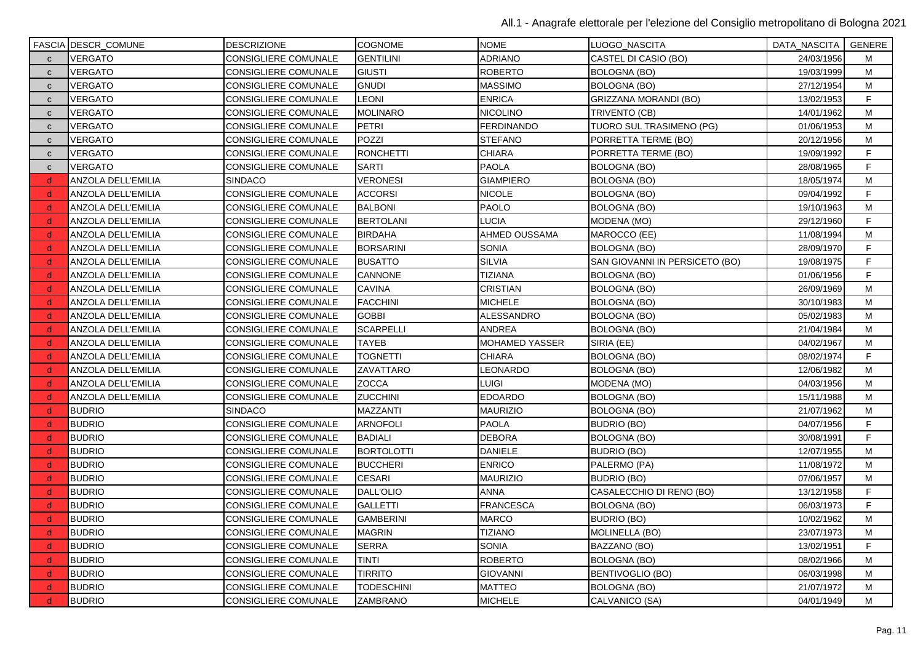|              | <b>FASCIA DESCR_COMUNE</b> | <b>DESCRIZIONE</b>          | <b>COGNOME</b>    | <b>NOME</b>       | LUOGO NASCITA                  | DATA_NASCITA   GENERE |    |
|--------------|----------------------------|-----------------------------|-------------------|-------------------|--------------------------------|-----------------------|----|
| $\mathbf{C}$ | <b>VERGATO</b>             | CONSIGLIERE COMUNALE        | <b>GENTILINI</b>  | <b>ADRIANO</b>    | CASTEL DI CASIO (BO)           | 24/03/1956            | м  |
| $\mathbf{C}$ | VERGATO                    | <b>CONSIGLIERE COMUNALE</b> | <b>GIUSTI</b>     | <b>ROBERTO</b>    | <b>BOLOGNA (BO)</b>            | 19/03/1999            | M  |
| $\mathbf{C}$ | VERGATO                    | CONSIGLIERE COMUNALE        | <b>GNUDI</b>      | <b>MASSIMO</b>    | <b>BOLOGNA (BO)</b>            | 27/12/1954            | М  |
| $\mathbf{C}$ | <b>VERGATO</b>             | <b>CONSIGLIERE COMUNALE</b> | <b>LEONI</b>      | <b>ENRICA</b>     | GRIZZANA MORANDI (BO)          | 13/02/1953            | F  |
| $\mathbf{C}$ | <b>VERGATO</b>             | CONSIGLIERE COMUNALE        | <b>MOLINARO</b>   | <b>NICOLINO</b>   | TRIVENTO (CB)                  | 14/01/1962            | M  |
| $\mathbf{C}$ | VERGATO                    | <b>CONSIGLIERE COMUNALE</b> | <b>PETRI</b>      | <b>FERDINANDO</b> | TUORO SUL TRASIMENO (PG)       | 01/06/1953            | M  |
| $\mathbf{C}$ | VERGATO                    | CONSIGLIERE COMUNALE        | POZZI             | <b>STEFANO</b>    | PORRETTA TERME (BO)            | 20/12/1956            | M  |
| $\mathbf{C}$ | <b>VERGATO</b>             | CONSIGLIERE COMUNALE        | <b>RONCHETTI</b>  | <b>CHIARA</b>     | PORRETTA TERME (BO)            | 19/09/1992            | F  |
| $\mathbf{C}$ | <b>VERGATO</b>             | CONSIGLIERE COMUNALE        | <b>SARTI</b>      | <b>PAOLA</b>      | <b>BOLOGNA (BO)</b>            | 28/08/1965            | F. |
| d            | ANZOLA DELL'EMILIA         | <b>SINDACO</b>              | <b>VERONESI</b>   | <b>GIAMPIERO</b>  | <b>BOLOGNA (BO)</b>            | 18/05/1974            | M  |
| d            | ANZOLA DELL'EMILIA         | <b>CONSIGLIERE COMUNALE</b> | <b>ACCORSI</b>    | <b>NICOLE</b>     | <b>BOLOGNA (BO)</b>            | 09/04/1992            | F  |
| d            | ANZOLA DELL'EMILIA         | CONSIGLIERE COMUNALE        | <b>BALBONI</b>    | <b>PAOLO</b>      | BOLOGNA (BO)                   | 19/10/1963            | M  |
| <sub>d</sub> | ANZOLA DELL'EMILIA         | CONSIGLIERE COMUNALE        | <b>BERTOLANI</b>  | <b>LUCIA</b>      | MODENA (MO)                    | 29/12/1960            | F  |
| d            | ANZOLA DELL'EMILIA         | <b>CONSIGLIERE COMUNALE</b> | <b>BIRDAHA</b>    | AHMED OUSSAMA     | MAROCCO (EE)                   | 11/08/1994            | M  |
| <sub>d</sub> | ANZOLA DELL'EMILIA         | <b>CONSIGLIERE COMUNALE</b> | <b>BORSARINI</b>  | <b>SONIA</b>      | <b>BOLOGNA (BO)</b>            | 28/09/1970            | F  |
| d            | ANZOLA DELL'EMILIA         | CONSIGLIERE COMUNALE        | <b>BUSATTO</b>    | <b>SILVIA</b>     | SAN GIOVANNI IN PERSICETO (BO) | 19/08/1975            | F. |
| -d           | ANZOLA DELL'EMILIA         | <b>CONSIGLIERE COMUNALE</b> | CANNONE           | <b>TIZIANA</b>    | BOLOGNA (BO)                   | 01/06/1956            | F  |
| <sub>d</sub> | ANZOLA DELL'EMILIA         | <b>CONSIGLIERE COMUNALE</b> | <b>CAVINA</b>     | <b>CRISTIAN</b>   | <b>BOLOGNA (BO)</b>            | 26/09/1969            | M  |
| <sub>d</sub> | ANZOLA DELL'EMILIA         | <b>CONSIGLIERE COMUNALE</b> | <b>FACCHINI</b>   | <b>MICHELE</b>    | <b>BOLOGNA (BO)</b>            | 30/10/1983            | M  |
| d            | ANZOLA DELL'EMILIA         | <b>CONSIGLIERE COMUNALE</b> | <b>GOBBI</b>      | <b>ALESSANDRO</b> | <b>BOLOGNA (BO)</b>            | 05/02/1983            | M  |
| d            | ANZOLA DELL'EMILIA         | <b>CONSIGLIERE COMUNALE</b> | <b>SCARPELLI</b>  | <b>ANDREA</b>     | <b>BOLOGNA (BO)</b>            | 21/04/1984            | M  |
| <sub>d</sub> | ANZOLA DELL'EMILIA         | CONSIGLIERE COMUNALE        | <b>TAYEB</b>      | MOHAMED YASSER    | SIRIA (EE)                     | 04/02/1967            | M  |
| <sub>d</sub> | ANZOLA DELL'EMILIA         | <b>CONSIGLIERE COMUNALE</b> | <b>TOGNETTI</b>   | <b>CHIARA</b>     | <b>BOLOGNA (BO)</b>            | 08/02/1974            | F  |
| d            | ANZOLA DELL'EMILIA         | CONSIGLIERE COMUNALE        | ZAVATTARO         | LEONARDO          | <b>BOLOGNA (BO)</b>            | 12/06/1982            | M  |
| d            | ANZOLA DELL'EMILIA         | <b>CONSIGLIERE COMUNALE</b> | ZOCCA             | <b>LUIGI</b>      | MODENA (MO)                    | 04/03/1956            | М  |
| d            | ANZOLA DELL'EMILIA         | <b>CONSIGLIERE COMUNALE</b> | <b>ZUCCHINI</b>   | <b>EDOARDO</b>    | <b>BOLOGNA (BO)</b>            | 15/11/1988            | M  |
| <sub>d</sub> | <b>BUDRIO</b>              | <b>SINDACO</b>              | MAZZANTI          | <b>MAURIZIO</b>   | <b>BOLOGNA (BO)</b>            | 21/07/1962            | M  |
| d            | <b>BUDRIO</b>              | CONSIGLIERE COMUNALE        | <b>ARNOFOLI</b>   | <b>PAOLA</b>      | <b>BUDRIO (BO)</b>             | 04/07/1956            | F. |
| <sub>d</sub> | <b>BUDRIO</b>              | <b>CONSIGLIERE COMUNALE</b> | <b>BADIALI</b>    | <b>DEBORA</b>     | <b>BOLOGNA (BO)</b>            | 30/08/1991            | F  |
| <sub>d</sub> | <b>BUDRIO</b>              | <b>CONSIGLIERE COMUNALE</b> | <b>BORTOLOTTI</b> | <b>DANIELE</b>    | <b>BUDRIO (BO)</b>             | 12/07/1955            | M  |
| d,           | <b>BUDRIO</b>              | CONSIGLIERE COMUNALE        | <b>BUCCHERI</b>   | <b>ENRICO</b>     | PALERMO (PA)                   | 11/08/1972            | M  |
| <sub>d</sub> | <b>BUDRIO</b>              | CONSIGLIERE COMUNALE        | <b>CESARI</b>     | <b>MAURIZIO</b>   | <b>BUDRIO (BO)</b>             | 07/06/1957            | M  |
| d.           | <b>BUDRIO</b>              | <b>CONSIGLIERE COMUNALE</b> | DALL'OLIO         | <b>ANNA</b>       | CASALECCHIO DI RENO (BO)       | 13/12/1958            | F  |
| d            | <b>BUDRIO</b>              | <b>CONSIGLIERE COMUNALE</b> | <b>GALLETTI</b>   | <b>FRANCESCA</b>  | <b>BOLOGNA (BO)</b>            | 06/03/1973            | F. |
| <sub>d</sub> | <b>BUDRIO</b>              | <b>CONSIGLIERE COMUNALE</b> | <b>GAMBERINI</b>  | <b>MARCO</b>      | <b>BUDRIO (BO)</b>             | 10/02/1962            | М  |
| d.           | <b>BUDRIO</b>              | <b>CONSIGLIERE COMUNALE</b> | <b>MAGRIN</b>     | <b>TIZIANO</b>    | <b>MOLINELLA (BO)</b>          | 23/07/1973            | M  |
| d            | <b>BUDRIO</b>              | <b>CONSIGLIERE COMUNALE</b> | <b>SERRA</b>      | <b>SONIA</b>      | BAZZANO (BO)                   | 13/02/1951            | F  |
| d            | <b>BUDRIO</b>              | <b>CONSIGLIERE COMUNALE</b> | TINTI             | <b>ROBERTO</b>    | <b>BOLOGNA (BO)</b>            | 08/02/1966            | M  |
| d            | <b>BUDRIO</b>              | CONSIGLIERE COMUNALE        | TIRRITO           | <b>GIOVANNI</b>   | BENTIVOGLIO (BO)               | 06/03/1998            | М  |
| -d           | <b>BUDRIO</b>              | <b>CONSIGLIERE COMUNALE</b> | <b>TODESCHINI</b> | <b>MATTEO</b>     | <b>BOLOGNA (BO)</b>            | 21/07/1972            | M  |
| d            | <b>BUDRIO</b>              | CONSIGLIERE COMUNALE        | <b>ZAMBRANO</b>   | <b>MICHELE</b>    | CALVANICO (SA)                 | 04/01/1949            | M  |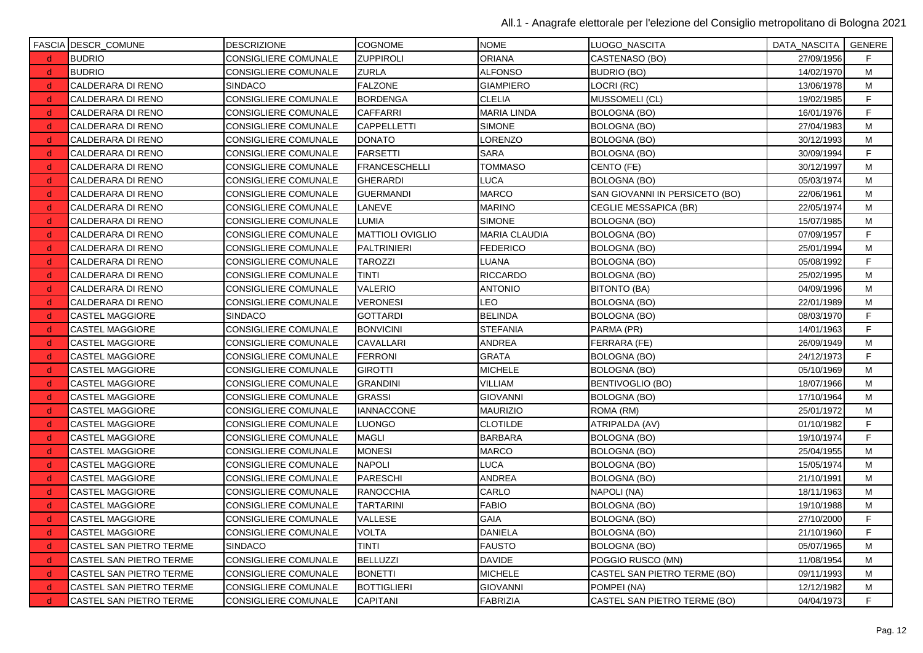|              | <b>FASCIA DESCR_COMUNE</b> | <b>DESCRIZIONE</b>          | <b>COGNOME</b>          | <b>NOME</b>          | LUOGO_NASCITA                  | DATA_NASCITA   GENERE |    |
|--------------|----------------------------|-----------------------------|-------------------------|----------------------|--------------------------------|-----------------------|----|
| $\mathbf d$  | <b>BUDRIO</b>              | CONSIGLIERE COMUNALE        | <b>ZUPPIROLI</b>        | <b>ORIANA</b>        | CASTENASO (BO)                 | 27/09/1956            | F. |
| d.           | <b>BUDRIO</b>              | <b>CONSIGLIERE COMUNALE</b> | ZURLA                   | <b>ALFONSO</b>       | <b>BUDRIO (BO)</b>             | 14/02/1970            | М  |
| -d           | CALDERARA DI RENO          | <b>SINDACO</b>              | <b>FALZONE</b>          | <b>GIAMPIERO</b>     | LOCRI (RC)                     | 13/06/1978            | М  |
| d.           | CALDERARA DI RENO          | CONSIGLIERE COMUNALE        | <b>BORDENGA</b>         | <b>CLELIA</b>        | MUSSOMELI (CL)                 | 19/02/1985            | F  |
| d.           | CALDERARA DI RENO          | CONSIGLIERE COMUNALE        | <b>CAFFARRI</b>         | <b>MARIA LINDA</b>   | <b>BOLOGNA (BO)</b>            | 16/01/1976            | F  |
| -d           | CALDERARA DI RENO          | <b>CONSIGLIERE COMUNALE</b> | <b>CAPPELLETTI</b>      | <b>SIMONE</b>        | BOLOGNA (BO)                   | 27/04/1983            | M  |
| <sub>d</sub> | CALDERARA DI RENO          | CONSIGLIERE COMUNALE        | <b>DONATO</b>           | LORENZO              | <b>BOLOGNA (BO)</b>            | 30/12/1993            | M  |
| -d           | CALDERARA DI RENO          | CONSIGLIERE COMUNALE        | <b>FARSETTI</b>         | <b>SARA</b>          | BOLOGNA (BO)                   | 30/09/1994            | F  |
| d.           | CALDERARA DI RENO          | CONSIGLIERE COMUNALE        | <b>FRANCESCHELLI</b>    | <b>TOMMASO</b>       | CENTO (FE)                     | 30/12/1997            | M  |
| <sub>d</sub> | CALDERARA DI RENO          | <b>CONSIGLIERE COMUNALE</b> | <b>GHERARDI</b>         | LUCA                 | BOLOGNA (BO)                   | 05/03/1974            | M  |
| d.           | CALDERARA DI RENO          | CONSIGLIERE COMUNALE        | <b>GUERMANDI</b>        | <b>MARCO</b>         | SAN GIOVANNI IN PERSICETO (BO) | 22/06/1961            | M  |
| <sub>d</sub> | CALDERARA DI RENO          | CONSIGLIERE COMUNALE        | LANEVE                  | <b>MARINO</b>        | <b>CEGLIE MESSAPICA (BR)</b>   | 22/05/1974            | M  |
| d.           | CALDERARA DI RENO          | <b>CONSIGLIERE COMUNALE</b> | LUMIA                   | <b>SIMONE</b>        | <b>BOLOGNA (BO)</b>            | 15/07/1985            | M  |
| $\mathsf{d}$ | CALDERARA DI RENO          | <b>CONSIGLIERE COMUNALE</b> | <b>MATTIOLI OVIGLIO</b> | <b>MARIA CLAUDIA</b> | BOLOGNA (BO)                   | 07/09/1957            | F  |
| d.           | CALDERARA DI RENO          | CONSIGLIERE COMUNALE        | <b>PALTRINIERI</b>      | <b>FEDERICO</b>      | <b>BOLOGNA (BO)</b>            | 25/01/1994            | M  |
| d.           | CALDERARA DI RENO          | CONSIGLIERE COMUNALE        | <b>TAROZZI</b>          | <b>LUANA</b>         | BOLOGNA (BO)                   | 05/08/1992            | F. |
| -d           | CALDERARA DI RENO          | CONSIGLIERE COMUNALE        | <b>TINTI</b>            | <b>RICCARDO</b>      | <b>BOLOGNA (BO)</b>            | 25/02/1995            | М  |
| d.           | CALDERARA DI RENO          | <b>CONSIGLIERE COMUNALE</b> | <b>VALERIO</b>          | <b>ANTONIO</b>       | <b>BITONTO (BA)</b>            | 04/09/1996            | M  |
| d.           | CALDERARA DI RENO          | <b>CONSIGLIERE COMUNALE</b> | <b>VERONESI</b>         | <b>LEO</b>           | BOLOGNA (BO)                   | 22/01/1989            | М  |
| $\mathsf{d}$ | <b>CASTEL MAGGIORE</b>     | <b>SINDACO</b>              | <b>GOTTARDI</b>         | <b>BELINDA</b>       | BOLOGNA (BO)                   | 08/03/1970            | F  |
| -d           | <b>CASTEL MAGGIORE</b>     | CONSIGLIERE COMUNALE        | <b>BONVICINI</b>        | <b>STEFANIA</b>      | PARMA (PR)                     | 14/01/1963            | F. |
| d.           | CASTEL MAGGIORE            | CONSIGLIERE COMUNALE        | CAVALLARI               | ANDREA               | FERRARA (FE)                   | 26/09/1949            | M  |
| <sub>d</sub> | <b>CASTEL MAGGIORE</b>     | <b>CONSIGLIERE COMUNALE</b> | <b>FERRONI</b>          | <b>GRATA</b>         | <b>BOLOGNA (BO)</b>            | 24/12/1973            | F  |
| -d           | CASTEL MAGGIORE            | CONSIGLIERE COMUNALE        | <b>GIROTTI</b>          | <b>MICHELE</b>       | <b>BOLOGNA (BO)</b>            | 05/10/1969            | M  |
| <sub>d</sub> | CASTEL MAGGIORE            | CONSIGLIERE COMUNALE        | <b>GRANDINI</b>         | VILLIAM              | BENTIVOGLIO (BO)               | 18/07/1966            | м  |
| -d           | <b>CASTEL MAGGIORE</b>     | CONSIGLIERE COMUNALE        | <b>GRASSI</b>           | <b>GIOVANNI</b>      | BOLOGNA (BO)                   | 17/10/1964            | M  |
| d.           | <b>CASTEL MAGGIORE</b>     | <b>CONSIGLIERE COMUNALE</b> | <b>IANNACCONE</b>       | <b>MAURIZIO</b>      | ROMA (RM)                      | 25/01/1972            | M  |
| d.           | CASTEL MAGGIORE            | CONSIGLIERE COMUNALE        | LUONGO                  | <b>CLOTILDE</b>      | ATRIPALDA (AV)                 | 01/10/1982            | F  |
| $\mathsf{d}$ | <b>CASTEL MAGGIORE</b>     | <b>CONSIGLIERE COMUNALE</b> | <b>MAGLI</b>            | <b>BARBARA</b>       | BOLOGNA (BO)                   | 19/10/1974            | F  |
| <sub>d</sub> | <b>CASTEL MAGGIORE</b>     | CONSIGLIERE COMUNALE        | MONESI                  | <b>MARCO</b>         | <b>BOLOGNA (BO)</b>            | 25/04/1955            | м  |
| d.           | CASTEL MAGGIORE            | CONSIGLIERE COMUNALE        | NAPOLI                  | <b>LUCA</b>          | <b>BOLOGNA (BO)</b>            | 15/05/1974            | M  |
| <sub>d</sub> | CASTEL MAGGIORE            | CONSIGLIERE COMUNALE        | <b>PARESCHI</b>         | <b>ANDREA</b>        | <b>BOLOGNA (BO)</b>            | 21/10/1991            | M  |
| -d           | <b>CASTEL MAGGIORE</b>     | CONSIGLIERE COMUNALE        | <b>RANOCCHIA</b>        | CARLO                | NAPOLI (NA)                    | 18/11/1963            | M  |
| d.           | <b>CASTEL MAGGIORE</b>     | CONSIGLIERE COMUNALE        | <b>TARTARINI</b>        | <b>FABIO</b>         | BOLOGNA (BO)                   | 19/10/1988            | м  |
| -d           | <b>CASTEL MAGGIORE</b>     | CONSIGLIERE COMUNALE        | VALLESE                 | <b>GAIA</b>          | BOLOGNA (BO)                   | 27/10/2000            | F  |
| d.           | <b>CASTEL MAGGIORE</b>     | <b>CONSIGLIERE COMUNALE</b> | <b>VOLTA</b>            | <b>DANIELA</b>       | <b>BOLOGNA (BO)</b>            | 21/10/1960            | F. |
| d.           | CASTEL SAN PIETRO TERME    | <b>SINDACO</b>              | <b>TINTI</b>            | <b>FAUSTO</b>        | <b>BOLOGNA (BO)</b>            | 05/07/1965            | M  |
| $\mathsf{d}$ | CASTEL SAN PIETRO TERME    | <b>CONSIGLIERE COMUNALE</b> | <b>BELLUZZI</b>         | <b>DAVIDE</b>        | POGGIO RUSCO (MN)              | 11/08/1954            | M  |
| -d           | CASTEL SAN PIETRO TERME    | <b>CONSIGLIERE COMUNALE</b> | <b>BONETTI</b>          | <b>MICHELE</b>       | CASTEL SAN PIETRO TERME (BO)   | 09/11/1993            | M  |
| ∣d.          | CASTEL SAN PIETRO TERME    | <b>CONSIGLIERE COMUNALE</b> | <b>BOTTIGLIERI</b>      | <b>GIOVANNI</b>      | POMPEI (NA)                    | 12/12/1982            | M  |
| d.           | CASTEL SAN PIETRO TERME    | <b>CONSIGLIERE COMUNALE</b> | <b>CAPITANI</b>         | <b>FABRIZIA</b>      | CASTEL SAN PIETRO TERME (BO)   | 04/04/1973            | F  |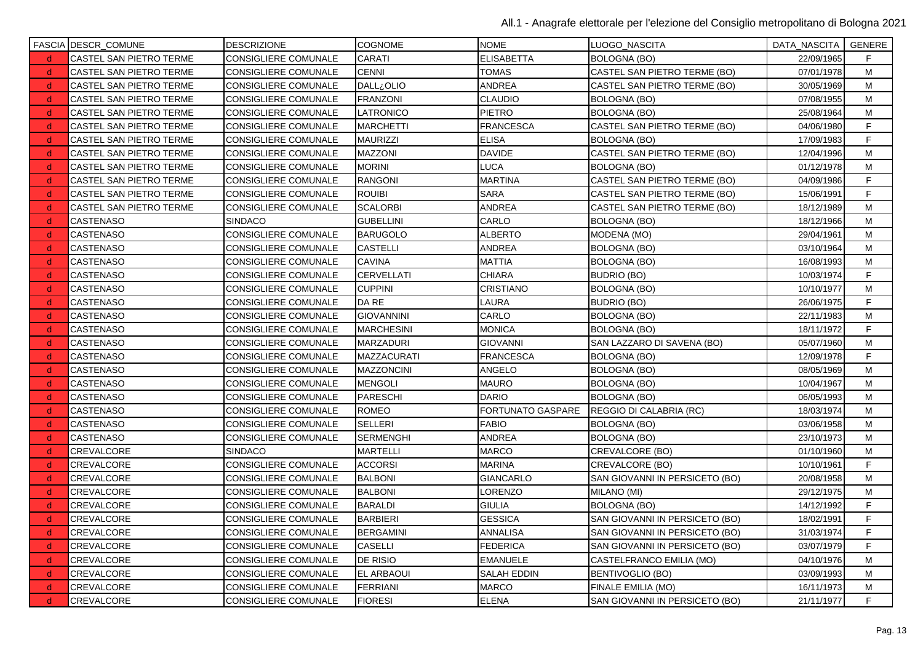|              | <b>FASCIA DESCR_COMUNE</b>     | <b>DESCRIZIONE</b>          | <b>COGNOME</b>    | <b>NOME</b>        | LUOGO NASCITA                  | DATA_NASCITA   GENERE |    |
|--------------|--------------------------------|-----------------------------|-------------------|--------------------|--------------------------------|-----------------------|----|
| d            | CASTEL SAN PIETRO TERME        | CONSIGLIERE COMUNALE        | CARATI            | <b>ELISABETTA</b>  | <b>BOLOGNA (BO)</b>            | 22/09/1965            | F. |
| d            | <b>CASTEL SAN PIETRO TERME</b> | <b>CONSIGLIERE COMUNALE</b> | <b>CENNI</b>      | <b>TOMAS</b>       | CASTEL SAN PIETRO TERME (BO)   | 07/01/1978            | M  |
| d            | CASTEL SAN PIETRO TERME        | CONSIGLIERE COMUNALE        | <b>DALL</b> ¿OLIO | <b>ANDREA</b>      | CASTEL SAN PIETRO TERME (BO)   | 30/05/1969            | М  |
| -d           | <b>CASTEL SAN PIETRO TERME</b> | <b>CONSIGLIERE COMUNALE</b> | <b>FRANZONI</b>   | <b>CLAUDIO</b>     | <b>BOLOGNA (BO)</b>            | 07/08/1955            | M  |
| d            | <b>CASTEL SAN PIETRO TERME</b> | <b>CONSIGLIERE COMUNALE</b> | LATRONICO         | <b>PIETRO</b>      | <b>BOLOGNA (BO)</b>            | 25/08/1964            | M  |
| d.           | <b>CASTEL SAN PIETRO TERME</b> | <b>CONSIGLIERE COMUNALE</b> | <b>MARCHETTI</b>  | <b>FRANCESCA</b>   | CASTEL SAN PIETRO TERME (BO)   | 04/06/1980            | F  |
| <sub>d</sub> | CASTEL SAN PIETRO TERME        | <b>CONSIGLIERE COMUNALE</b> | MAURIZZI          | <b>ELISA</b>       | <b>BOLOGNA (BO)</b>            | 17/09/1983            | F  |
| -d           | <b>CASTEL SAN PIETRO TERME</b> | <b>CONSIGLIERE COMUNALE</b> | <b>MAZZONI</b>    | <b>DAVIDE</b>      | CASTEL SAN PIETRO TERME (BO)   | 12/04/1996            | м  |
| <sub>d</sub> | CASTEL SAN PIETRO TERME        | CONSIGLIERE COMUNALE        | <b>MORINI</b>     | <b>LUCA</b>        | <b>BOLOGNA (BO)</b>            | 01/12/1978            | M  |
| d            | CASTEL SAN PIETRO TERME        | <b>CONSIGLIERE COMUNALE</b> | <b>RANGONI</b>    | <b>MARTINA</b>     | CASTEL SAN PIETRO TERME (BO)   | 04/09/1986            | F  |
| <sub>d</sub> | CASTEL SAN PIETRO TERME        | <b>CONSIGLIERE COMUNALE</b> | <b>ROUIBI</b>     | <b>SARA</b>        | CASTEL SAN PIETRO TERME (BO)   | 15/06/1991            | F  |
| <sub>d</sub> | <b>CASTEL SAN PIETRO TERME</b> | <b>CONSIGLIERE COMUNALE</b> | <b>SCALORBI</b>   | <b>ANDREA</b>      | CASTEL SAN PIETRO TERME (BO)   | 18/12/1989            | м  |
| -d           | <b>CASTENASO</b>               | <b>SINDACO</b>              | <b>GUBELLINI</b>  | CARLO              | BOLOGNA (BO)                   | 18/12/1966            | M  |
| d            | <b>CASTENASO</b>               | <b>CONSIGLIERE COMUNALE</b> | BARUGOLO          | <b>ALBERTO</b>     | MODENA (MO)                    | 29/04/1961            | M  |
| <sub>d</sub> | <b>CASTENASO</b>               | CONSIGLIERE COMUNALE        | <b>CASTELLI</b>   | <b>ANDREA</b>      | <b>BOLOGNA (BO)</b>            | 03/10/1964            | M  |
| d            | CASTENASO                      | <b>CONSIGLIERE COMUNALE</b> | <b>CAVINA</b>     | <b>MATTIA</b>      | <b>BOLOGNA (BO)</b>            | 16/08/1993            | м  |
| -d           | <b>CASTENASO</b>               | <b>CONSIGLIERE COMUNALE</b> | <b>CERVELLATI</b> | <b>CHIARA</b>      | <b>BUDRIO (BO)</b>             | 10/03/1974            | F  |
| d.           | <b>CASTENASO</b>               | <b>CONSIGLIERE COMUNALE</b> | <b>CUPPINI</b>    | <b>CRISTIANO</b>   | <b>BOLOGNA (BO)</b>            | 10/10/1977            | M  |
| d            | <b>CASTENASO</b>               | CONSIGLIERE COMUNALE        | DA RE             | <b>LAURA</b>       | <b>BUDRIO (BO)</b>             | 26/06/1975            | F  |
| d            | <b>CASTENASO</b>               | <b>CONSIGLIERE COMUNALE</b> | <b>GIOVANNINI</b> | <b>CARLO</b>       | <b>BOLOGNA (BO)</b>            | 22/11/1983            | M  |
| <sub>d</sub> | <b>CASTENASO</b>               | <b>CONSIGLIERE COMUNALE</b> | <b>MARCHESINI</b> | <b>MONICA</b>      | <b>BOLOGNA (BO)</b>            | 18/11/1972            | F. |
| -d           | <b>CASTENASO</b>               | <b>CONSIGLIERE COMUNALE</b> | <b>MARZADURI</b>  | <b>GIOVANNI</b>    | SAN LAZZARO DI SAVENA (BO)     | 05/07/1960            | M  |
| d            | <b>CASTENASO</b>               | <b>CONSIGLIERE COMUNALE</b> | MAZZACURATI       | <b>FRANCESCA</b>   | <b>BOLOGNA (BO)</b>            | 12/09/1978            | F  |
| d            | <b>CASTENASO</b>               | <b>CONSIGLIERE COMUNALE</b> | <b>MAZZONCINI</b> | ANGELO             | <b>BOLOGNA (BO)</b>            | 08/05/1969            | M  |
| <sub>d</sub> | <b>CASTENASO</b>               | <b>CONSIGLIERE COMUNALE</b> | <b>MENGOLI</b>    | <b>MAURO</b>       | <b>BOLOGNA (BO)</b>            | 10/04/1967            | M  |
| -d           | <b>CASTENASO</b>               | <b>CONSIGLIERE COMUNALE</b> | PARESCHI          | <b>DARIO</b>       | <b>BOLOGNA (BO)</b>            | 06/05/1993            | M  |
| <sub>d</sub> | <b>CASTENASO</b>               | CONSIGLIERE COMUNALE        | <b>ROMEO</b>      | FORTUNATO GASPARE  | REGGIO DI CALABRIA (RC)        | 18/03/1974            | M  |
| d            | <b>CASTENASO</b>               | <b>CONSIGLIERE COMUNALE</b> | <b>SELLERI</b>    | <b>FABIO</b>       | <b>BOLOGNA (BO)</b>            | 03/06/1958            | M  |
| d            | <b>CASTENASO</b>               | CONSIGLIERE COMUNALE        | <b>SERMENGHI</b>  | <b>ANDREA</b>      | <b>BOLOGNA (BO)</b>            | 23/10/1973            | M  |
| <sub>d</sub> | CREVALCORE                     | <b>SINDACO</b>              | <b>MARTELLI</b>   | <b>MARCO</b>       | CREVALCORE (BO)                | 01/10/1960            | М  |
| -d           | CREVALCORE                     | CONSIGLIERE COMUNALE        | <b>ACCORSI</b>    | <b>MARINA</b>      | CREVALCORE (BO)                | 10/10/1961            | F. |
| d            | <b>CREVALCORE</b>              | <b>CONSIGLIERE COMUNALE</b> | <b>BALBONI</b>    | <b>GIANCARLO</b>   | SAN GIOVANNI IN PERSICETO (BO) | 20/08/1958            | M  |
| <sub>d</sub> | CREVALCORE                     | CONSIGLIERE COMUNALE        | <b>BALBONI</b>    | LORENZO            | MILANO (MI)                    | 29/12/1975            | M  |
| d            | <b>CREVALCORE</b>              | <b>CONSIGLIERE COMUNALE</b> | <b>BARALDI</b>    | <b>GIULIA</b>      | <b>BOLOGNA (BO)</b>            | 14/12/1992            | F  |
| -d           | CREVALCORE                     | <b>CONSIGLIERE COMUNALE</b> | <b>BARBIERI</b>   | <b>GESSICA</b>     | SAN GIOVANNI IN PERSICETO (BO) | 18/02/1991            | F  |
| <sub>d</sub> | CREVALCORE                     | <b>CONSIGLIERE COMUNALE</b> | <b>BERGAMINI</b>  | <b>ANNALISA</b>    | SAN GIOVANNI IN PERSICETO (BO) | 31/03/1974            | F  |
| d            | CREVALCORE                     | CONSIGLIERE COMUNALE        | <b>CASELLI</b>    | <b>FEDERICA</b>    | SAN GIOVANNI IN PERSICETO (BO) | 03/07/1979            | F. |
| -d           | CREVALCORE                     | <b>CONSIGLIERE COMUNALE</b> | <b>DE RISIO</b>   | <b>EMANUELE</b>    | CASTELFRANCO EMILIA (MO)       | 04/10/1976            | M  |
| <sub>d</sub> | CREVALCORE                     | <b>CONSIGLIERE COMUNALE</b> | <b>EL ARBAOUI</b> | <b>SALAH EDDIN</b> | BENTIVOGLIO (BO)               | 03/09/1993            | м  |
| d            | <b>CREVALCORE</b>              | <b>CONSIGLIERE COMUNALE</b> | <b>FERRIANI</b>   | <b>MARCO</b>       | FINALE EMILIA (MO)             | 16/11/1973            | M  |
| <sub>d</sub> | CREVALCORE                     | <b>CONSIGLIERE COMUNALE</b> | <b>FIORESI</b>    | <b>ELENA</b>       | SAN GIOVANNI IN PERSICETO (BO) | 21/11/1977            | F  |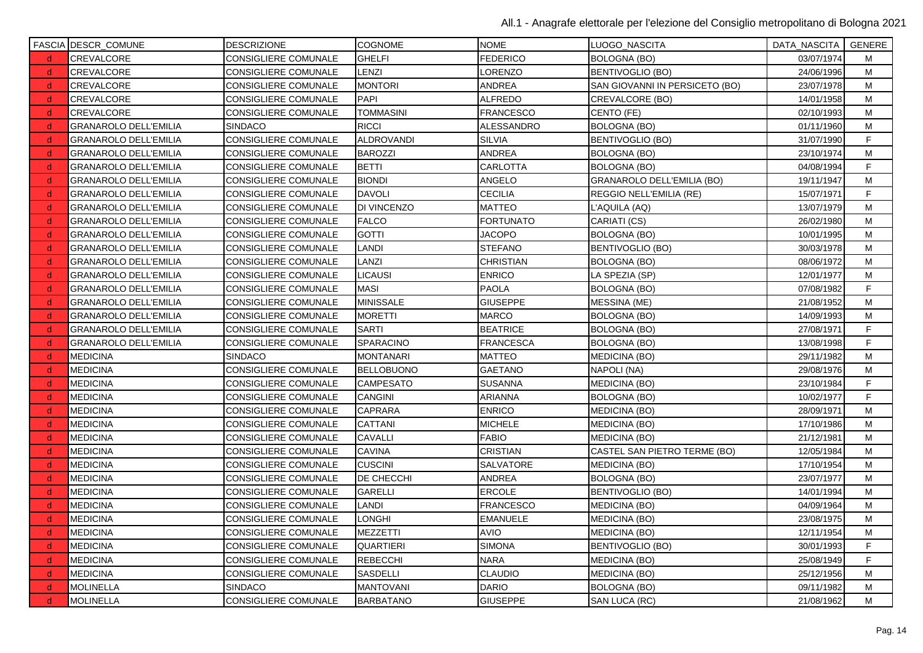|              | <b>FASCIA DESCR_COMUNE</b>   | <b>DESCRIZIONE</b>          | <b>COGNOME</b>    | <b>NOME</b>      | LUOGO_NASCITA                  | DATA_NASCITA   GENERE |    |
|--------------|------------------------------|-----------------------------|-------------------|------------------|--------------------------------|-----------------------|----|
| $\mathsf{d}$ | CREVALCORE                   | CONSIGLIERE COMUNALE        | <b>GHELFI</b>     | <b>FEDERICO</b>  | <b>BOLOGNA (BO)</b>            | 03/07/1974            | м  |
| d            | CREVALCORE                   | <b>CONSIGLIERE COMUNALE</b> | LENZI             | LORENZO          | <b>BENTIVOGLIO (BO)</b>        | 24/06/1996            | M  |
| <sub>d</sub> | CREVALCORE                   | CONSIGLIERE COMUNALE        | <b>MONTORI</b>    | ANDREA           | SAN GIOVANNI IN PERSICETO (BO) | 23/07/1978            | M  |
| -d           | CREVALCORE                   | <b>CONSIGLIERE COMUNALE</b> | <b>PAPI</b>       | <b>ALFREDO</b>   | CREVALCORE (BO)                | 14/01/1958            | M  |
| <sub>d</sub> | CREVALCORE                   | CONSIGLIERE COMUNALE        | <b>TOMMASINI</b>  | <b>FRANCESCO</b> | CENTO (FE)                     | 02/10/1993            | M  |
| d            | <b>GRANAROLO DELL'EMILIA</b> | <b>SINDACO</b>              | <b>RICCI</b>      | ALESSANDRO       | <b>BOLOGNA (BO)</b>            | 01/11/1960            | M  |
| d            | <b>GRANAROLO DELL'EMILIA</b> | <b>CONSIGLIERE COMUNALE</b> | <b>ALDROVANDI</b> | <b>SILVIA</b>    | <b>BENTIVOGLIO (BO)</b>        | 31/07/1990            | F  |
| <sub>d</sub> | <b>GRANAROLO DELL'EMILIA</b> | CONSIGLIERE COMUNALE        | <b>BAROZZI</b>    | <b>ANDREA</b>    | <b>BOLOGNA (BO)</b>            | 23/10/1974            | М  |
| d.           | <b>GRANAROLO DELL'EMILIA</b> | <b>CONSIGLIERE COMUNALE</b> | <b>BETTI</b>      | <b>CARLOTTA</b>  | <b>BOLOGNA (BO)</b>            | 04/08/1994            | F. |
| -d           | <b>GRANAROLO DELL'EMILIA</b> | CONSIGLIERE COMUNALE        | <b>BIONDI</b>     | ANGELO           | GRANAROLO DELL'EMILIA (BO)     | 19/11/1947            | M  |
| d            | <b>GRANAROLO DELL'EMILIA</b> | <b>CONSIGLIERE COMUNALE</b> | <b>DAVOLI</b>     | <b>CECILIA</b>   | REGGIO NELL'EMILIA (RE)        | 15/07/1971            | F  |
| d            | <b>GRANAROLO DELL'EMILIA</b> | CONSIGLIERE COMUNALE        | DI VINCENZO       | <b>MATTEO</b>    | L'AQUILA (AQ)                  | 13/07/1979            | M  |
| d            | <b>GRANAROLO DELL'EMILIA</b> | CONSIGLIERE COMUNALE        | <b>FALCO</b>      | <b>FORTUNATO</b> | CARIATI (CS)                   | 26/02/1980            | M  |
| <sub>d</sub> | <b>GRANAROLO DELL'EMILIA</b> | CONSIGLIERE COMUNALE        | <b>GOTTI</b>      | <b>JACOPO</b>    | <b>BOLOGNA (BO)</b>            | 10/01/1995            | M  |
| <sub>d</sub> | <b>GRANAROLO DELL'EMILIA</b> | <b>CONSIGLIERE COMUNALE</b> | <b>LANDI</b>      | <b>STEFANO</b>   | <b>BENTIVOGLIO (BO)</b>        | 30/03/1978            | M  |
| <sub>d</sub> | <b>GRANAROLO DELL'EMILIA</b> | <b>CONSIGLIERE COMUNALE</b> | LANZI             | <b>CHRISTIAN</b> | <b>BOLOGNA (BO)</b>            | 08/06/1972            | M  |
| d            | <b>GRANAROLO DELL'EMILIA</b> | CONSIGLIERE COMUNALE        | <b>LICAUSI</b>    | <b>ENRICO</b>    | LA SPEZIA (SP)                 | 12/01/1977            | M  |
| -d           | <b>GRANAROLO DELL'EMILIA</b> | <b>CONSIGLIERE COMUNALE</b> | <b>MASI</b>       | <b>PAOLA</b>     | <b>BOLOGNA (BO)</b>            | 07/08/1982            | F. |
| d            | <b>GRANAROLO DELL'EMILIA</b> | <b>CONSIGLIERE COMUNALE</b> | <b>MINISSALE</b>  | <b>GIUSEPPE</b>  | <b>MESSINA (ME)</b>            | 21/08/1952            | M  |
| d            | <b>GRANAROLO DELL'EMILIA</b> | <b>CONSIGLIERE COMUNALE</b> | <b>MORETTI</b>    | <b>MARCO</b>     | <b>BOLOGNA (BO)</b>            | 14/09/1993            | M  |
| <sub>d</sub> | <b>GRANAROLO DELL'EMILIA</b> | <b>CONSIGLIERE COMUNALE</b> | <b>SARTI</b>      | <b>BEATRICE</b>  | <b>BOLOGNA (BO)</b>            | 27/08/1971            | F. |
| d            | <b>GRANAROLO DELL'EMILIA</b> | <b>CONSIGLIERE COMUNALE</b> | SPARACINO         | <b>FRANCESCA</b> | <b>BOLOGNA (BO)</b>            | 13/08/1998            | F  |
| d            | <b>MEDICINA</b>              | <b>SINDACO</b>              | <b>MONTANARI</b>  | <b>MATTEO</b>    | MEDICINA (BO)                  | 29/11/1982            | M  |
| -d           | <b>MEDICINA</b>              | <b>CONSIGLIERE COMUNALE</b> | <b>BELLOBUONO</b> | <b>GAETANO</b>   | NAPOLI (NA)                    | 29/08/1976            | M  |
| <sub>d</sub> | <b>MEDICINA</b>              | <b>CONSIGLIERE COMUNALE</b> | <b>CAMPESATO</b>  | <b>SUSANNA</b>   | MEDICINA (BO)                  | 23/10/1984            | F  |
| d            | <b>MEDICINA</b>              | CONSIGLIERE COMUNALE        | <b>CANGINI</b>    | <b>ARIANNA</b>   | <b>BOLOGNA (BO)</b>            | 10/02/1977            | F  |
| d            | <b>MEDICINA</b>              | <b>CONSIGLIERE COMUNALE</b> | <b>CAPRARA</b>    | <b>ENRICO</b>    | <b>MEDICINA (BO)</b>           | 28/09/1971            | M  |
| d            | <b>MEDICINA</b>              | <b>CONSIGLIERE COMUNALE</b> | CATTANI           | <b>MICHELE</b>   | MEDICINA (BO)                  | 17/10/1986            | M  |
| <sub>d</sub> | <b>MEDICINA</b>              | <b>CONSIGLIERE COMUNALE</b> | CAVALLI           | <b>FABIO</b>     | <b>MEDICINA (BO)</b>           | 21/12/1981            | м  |
| <sub>d</sub> | <b>MEDICINA</b>              | CONSIGLIERE COMUNALE        | CAVINA            | CRISTIAN         | CASTEL SAN PIETRO TERME (BO)   | 12/05/1984            | M  |
| d            | <b>MEDICINA</b>              | <b>CONSIGLIERE COMUNALE</b> | <b>CUSCINI</b>    | SALVATORE        | MEDICINA (BO)                  | 17/10/1954            | M  |
| d            | <b>MEDICINA</b>              | <b>CONSIGLIERE COMUNALE</b> | DE CHECCHI        | <b>ANDREA</b>    | <b>BOLOGNA (BO)</b>            | 23/07/1977            | M  |
| -d           | <b>MEDICINA</b>              | <b>CONSIGLIERE COMUNALE</b> | <b>GARELLI</b>    | <b>ERCOLE</b>    | <b>BENTIVOGLIO (BO)</b>        | 14/01/1994            | M  |
| <sub>d</sub> | <b>MEDICINA</b>              | <b>CONSIGLIERE COMUNALE</b> | <b>LANDI</b>      | <b>FRANCESCO</b> | MEDICINA (BO)                  | 04/09/1964            | М  |
| d            | <b>MEDICINA</b>              | <b>CONSIGLIERE COMUNALE</b> | LONGHI            | <b>EMANUELE</b>  | MEDICINA (BO)                  | 23/08/1975            | м  |
| -d           | <b>MEDICINA</b>              | CONSIGLIERE COMUNALE        | <b>MEZZETTI</b>   | <b>AVIO</b>      | <b>MEDICINA (BO)</b>           | 12/11/1954            | M  |
| d            | <b>MEDICINA</b>              | <b>CONSIGLIERE COMUNALE</b> | <b>QUARTIERI</b>  | <b>SIMONA</b>    | BENTIVOGLIO (BO)               | 30/01/1993            | F  |
| d            | <b>MEDICINA</b>              | <b>CONSIGLIERE COMUNALE</b> | <b>REBECCHI</b>   | <b>NARA</b>      | <b>MEDICINA (BO)</b>           | 25/08/1949            | F  |
| <sub>d</sub> | <b>MEDICINA</b>              | CONSIGLIERE COMUNALE        | SASDELLI          | <b>CLAUDIO</b>   | MEDICINA (BO)                  | 25/12/1956            | M  |
| d            | <b>MOLINELLA</b>             | <b>SINDACO</b>              | <b>MANTOVANI</b>  | <b>DARIO</b>     | <b>BOLOGNA (BO)</b>            | 09/11/1982            | М  |
| d            | <b>MOLINELLA</b>             | CONSIGLIERE COMUNALE        | <b>BARBATANO</b>  | <b>GIUSEPPE</b>  | SAN LUCA (RC)                  | 21/08/1962            | M  |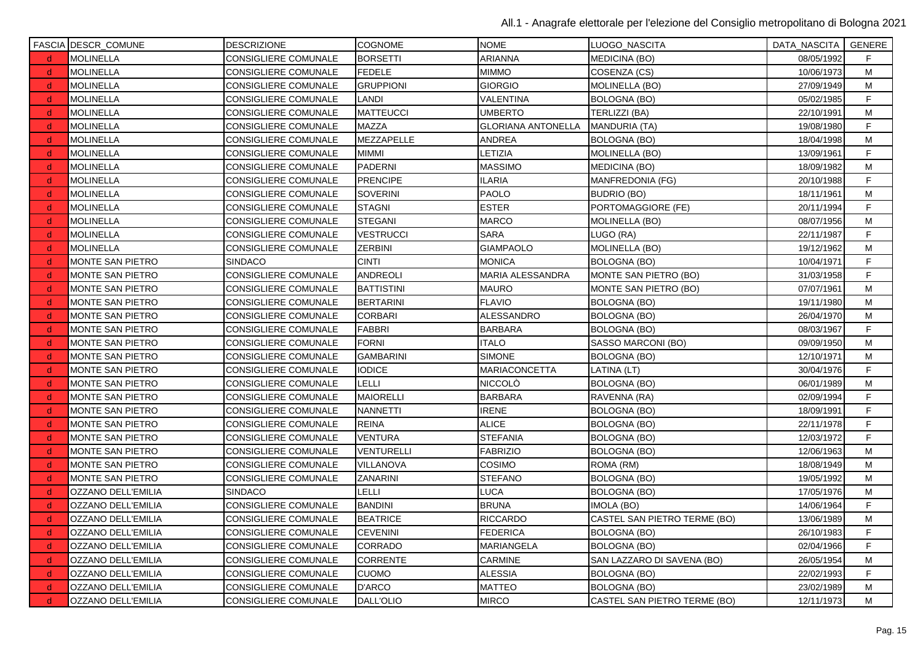|              | <b>FASCIA DESCR_COMUNE</b> | <b>DESCRIZIONE</b>          | <b>COGNOME</b>    | <b>NOME</b>               | LUOGO_NASCITA                | DATA_NASCITA   GENERE |             |
|--------------|----------------------------|-----------------------------|-------------------|---------------------------|------------------------------|-----------------------|-------------|
| d            | <b>MOLINELLA</b>           | CONSIGLIERE COMUNALE        | <b>BORSETTI</b>   | <b>ARIANNA</b>            | <b>MEDICINA (BO)</b>         | 08/05/1992            | F.          |
| d            | <b>MOLINELLA</b>           | <b>CONSIGLIERE COMUNALE</b> | <b>FEDELE</b>     | <b>MIMMO</b>              | COSENZA (CS)                 | 10/06/1973            | М           |
| d            | <b>MOLINELLA</b>           | CONSIGLIERE COMUNALE        | <b>GRUPPIONI</b>  | <b>GIORGIO</b>            | <b>MOLINELLA (BO)</b>        | 27/09/1949            | М           |
| -d           | <b>MOLINELLA</b>           | <b>CONSIGLIERE COMUNALE</b> | <b>LANDI</b>      | VALENTINA                 | <b>BOLOGNA (BO)</b>          | 05/02/1985            | $\mathsf F$ |
| d            | <b>MOLINELLA</b>           | <b>CONSIGLIERE COMUNALE</b> | <b>MATTEUCCI</b>  | <b>UMBERTO</b>            | TERLIZZI (BA)                | 22/10/1991            | M           |
| -d           | <b>MOLINELLA</b>           | <b>CONSIGLIERE COMUNALE</b> | <b>MAZZA</b>      | <b>GLORIANA ANTONELLA</b> | <b>MANDURIA (TA)</b>         | 19/08/1980            | F           |
| d            | <b>MOLINELLA</b>           | <b>CONSIGLIERE COMUNALE</b> | MEZZAPELLE        | <b>ANDREA</b>             | <b>BOLOGNA (BO)</b>          | 18/04/1998            | M           |
| -d           | <b>MOLINELLA</b>           | <b>CONSIGLIERE COMUNALE</b> | <b>MIMMI</b>      | LETIZIA                   | MOLINELLA (BO)               | 13/09/1961            | F.          |
| <sub>d</sub> | <b>MOLINELLA</b>           | CONSIGLIERE COMUNALE        | <b>PADERNI</b>    | <b>MASSIMO</b>            | MEDICINA (BO)                | 18/09/1982            | M           |
| d            | <b>MOLINELLA</b>           | CONSIGLIERE COMUNALE        | PRENCIPE          | <b>ILARIA</b>             | MANFREDONIA (FG)             | 20/10/1988            | F.          |
| d,           | <b>MOLINELLA</b>           | CONSIGLIERE COMUNALE        | <b>SOVERINI</b>   | <b>PAOLO</b>              | <b>BUDRIO (BO)</b>           | 18/11/1961            | М           |
| <sub>d</sub> | <b>MOLINELLA</b>           | <b>CONSIGLIERE COMUNALE</b> | <b>STAGNI</b>     | <b>ESTER</b>              | PORTOMAGGIORE (FE)           | 20/11/1994            | F           |
| - d          | <b>MOLINELLA</b>           | <b>CONSIGLIERE COMUNALE</b> | <b>STEGANI</b>    | <b>MARCO</b>              | <b>MOLINELLA (BO)</b>        | 08/07/1956            | M           |
| d            | <b>MOLINELLA</b>           | <b>CONSIGLIERE COMUNALE</b> | <b>VESTRUCCI</b>  | <b>SARA</b>               | LUGO (RA)                    | 22/11/1987            | F.          |
| d            | <b>MOLINELLA</b>           | <b>CONSIGLIERE COMUNALE</b> | <b>ZERBINI</b>    | <b>GIAMPAOLO</b>          | MOLINELLA (BO)               | 19/12/1962            | M           |
| -d           | MONTE SAN PIETRO           | <b>SINDACO</b>              | <b>CINTI</b>      | <b>MONICA</b>             | <b>BOLOGNA (BO)</b>          | 10/04/1971            | F.          |
| d            | <b>MONTE SAN PIETRO</b>    | CONSIGLIERE COMUNALE        | <b>ANDREOLI</b>   | <b>MARIA ALESSANDRA</b>   | MONTE SAN PIETRO (BO)        | 31/03/1958            | F           |
| <sub>d</sub> | MONTE SAN PIETRO           | CONSIGLIERE COMUNALE        | <b>BATTISTINI</b> | <b>MAURO</b>              | MONTE SAN PIETRO (BO)        | 07/07/1961            | M           |
| d            | <b>MONTE SAN PIETRO</b>    | CONSIGLIERE COMUNALE        | <b>BERTARINI</b>  | <b>FLAVIO</b>             | <b>BOLOGNA (BO)</b>          | 19/11/1980            | M           |
| -d           | MONTE SAN PIETRO           | CONSIGLIERE COMUNALE        | <b>CORBARI</b>    | <b>ALESSANDRO</b>         | <b>BOLOGNA (BO)</b>          | 26/04/1970            | M           |
| <sub>d</sub> | <b>MONTE SAN PIETRO</b>    | <b>CONSIGLIERE COMUNALE</b> | <b>FABBRI</b>     | <b>BARBARA</b>            | BOLOGNA (BO)                 | 08/03/1967            | F           |
| <sub>d</sub> | <b>MONTE SAN PIETRO</b>    | <b>CONSIGLIERE COMUNALE</b> | <b>FORNI</b>      | <b>ITALO</b>              | SASSO MARCONI (BO)           | 09/09/1950            | M           |
| d            | <b>MONTE SAN PIETRO</b>    | <b>CONSIGLIERE COMUNALE</b> | <b>GAMBARINI</b>  | <b>SIMONE</b>             | <b>BOLOGNA (BO)</b>          | 12/10/1971            | M           |
| d            | MONTE SAN PIETRO           | CONSIGLIERE COMUNALE        | <b>IODICE</b>     | MARIACONCETTA             | LATINA (LT)                  | 30/04/1976            | F           |
| d            | <b>MONTE SAN PIETRO</b>    | <b>CONSIGLIERE COMUNALE</b> | <b>LELLI</b>      | <b>NICCOLÒ</b>            | <b>BOLOGNA (BO)</b>          | 06/01/1989            | M           |
| -d           | <b>MONTE SAN PIETRO</b>    | <b>CONSIGLIERE COMUNALE</b> | <b>MAIORELLI</b>  | <b>BARBARA</b>            | RAVENNA (RA)                 | 02/09/1994            | F.          |
| d            | <b>MONTE SAN PIETRO</b>    | <b>CONSIGLIERE COMUNALE</b> | <b>NANNETTI</b>   | <b>IRENE</b>              | <b>BOLOGNA (BO)</b>          | 18/09/1991            | F           |
| d            | <b>MONTE SAN PIETRO</b>    | <b>CONSIGLIERE COMUNALE</b> | <b>REINA</b>      | <b>ALICE</b>              | <b>BOLOGNA (BO)</b>          | 22/11/1978            | F           |
| -d           | <b>MONTE SAN PIETRO</b>    | <b>CONSIGLIERE COMUNALE</b> | <b>VENTURA</b>    | <b>STEFANIA</b>           | <b>BOLOGNA (BO)</b>          | 12/03/1972            | F           |
| d            | MONTE SAN PIETRO           | <b>CONSIGLIERE COMUNALE</b> | VENTURELLI        | <b>FABRIZIO</b>           | <b>BOLOGNA (BO)</b>          | 12/06/1963            | М           |
| - d          | <b>MONTE SAN PIETRO</b>    | <b>CONSIGLIERE COMUNALE</b> | VILLANOVA         | COSIMO                    | ROMA (RM)                    | 18/08/1949            | M           |
| <sub>d</sub> | MONTE SAN PIETRO           | <b>CONSIGLIERE COMUNALE</b> | <b>ZANARINI</b>   | <b>STEFANO</b>            | <b>BOLOGNA (BO)</b>          | 19/05/1992            | M           |
| d            | OZZANO DELL'EMILIA         | <b>SINDACO</b>              | <b>LELLI</b>      | <b>LUCA</b>               | <b>BOLOGNA (BO)</b>          | 17/05/1976            | М           |
| <sub>d</sub> | OZZANO DELL'EMILIA         | <b>CONSIGLIERE COMUNALE</b> | <b>BANDINI</b>    | <b>BRUNA</b>              | IMOLA (BO)                   | 14/06/1964            | F.          |
| d            | OZZANO DELL'EMILIA         | <b>CONSIGLIERE COMUNALE</b> | <b>BEATRICE</b>   | <b>RICCARDO</b>           | CASTEL SAN PIETRO TERME (BO) | 13/06/1989            | М           |
| -d           | OZZANO DELL'EMILIA         | CONSIGLIERE COMUNALE        | <b>CEVENINI</b>   | <b>FEDERICA</b>           | <b>BOLOGNA (BO)</b>          | 26/10/1983            | F           |
| d            | OZZANO DELL'EMILIA         | <b>CONSIGLIERE COMUNALE</b> | <b>CORRADO</b>    | MARIANGELA                | <b>BOLOGNA (BO)</b>          | 02/04/1966            | F           |
| d            | OZZANO DELL'EMILIA         | CONSIGLIERE COMUNALE        | <b>CORRENTE</b>   | <b>CARMINE</b>            | SAN LAZZARO DI SAVENA (BO)   | 26/05/1954            | M           |
| d            | OZZANO DELL'EMILIA         | <b>CONSIGLIERE COMUNALE</b> | <b>CUOMO</b>      | <b>ALESSIA</b>            | <b>BOLOGNA (BO)</b>          | 22/02/1993            | F.          |
| <sub>d</sub> | OZZANO DELL'EMILIA         | CONSIGLIERE COMUNALE        | D'ARCO            | <b>MATTEO</b>             | <b>BOLOGNA (BO)</b>          | 23/02/1989            | M           |
| d.           | OZZANO DELL'EMILIA         | <b>CONSIGLIERE COMUNALE</b> | DALL'OLIO         | <b>MIRCO</b>              | CASTEL SAN PIETRO TERME (BO) | 12/11/1973            | M           |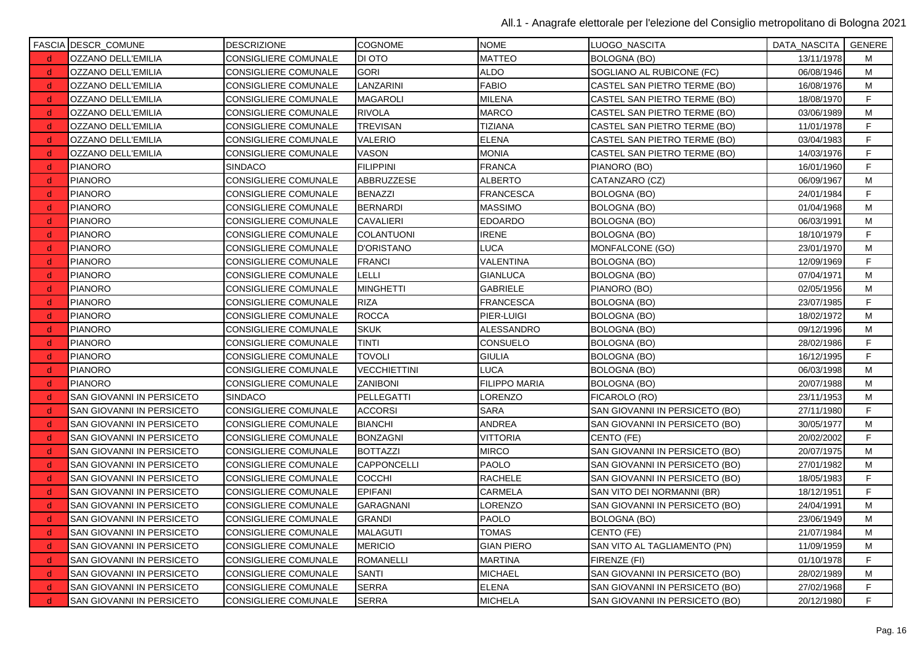|              | FASCIA DESCR_COMUNE       | <b>DESCRIZIONE</b>          | <b>COGNOME</b>      | <b>NOME</b>          | ILUOGO NASCITA                 | DATA_NASCITA | GENERE      |
|--------------|---------------------------|-----------------------------|---------------------|----------------------|--------------------------------|--------------|-------------|
| d.           | OZZANO DELL'EMILIA        | <b>CONSIGLIERE COMUNALE</b> | DI OTO              | <b>MATTEO</b>        | <b>BOLOGNA (BO)</b>            | 13/11/1978   | м           |
| d.           | OZZANO DELL'EMILIA        | <b>CONSIGLIERE COMUNALE</b> | <b>GORI</b>         | <b>ALDO</b>          | SOGLIANO AL RUBICONE (FC)      | 06/08/1946   | M           |
| d.           | OZZANO DELL'EMILIA        | <b>CONSIGLIERE COMUNALE</b> | LANZARINI           | <b>FABIO</b>         | CASTEL SAN PIETRO TERME (BO)   | 16/08/1976   | M           |
| d.           | OZZANO DELL'EMILIA        | <b>CONSIGLIERE COMUNALE</b> | <b>MAGAROLI</b>     | <b>MILENA</b>        | CASTEL SAN PIETRO TERME (BO)   | 18/08/1970   | F           |
| d.           | OZZANO DELL'EMILIA        | <b>CONSIGLIERE COMUNALE</b> | <b>RIVOLA</b>       | <b>MARCO</b>         | CASTEL SAN PIETRO TERME (BO)   | 03/06/1989   | M           |
| d.           | OZZANO DELL'EMILIA        | CONSIGLIERE COMUNALE        | <b>TREVISAN</b>     | <b>TIZIANA</b>       | CASTEL SAN PIETRO TERME (BO)   | 11/01/1978   | F           |
| d.           | OZZANO DELL'EMILIA        | <b>CONSIGLIERE COMUNALE</b> | <b>VALERIO</b>      | <b>ELENA</b>         | CASTEL SAN PIETRO TERME (BO)   | 03/04/1983   | F           |
| <sub>d</sub> | OZZANO DELL'EMILIA        | CONSIGLIERE COMUNALE        | VASON               | <b>MONIA</b>         | CASTEL SAN PIETRO TERME (BO)   | 14/03/1976   | F           |
| d.           | <b>PIANORO</b>            | <b>SINDACO</b>              | <b>FILIPPINI</b>    | <b>FRANCA</b>        | PIANORO (BO)                   | 16/01/1960   | F           |
| $\mathsf{d}$ | <b>PIANORO</b>            | <b>CONSIGLIERE COMUNALE</b> | ABBRUZZESE          | <b>ALBERTO</b>       | CATANZARO (CZ)                 | 06/09/1967   | M           |
| d .          | <b>PIANORO</b>            | CONSIGLIERE COMUNALE        | <b>BENAZZI</b>      | <b>FRANCESCA</b>     | <b>BOLOGNA (BO)</b>            | 24/01/1984   | $\mathsf F$ |
| -d           | <b>PIANORO</b>            | <b>CONSIGLIERE COMUNALE</b> | <b>BERNARDI</b>     | <b>MASSIMO</b>       | <b>BOLOGNA (BO)</b>            | 01/04/1968   | M           |
| ∣d.          | <b>PIANORO</b>            | CONSIGLIERE COMUNALE        | <b>CAVALIERI</b>    | <b>EDOARDO</b>       | <b>BOLOGNA (BO)</b>            | 06/03/1991   | M           |
| d.           | <b>PIANORO</b>            | <b>CONSIGLIERE COMUNALE</b> | <b>COLANTUONI</b>   | <b>IRENE</b>         | BOLOGNA (BO)                   | 18/10/1979   | F.          |
| d.           | <b>PIANORO</b>            | CONSIGLIERE COMUNALE        | <b>D'ORISTANO</b>   | <b>LUCA</b>          | MONFALCONE (GO)                | 23/01/1970   | M           |
| d.           | <b>PIANORO</b>            | CONSIGLIERE COMUNALE        | <b>FRANCI</b>       | <b>VALENTINA</b>     | <b>BOLOGNA (BO)</b>            | 12/09/1969   | F           |
| d.           | <b>PIANORO</b>            | CONSIGLIERE COMUNALE        | LELLI               | <b>GIANLUCA</b>      | BOLOGNA (BO)                   | 07/04/1971   | М           |
| d.           | <b>PIANORO</b>            | <b>CONSIGLIERE COMUNALE</b> | <b>MINGHETTI</b>    | <b>GABRIELE</b>      | PIANORO (BO)                   | 02/05/1956   | M           |
| $\mathsf{d}$ | <b>PIANORO</b>            | CONSIGLIERE COMUNALE        | <b>RIZA</b>         | <b>FRANCESCA</b>     | <b>BOLOGNA (BO)</b>            | 23/07/1985   | F           |
| d .          | <b>PIANORO</b>            | <b>CONSIGLIERE COMUNALE</b> | <b>ROCCA</b>        | PIER-LUIGI           | <b>BOLOGNA (BO)</b>            | 18/02/1972   | M           |
| -d           | <b>PIANORO</b>            | CONSIGLIERE COMUNALE        | <b>SKUK</b>         | ALESSANDRO           | <b>BOLOGNA (BO)</b>            | 09/12/1996   | M           |
| -d           | <b>PIANORO</b>            | CONSIGLIERE COMUNALE        | <b>TINTI</b>        | <b>CONSUELO</b>      | BOLOGNA (BO)                   | 28/02/1986   | F           |
| d.           | <b>PIANORO</b>            | <b>CONSIGLIERE COMUNALE</b> | <b>TOVOLI</b>       | <b>GIULIA</b>        | <b>BOLOGNA (BO)</b>            | 16/12/1995   | F.          |
| d.           | <b>PIANORO</b>            | <b>CONSIGLIERE COMUNALE</b> | <b>VECCHIETTINI</b> | <b>LUCA</b>          | BOLOGNA (BO)                   | 06/03/1998   | M           |
| d.           | <b>PIANORO</b>            | <b>CONSIGLIERE COMUNALE</b> | <b>ZANIBONI</b>     | <b>FILIPPO MARIA</b> | BOLOGNA (BO)                   | 20/07/1988   | м           |
| <sub>d</sub> | SAN GIOVANNI IN PERSICETO | <b>SINDACO</b>              | PELLEGATTI          | _ORENZO              | FICAROLO (RO)                  | 23/11/1953   | М           |
| d.           | SAN GIOVANNI IN PERSICETO | <b>CONSIGLIERE COMUNALE</b> | <b>ACCORSI</b>      | <b>SARA</b>          | SAN GIOVANNI IN PERSICETO (BO) | 27/11/1980   | F           |
| d.           | SAN GIOVANNI IN PERSICETO | <b>CONSIGLIERE COMUNALE</b> | <b>BIANCHI</b>      | <b>ANDREA</b>        | SAN GIOVANNI IN PERSICETO (BO) | 30/05/1977   | M           |
| d .          | SAN GIOVANNI IN PERSICETO | CONSIGLIERE COMUNALE        | <b>BONZAGNI</b>     | <b>VITTORIA</b>      | CENTO (FE)                     | 20/02/2002   | $\mathsf F$ |
| -d           | SAN GIOVANNI IN PERSICETO | <b>CONSIGLIERE COMUNALE</b> | <b>BOTTAZZI</b>     | <b>MIRCO</b>         | SAN GIOVANNI IN PERSICETO (BO) | 20/07/1975   | M           |
| - d          | SAN GIOVANNI IN PERSICETO | CONSIGLIERE COMUNALE        | <b>CAPPONCELLI</b>  | <b>PAOLO</b>         | SAN GIOVANNI IN PERSICETO (BO) | 27/01/1982   | м           |
| d.           | SAN GIOVANNI IN PERSICETO | <b>CONSIGLIERE COMUNALE</b> | <b>COCCHI</b>       | <b>RACHELE</b>       | SAN GIOVANNI IN PERSICETO (BO) | 18/05/1983   | F           |
| d.           | SAN GIOVANNI IN PERSICETO | CONSIGLIERE COMUNALE        | <b>EPIFANI</b>      | <b>CARMELA</b>       | SAN VITO DEI NORMANNI (BR)     | 18/12/1951   | F           |
| d            | SAN GIOVANNI IN PERSICETO | <b>CONSIGLIERE COMUNALE</b> | GARAGNANI           | LORENZO              | SAN GIOVANNI IN PERSICETO (BO) | 24/04/1991   | M           |
| d,           | SAN GIOVANNI IN PERSICETO | <b>CONSIGLIERE COMUNALE</b> | <b>GRANDI</b>       | <b>PAOLO</b>         | BOLOGNA (BO)                   | 23/06/1949   | м           |
| $\mathsf{d}$ | SAN GIOVANNI IN PERSICETO | <b>CONSIGLIERE COMUNALE</b> | <b>MALAGUTI</b>     | <b>TOMAS</b>         | CENTO (FE)                     | 21/07/1984   | M           |
| d.           | SAN GIOVANNI IN PERSICETO | CONSIGLIERE COMUNALE        | <b>MERICIO</b>      | <b>GIAN PIERO</b>    | SAN VITO AL TAGLIAMENTO (PN)   | 11/09/1959   | M           |
| d            | SAN GIOVANNI IN PERSICETO | <b>CONSIGLIERE COMUNALE</b> | <b>ROMANELLI</b>    | <b>MARTINA</b>       | FIRENZE (FI)                   | 01/10/1978   | F           |
| d,           | SAN GIOVANNI IN PERSICETO | <b>CONSIGLIERE COMUNALE</b> | <b>SANTI</b>        | <b>MICHAEL</b>       | SAN GIOVANNI IN PERSICETO (BO) | 28/02/1989   | м           |
| -d           | SAN GIOVANNI IN PERSICETO | CONSIGLIERE COMUNALE        | <b>SERRA</b>        | <b>ELENA</b>         | SAN GIOVANNI IN PERSICETO (BO) | 27/02/1968   | F           |
| d.           | SAN GIOVANNI IN PERSICETO | <b>CONSIGLIERE COMUNALE</b> | <b>SERRA</b>        | <b>MICHELA</b>       | SAN GIOVANNI IN PERSICETO (BO) | 20/12/1980   | F           |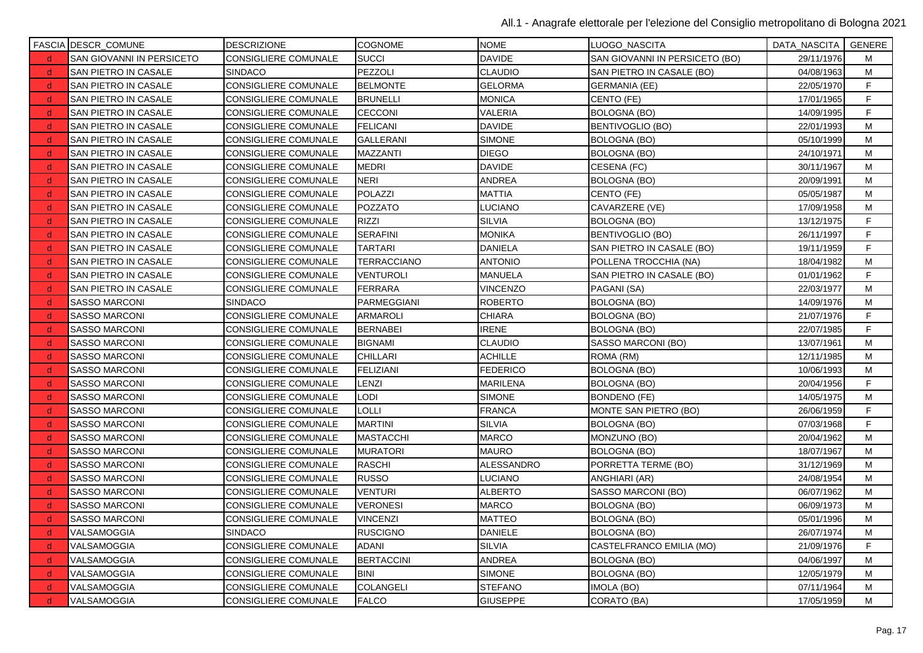|              | FASCIA DESCR_COMUNE       | <b>DESCRIZIONE</b>          | <b>COGNOME</b>    | <b>NOME</b>     | LUOGO NASCITA                  | DATA_NASCITA   GENERE |   |
|--------------|---------------------------|-----------------------------|-------------------|-----------------|--------------------------------|-----------------------|---|
| $\mathsf{d}$ | SAN GIOVANNI IN PERSICETO | <b>CONSIGLIERE COMUNALE</b> | <b>SUCCI</b>      | <b>DAVIDE</b>   | SAN GIOVANNI IN PERSICETO (BO) | 29/11/1976            | м |
| d.           | SAN PIETRO IN CASALE      | <b>SINDACO</b>              | PEZZOLI           | <b>CLAUDIO</b>  | SAN PIETRO IN CASALE (BO)      | 04/08/1963            | М |
| d            | SAN PIETRO IN CASALE      | CONSIGLIERE COMUNALE        | <b>BELMONTE</b>   | <b>GELORMA</b>  | <b>GERMANIA (EE)</b>           | 22/05/1970            | F |
| d,           | SAN PIETRO IN CASALE      | CONSIGLIERE COMUNALE        | <b>BRUNELLI</b>   | <b>MONICA</b>   | CENTO (FE)                     | 17/01/1965            | F |
| d.           | SAN PIETRO IN CASALE      | CONSIGLIERE COMUNALE        | <b>CECCONI</b>    | VALERIA         | <b>BOLOGNA (BO)</b>            | 14/09/1995            | F |
| d.           | SAN PIETRO IN CASALE      | CONSIGLIERE COMUNALE        | <b>FELICANI</b>   | <b>DAVIDE</b>   | <b>BENTIVOGLIO (BO)</b>        | 22/01/1993            | M |
| d            | SAN PIETRO IN CASALE      | CONSIGLIERE COMUNALE        | GALLERANI         | <b>SIMONE</b>   | <b>BOLOGNA (BO)</b>            | 05/10/1999            | M |
| -d           | SAN PIETRO IN CASALE      | CONSIGLIERE COMUNALE        | MAZZANTI          | <b>DIEGO</b>    | <b>BOLOGNA (BO)</b>            | 24/10/1971            | м |
| d.           | SAN PIETRO IN CASALE      | <b>CONSIGLIERE COMUNALE</b> | <b>MEDRI</b>      | <b>DAVIDE</b>   | CESENA (FC)                    | 30/11/1967            | M |
| <sub>d</sub> | SAN PIETRO IN CASALE      | CONSIGLIERE COMUNALE        | <b>NERI</b>       | <b>ANDREA</b>   | <b>BOLOGNA (BO)</b>            | 20/09/1991            | M |
| d.           | SAN PIETRO IN CASALE      | <b>CONSIGLIERE COMUNALE</b> | <b>POLAZZI</b>    | <b>MATTIA</b>   | CENTO (FE)                     | 05/05/1987            | M |
| d            | SAN PIETRO IN CASALE      | CONSIGLIERE COMUNALE        | POZZATO           | LUCIANO         | CAVARZERE (VE)                 | 17/09/1958            | М |
| d.           | SAN PIETRO IN CASALE      | <b>CONSIGLIERE COMUNALE</b> | RIZZI             | <b>SILVIA</b>   | <b>BOLOGNA (BO)</b>            | 13/12/1975            | F |
| d.           | SAN PIETRO IN CASALE      | CONSIGLIERE COMUNALE        | <b>SERAFINI</b>   | <b>MONIKA</b>   | BENTIVOGLIO (BO)               | 26/11/1997            | F |
| d.           | SAN PIETRO IN CASALE      | CONSIGLIERE COMUNALE        | TARTARI           | <b>DANIELA</b>  | SAN PIETRO IN CASALE (BO)      | 19/11/1959            | F |
| d            | SAN PIETRO IN CASALE      | CONSIGLIERE COMUNALE        | TERRACCIANO       | <b>ANTONIO</b>  | POLLENA TROCCHIA (NA)          | 18/04/1982            | M |
| -d           | SAN PIETRO IN CASALE      | CONSIGLIERE COMUNALE        | <b>VENTUROLI</b>  | <b>MANUELA</b>  | SAN PIETRO IN CASALE (BO)      | 01/01/1962            | F |
| d.           | SAN PIETRO IN CASALE      | <b>CONSIGLIERE COMUNALE</b> | <b>FERRARA</b>    | <b>VINCENZO</b> | PAGANI (SA)                    | 22/03/1977            | M |
| <sub>d</sub> | SASSO MARCONI             | <b>SINDACO</b>              | PARMEGGIANI       | <b>ROBERTO</b>  | <b>BOLOGNA (BO)</b>            | 14/09/1976            | M |
| <sub>d</sub> | SASSO MARCONI             | <b>CONSIGLIERE COMUNALE</b> | <b>ARMAROLI</b>   | <b>CHIARA</b>   | <b>BOLOGNA (BO)</b>            | 21/07/1976            | F |
| d            | SASSO MARCONI             | CONSIGLIERE COMUNALE        | <b>BERNABEI</b>   | <b>IRENE</b>    | BOLOGNA (BO)                   | 22/07/1985            | F |
| d.           | <b>SASSO MARCONI</b>      | CONSIGLIERE COMUNALE        | <b>BIGNAMI</b>    | <b>CLAUDIO</b>  | SASSO MARCONI (BO)             | 13/07/1961            | M |
| <sub>d</sub> | SASSO MARCONI             | CONSIGLIERE COMUNALE        | CHILLARI          | <b>ACHILLE</b>  | ROMA (RM)                      | 12/11/1985            | M |
| d.           | <b>SASSO MARCONI</b>      | CONSIGLIERE COMUNALE        | <b>FELIZIANI</b>  | <b>FEDERICO</b> | <b>BOLOGNA (BO)</b>            | 10/06/1993            | M |
| d            | SASSO MARCONI             | CONSIGLIERE COMUNALE        | LENZI             | <b>MARILENA</b> | <b>BOLOGNA (BO)</b>            | 20/04/1956            | F |
| -d           | SASSO MARCONI             | CONSIGLIERE COMUNALE        | LODI              | <b>SIMONE</b>   | <b>BONDENO (FE)</b>            | 14/05/1975            | М |
| d.           | SASSO MARCONI             | <b>CONSIGLIERE COMUNALE</b> | LOLLI             | <b>FRANCA</b>   | MONTE SAN PIETRO (BO)          | 26/06/1959            | F |
| d.           | <b>SASSO MARCONI</b>      | CONSIGLIERE COMUNALE        | <b>MARTINI</b>    | <b>SILVIA</b>   | <b>BOLOGNA (BO)</b>            | 07/03/1968            | F |
| <sub>d</sub> | SASSO MARCONI             | <b>CONSIGLIERE COMUNALE</b> | <b>MASTACCHI</b>  | <b>MARCO</b>    | MONZUNO (BO)                   | 20/04/1962            | M |
| d            | SASSO MARCONI             | CONSIGLIERE COMUNALE        | MURATORI          | <b>MAURO</b>    | BOLOGNA (BO)                   | 18/07/1967            | М |
| d.           | <b>SASSO MARCONI</b>      | CONSIGLIERE COMUNALE        | <b>RASCHI</b>     | ALESSANDRO      | PORRETTA TERME (BO)            | 31/12/1969            | M |
| <sub>d</sub> | SASSO MARCONI             | CONSIGLIERE COMUNALE        | <b>RUSSO</b>      | <b>LUCIANO</b>  | ANGHIARI (AR)                  | 24/08/1954            | M |
| d.           | SASSO MARCONI             | CONSIGLIERE COMUNALE        | VENTURI           | <b>ALBERTO</b>  | SASSO MARCONI (BO)             | 06/07/1962            | M |
| d            | SASSO MARCONI             | CONSIGLIERE COMUNALE        | <b>VERONESI</b>   | <b>MARCO</b>    | <b>BOLOGNA (BO)</b>            | 06/09/1973            | м |
| -d           | SASSO MARCONI             | CONSIGLIERE COMUNALE        | <b>VINCENZI</b>   | <b>MATTEO</b>   | BOLOGNA (BO)                   | 05/01/1996            | M |
| d.           | VALSAMOGGIA               | <b>SINDACO</b>              | <b>RUSCIGNO</b>   | <b>DANIELE</b>  | <b>BOLOGNA (BO)</b>            | 26/07/1974            | M |
| d.           | VALSAMOGGIA               | <b>CONSIGLIERE COMUNALE</b> | ADANI             | <b>SILVIA</b>   | CASTELFRANCO EMILIA (MO)       | 21/09/1976            | F |
| <sub>d</sub> | VALSAMOGGIA               | CONSIGLIERE COMUNALE        | <b>BERTACCINI</b> | <b>ANDREA</b>   | <b>BOLOGNA (BO)</b>            | 04/06/1997            | M |
| <sub>d</sub> | VALSAMOGGIA               | CONSIGLIERE COMUNALE        | <b>BINI</b>       | <b>SIMONE</b>   | <b>BOLOGNA (BO)</b>            | 12/05/1979            | М |
| d,           | VALSAMOGGIA               | CONSIGLIERE COMUNALE        | COLANGELI         | <b>STEFANO</b>  | IMOLA (BO)                     | 07/11/1964            | M |
| d.           | VALSAMOGGIA               | <b>CONSIGLIERE COMUNALE</b> | <b>FALCO</b>      | <b>GIUSEPPE</b> | CORATO (BA)                    | 17/05/1959            | M |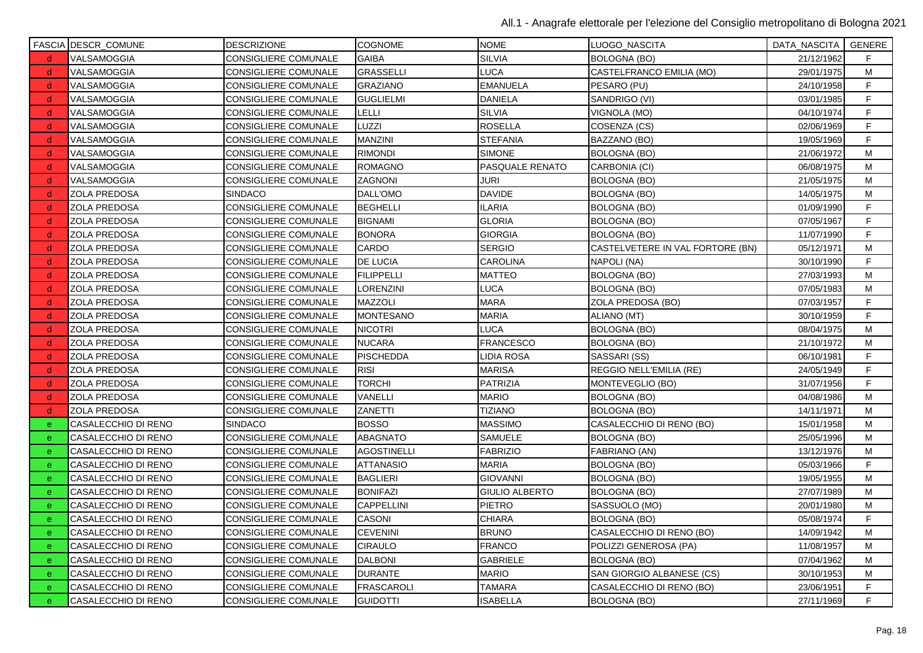|              | <b>FASCIA DESCR_COMUNE</b> | <b>DESCRIZIONE</b>          | <b>COGNOME</b>     | <b>NOME</b>           | LUOGO_NASCITA                    | DATA_NASCITA   GENERE |             |
|--------------|----------------------------|-----------------------------|--------------------|-----------------------|----------------------------------|-----------------------|-------------|
| <sub>d</sub> | VALSAMOGGIA                | CONSIGLIERE COMUNALE        | <b>GAIBA</b>       | <b>SILVIA</b>         | <b>BOLOGNA (BO)</b>              | 21/12/1962            | F.          |
| d.           | VALSAMOGGIA                | CONSIGLIERE COMUNALE        | <b>GRASSELLI</b>   | LUCA                  | CASTELFRANCO EMILIA (MO)         | 29/01/1975            | М           |
| d.           | VALSAMOGGIA                | CONSIGLIERE COMUNALE        | <b>GRAZIANO</b>    | <b>EMANUELA</b>       | PESARO (PU)                      | 24/10/1958            | F           |
| -d           | VALSAMOGGIA                | CONSIGLIERE COMUNALE        | <b>GUGLIELMI</b>   | <b>DANIELA</b>        | SANDRIGO (VI)                    | 03/01/1985            | $\mathsf F$ |
| d.           | VALSAMOGGIA                | CONSIGLIERE COMUNALE        | LELLI              | <b>SILVIA</b>         | VIGNOLA (MO)                     | 04/10/1974            | F           |
| d.           | VALSAMOGGIA                | CONSIGLIERE COMUNALE        | LUZZI              | <b>ROSELLA</b>        | COSENZA (CS)                     | 02/06/1969            | F           |
| <sub>d</sub> | VALSAMOGGIA                | CONSIGLIERE COMUNALE        | <b>MANZINI</b>     | <b>STEFANIA</b>       | BAZZANO (BO)                     | 19/05/1969            | F           |
| -d           | VALSAMOGGIA                | CONSIGLIERE COMUNALE        | <b>RIMONDI</b>     | <b>SIMONE</b>         | <b>BOLOGNA (BO)</b>              | 21/06/1972            | M           |
| d.           | VALSAMOGGIA                | CONSIGLIERE COMUNALE        | <b>ROMAGNO</b>     | PASQUALE RENATO       | CARBONIA (CI)                    | 06/08/1975            | M           |
| d.           | VALSAMOGGIA                | <b>CONSIGLIERE COMUNALE</b> | <b>ZAGNONI</b>     | JURI                  | <b>BOLOGNA (BO)</b>              | 21/05/1975            | М           |
| d.           | ZOLA PREDOSA               | <b>SINDACO</b>              | DALL'OMO           | <b>DAVIDE</b>         | <b>BOLOGNA (BO)</b>              | 14/05/1975            | M           |
| d,           | ZOLA PREDOSA               | CONSIGLIERE COMUNALE        | <b>BEGHELLI</b>    | <b>ILARIA</b>         | BOLOGNA (BO)                     | 01/09/1990            | F.          |
| d.           | ZOLA PREDOSA               | CONSIGLIERE COMUNALE        | <b>BIGNAMI</b>     | <b>GLORIA</b>         | BOLOGNA (BO)                     | 07/05/1967            | F           |
| d.           | <b>ZOLA PREDOSA</b>        | <b>CONSIGLIERE COMUNALE</b> | <b>BONORA</b>      | <b>GIORGIA</b>        | <b>BOLOGNA (BO)</b>              | 11/07/1990            | $\mathsf F$ |
| d.           | ZOLA PREDOSA               | CONSIGLIERE COMUNALE        | CARDO              | <b>SERGIO</b>         | CASTELVETERE IN VAL FORTORE (BN) | 05/12/1971            | М           |
| -d           | ZOLA PREDOSA               | CONSIGLIERE COMUNALE        | <b>DE LUCIA</b>    | <b>CAROLINA</b>       | NAPOLI (NA)                      | 30/10/1990            | F           |
| -d           | ZOLA PREDOSA               | CONSIGLIERE COMUNALE        | <b>FILIPPELLI</b>  | MATTEO                | <b>BOLOGNA (BO)</b>              | 27/03/1993            | M           |
| d.           | ZOLA PREDOSA               | CONSIGLIERE COMUNALE        | LORENZINI          | LUCA                  | <b>BOLOGNA (BO)</b>              | 07/05/1983            | M           |
| <sub>d</sub> | ZOLA PREDOSA               | CONSIGLIERE COMUNALE        | MAZZOLI            | <b>MARA</b>           | ZOLA PREDOSA (BO)                | 07/03/1957            | F           |
| d.           | ZOLA PREDOSA               | CONSIGLIERE COMUNALE        | <b>MONTESANO</b>   | <b>MARIA</b>          | ALIANO (MT)                      | 30/10/1959            | $\mathsf F$ |
| -d           | ZOLA PREDOSA               | CONSIGLIERE COMUNALE        | <b>NICOTRI</b>     | LUCA                  | <b>BOLOGNA (BO)</b>              | 08/04/1975            | M           |
| -d           | ZOLA PREDOSA               | CONSIGLIERE COMUNALE        | <b>NUCARA</b>      | <b>FRANCESCO</b>      | <b>BOLOGNA (BO)</b>              | 21/10/1972            | M           |
| d.           | ZOLA PREDOSA               | CONSIGLIERE COMUNALE        | <b>PISCHEDDA</b>   | LIDIA ROSA            | SASSARI (SS)                     | 06/10/1981            | F           |
| d.           | ZOLA PREDOSA               | CONSIGLIERE COMUNALE        | <b>RISI</b>        | <b>MARISA</b>         | REGGIO NELL'EMILIA (RE)          | 24/05/1949            | F           |
| <sub>d</sub> | ZOLA PREDOSA               | CONSIGLIERE COMUNALE        | TORCHI             | PATRIZIA              | MONTEVEGLIO (BO)                 | 31/07/1956            | F           |
| -d           | ZOLA PREDOSA               | CONSIGLIERE COMUNALE        | VANELLI            | <b>MARIO</b>          | <b>BOLOGNA (BO)</b>              | 04/08/1986            | м           |
| d.           | ZOLA PREDOSA               | CONSIGLIERE COMUNALE        | ZANETTI            | <b>TIZIANO</b>        | <b>BOLOGNA (BO)</b>              | 14/11/1971            | M           |
| $\mathbf{e}$ | CASALECCHIO DI RENO        | <b>SINDACO</b>              | <b>BOSSO</b>       | <b>MASSIMO</b>        | CASALECCHIO DI RENO (BO)         | 15/01/1958            | М           |
| e            | CASALECCHIO DI RENO        | CONSIGLIERE COMUNALE        | ABAGNATO           | SAMUELE               | <b>BOLOGNA (BO)</b>              | 25/05/1996            | M           |
| $\mathbf{e}$ | CASALECCHIO DI RENO        | CONSIGLIERE COMUNALE        | <b>AGOSTINELLI</b> | <b>FABRIZIO</b>       | FABRIANO (AN)                    | 13/12/1976            | м           |
| e            | CASALECCHIO DI RENO        | CONSIGLIERE COMUNALE        | <b>ATTANASIO</b>   | <b>MARIA</b>          | <b>BOLOGNA (BO)</b>              | 05/03/1966            | F           |
| $\mathbf{e}$ | CASALECCHIO DI RENO        | <b>CONSIGLIERE COMUNALE</b> | <b>BAGLIERI</b>    | <b>GIOVANNI</b>       | <b>BOLOGNA (BO)</b>              | 19/05/1955            | м           |
| e            | CASALECCHIO DI RENO        | CONSIGLIERE COMUNALE        | <b>BONIFAZI</b>    | <b>GIULIO ALBERTO</b> | <b>BOLOGNA (BO)</b>              | 27/07/1989            | M           |
| $\mathbf{e}$ | CASALECCHIO DI RENO        | CONSIGLIERE COMUNALE        | <b>CAPPELLINI</b>  | <b>PIETRO</b>         | SASSUOLO (MO)                    | 20/01/1980            | м           |
| e            | CASALECCHIO DI RENO        | CONSIGLIERE COMUNALE        | <b>CASONI</b>      | CHIARA                | <b>BOLOGNA (BO)</b>              | 05/08/1974            | F           |
| $\mathbf{e}$ | CASALECCHIO DI RENO        | <b>CONSIGLIERE COMUNALE</b> | <b>CEVENINI</b>    | <b>BRUNO</b>          | CASALECCHIO DI RENO (BO)         | 14/09/1942            | м           |
| e            | CASALECCHIO DI RENO        | CONSIGLIERE COMUNALE        | <b>CIRAULO</b>     | <b>FRANCO</b>         | POLIZZI GENEROSA (PA)            | 11/08/1957            | M           |
| $\mathbf{e}$ | CASALECCHIO DI RENO        | CONSIGLIERE COMUNALE        | <b>DALBONI</b>     | <b>GABRIELE</b>       | BOLOGNA (BO)                     | 07/04/1962            | M           |
| $\mathbf{e}$ | CASALECCHIO DI RENO        | CONSIGLIERE COMUNALE        | <b>DURANTE</b>     | <b>MARIO</b>          | SAN GIORGIO ALBANESE (CS)        | 30/10/1953            | м           |
| e.           | CASALECCHIO DI RENO        | CONSIGLIERE COMUNALE        | <b>FRASCAROLI</b>  | <b>TAMARA</b>         | CASALECCHIO DI RENO (BO)         | 23/06/1951            | F           |
| e            | CASALECCHIO DI RENO        | <b>CONSIGLIERE COMUNALE</b> | <b>GUIDOTTI</b>    | <b>ISABELLA</b>       | <b>BOLOGNA (BO)</b>              | 27/11/1969            | F           |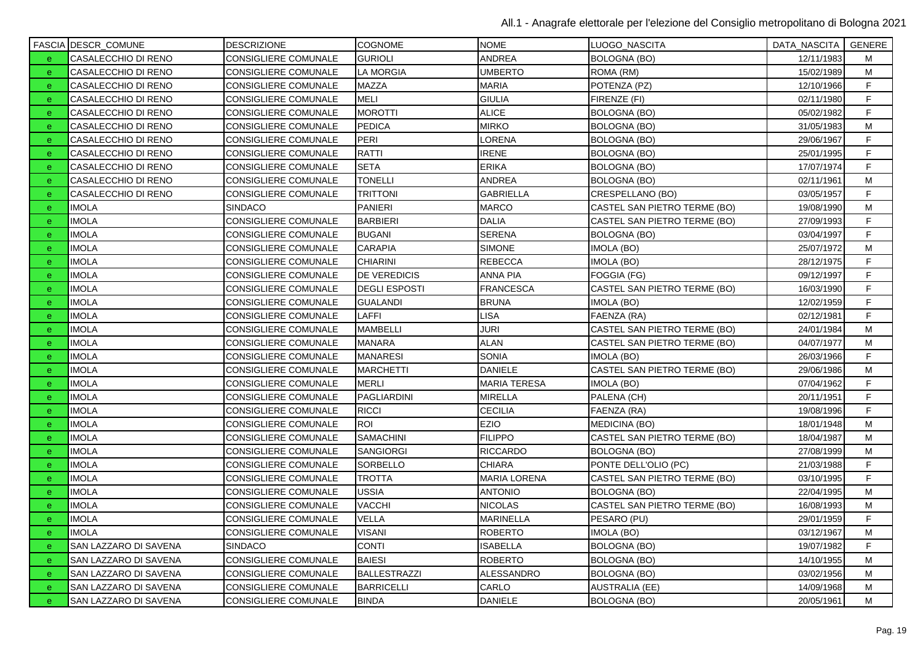|              | <b>FASCIA DESCR_COMUNE</b>   | <b>DESCRIZIONE</b>          | <b>COGNOME</b>       | <b>NOME</b>         | LUOGO_NASCITA                | DATA_NASCITA   GENERE |    |
|--------------|------------------------------|-----------------------------|----------------------|---------------------|------------------------------|-----------------------|----|
| e.           | CASALECCHIO DI RENO          | CONSIGLIERE COMUNALE        | <b>GURIOLI</b>       | <b>ANDREA</b>       | <b>BOLOGNA (BO)</b>          | 12/11/1983            | м  |
| $\mathbf{e}$ | <b>CASALECCHIO DI RENO</b>   | <b>CONSIGLIERE COMUNALE</b> | <b>LA MORGIA</b>     | <b>UMBERTO</b>      | ROMA (RM)                    | 15/02/1989            | м  |
| e            | CASALECCHIO DI RENO          | CONSIGLIERE COMUNALE        | <b>MAZZA</b>         | <b>MARIA</b>        | POTENZA (PZ)                 | 12/10/1966            | F  |
| $\mathbf{e}$ | CASALECCHIO DI RENO          | <b>CONSIGLIERE COMUNALE</b> | <b>MELI</b>          | <b>GIULIA</b>       | FIRENZE (FI)                 | 02/11/1980            | F  |
| e            | CASALECCHIO DI RENO          | CONSIGLIERE COMUNALE        | <b>MOROTTI</b>       | <b>ALICE</b>        | <b>BOLOGNA (BO)</b>          | 05/02/1982            | F  |
| $\mathbf{e}$ | CASALECCHIO DI RENO          | <b>CONSIGLIERE COMUNALE</b> | <b>PEDICA</b>        | <b>MIRKO</b>        | <b>BOLOGNA (BO)</b>          | 31/05/1983            | м  |
| $\mathbf{e}$ | CASALECCHIO DI RENO          | CONSIGLIERE COMUNALE        | PERI                 | LORENA              | <b>BOLOGNA (BO)</b>          | 29/06/1967            | F  |
| $\mathbf{e}$ | CASALECCHIO DI RENO          | CONSIGLIERE COMUNALE        | <b>RATTI</b>         | <b>IRENE</b>        | BOLOGNA (BO)                 | 25/01/1995            | F  |
| e            | CASALECCHIO DI RENO          | CONSIGLIERE COMUNALE        | <b>SETA</b>          | <b>ERIKA</b>        | <b>BOLOGNA (BO)</b>          | 17/07/1974            | F. |
| e            | CASALECCHIO DI RENO          | <b>CONSIGLIERE COMUNALE</b> | <b>TONELLI</b>       | <b>ANDREA</b>       | <b>BOLOGNA (BO)</b>          | 02/11/1961            | M  |
| $\mathbf{e}$ | CASALECCHIO DI RENO          | CONSIGLIERE COMUNALE        | <b>TRITTONI</b>      | <b>GABRIELLA</b>    | CRESPELLANO (BO)             | 03/05/1957            | F  |
| e            | <b>IMOLA</b>                 | <b>SINDACO</b>              | <b>PANIERI</b>       | <b>MARCO</b>        | CASTEL SAN PIETRO TERME (BO) | 19/08/1990            | м  |
| $\mathbf{e}$ | <b>IMOLA</b>                 | CONSIGLIERE COMUNALE        | <b>BARBIERI</b>      | <b>DALIA</b>        | CASTEL SAN PIETRO TERME (BO) | 27/09/1993            | F  |
| e            | <b>IMOLA</b>                 | <b>CONSIGLIERE COMUNALE</b> | <b>BUGANI</b>        | <b>SERENA</b>       | <b>BOLOGNA (BO)</b>          | 03/04/1997            | F  |
| $\mathbf{e}$ | <b>IMOLA</b>                 | <b>CONSIGLIERE COMUNALE</b> | CARAPIA              | <b>SIMONE</b>       | IMOLA (BO)                   | 25/07/1972            | М  |
| $\mathbf{e}$ | <b>IMOLA</b>                 | <b>CONSIGLIERE COMUNALE</b> | <b>CHIARINI</b>      | <b>REBECCA</b>      | IMOLA (BO)                   | 28/12/1975            | F  |
| e            | <b>IMOLA</b>                 | <b>CONSIGLIERE COMUNALE</b> | DE VEREDICIS         | <b>ANNA PIA</b>     | FOGGIA (FG)                  | 09/12/1997            | F  |
| e            | <b>IMOLA</b>                 | <b>CONSIGLIERE COMUNALE</b> | <b>DEGLI ESPOSTI</b> | <b>FRANCESCA</b>    | CASTEL SAN PIETRO TERME (BO) | 16/03/1990            | F  |
| $\mathbf{e}$ | <b>IMOLA</b>                 | <b>CONSIGLIERE COMUNALE</b> | <b>GUALANDI</b>      | <b>BRUNA</b>        | IMOLA (BO)                   | 12/02/1959            | F  |
| e            | <b>IMOLA</b>                 | CONSIGLIERE COMUNALE        | LAFFI                | <b>LISA</b>         | FAENZA (RA)                  | 02/12/1981            | F  |
| $\mathbf{e}$ | <b>IMOLA</b>                 | <b>CONSIGLIERE COMUNALE</b> | <b>MAMBELLI</b>      | <b>JURI</b>         | CASTEL SAN PIETRO TERME (BO) | 24/01/1984            | M  |
| e            | <b>IMOLA</b>                 | CONSIGLIERE COMUNALE        | <b>MANARA</b>        | <b>ALAN</b>         | CASTEL SAN PIETRO TERME (BO) | 04/07/1977            | M  |
| $\mathbf{e}$ | <b>IMOLA</b>                 | <b>CONSIGLIERE COMUNALE</b> | <b>MANARESI</b>      | <b>SONIA</b>        | IMOLA (BO)                   | 26/03/1966            | F  |
| $\mathbf{e}$ | <b>IMOLA</b>                 | CONSIGLIERE COMUNALE        | <b>MARCHETTI</b>     | <b>DANIELE</b>      | CASTEL SAN PIETRO TERME (BO) | 29/06/1986            | M  |
| $\mathbf{e}$ | <b>IMOLA</b>                 | <b>CONSIGLIERE COMUNALE</b> | <b>MERLI</b>         | <b>MARIA TERESA</b> | IMOLA (BO)                   | 07/04/1962            | F  |
| e            | <b>IMOLA</b>                 | <b>CONSIGLIERE COMUNALE</b> | <b>PAGLIARDINI</b>   | <b>MIRELLA</b>      | PALENA (CH)                  | 20/11/1951            | F  |
| $\mathbf{e}$ | <b>IMOLA</b>                 | <b>CONSIGLIERE COMUNALE</b> | <b>RICCI</b>         | <b>CECILIA</b>      | FAENZA (RA)                  | 19/08/1996            | F  |
| $\mathbf{e}$ | <b>IMOLA</b>                 | CONSIGLIERE COMUNALE        | <b>ROI</b>           | <b>EZIO</b>         | <b>MEDICINA (BO)</b>         | 18/01/1948            | M  |
| $\mathbf{e}$ | <b>IMOLA</b>                 | <b>CONSIGLIERE COMUNALE</b> | <b>SAMACHINI</b>     | <b>FILIPPO</b>      | CASTEL SAN PIETRO TERME (BO) | 18/04/1987            | M  |
| $\mathbf{e}$ | <b>IMOLA</b>                 | <b>CONSIGLIERE COMUNALE</b> | SANGIORGI            | <b>RICCARDO</b>     | BOLOGNA (BO)                 | 27/08/1999            | M  |
| $\mathbf{e}$ | <b>IMOLA</b>                 | CONSIGLIERE COMUNALE        | SORBELLO             | <b>CHIARA</b>       | PONTE DELL'OLIO (PC)         | 21/03/1988            | F  |
| $\mathbf{e}$ | <b>IMOLA</b>                 | <b>CONSIGLIERE COMUNALE</b> | <b>TROTTA</b>        | <b>MARIA LORENA</b> | CASTEL SAN PIETRO TERME (BO) | 03/10/1995            | F  |
| e            | <b>IMOLA</b>                 | <b>CONSIGLIERE COMUNALE</b> | <b>USSIA</b>         | <b>ANTONIO</b>      | BOLOGNA (BO)                 | 22/04/1995            | M  |
| $\mathbf{e}$ | <b>IMOLA</b>                 | <b>CONSIGLIERE COMUNALE</b> | VACCHI               | <b>NICOLAS</b>      | CASTEL SAN PIETRO TERME (BO) | 16/08/1993            | м  |
| e            | <b>IMOLA</b>                 | <b>CONSIGLIERE COMUNALE</b> | <b>VELLA</b>         | <b>MARINELLA</b>    | PESARO (PU)                  | 29/01/1959            | F  |
| $\mathbf{e}$ | <b>IMOLA</b>                 | <b>CONSIGLIERE COMUNALE</b> | VISANI               | <b>ROBERTO</b>      | IMOLA (BO)                   | 03/12/1967            | M  |
| e            | SAN LAZZARO DI SAVENA        | <b>SINDACO</b>              | <b>CONTI</b>         | <b>ISABELLA</b>     | BOLOGNA (BO)                 | 19/07/1982            | F  |
| $\mathbf{e}$ | SAN LAZZARO DI SAVENA        | <b>CONSIGLIERE COMUNALE</b> | <b>BAIESI</b>        | <b>ROBERTO</b>      | <b>BOLOGNA (BO)</b>          | 14/10/1955            | М  |
| e            | SAN LAZZARO DI SAVENA        | CONSIGLIERE COMUNALE        | <b>BALLESTRAZZI</b>  | <b>ALESSANDRO</b>   | <b>BOLOGNA (BO)</b>          | 03/02/1956            | М  |
| $\mathbf{e}$ | SAN LAZZARO DI SAVENA        | <b>CONSIGLIERE COMUNALE</b> | <b>BARRICELLI</b>    | CARLO               | <b>AUSTRALIA (EE)</b>        | 14/09/1968            | M  |
| e            | <b>SAN LAZZARO DI SAVENA</b> | CONSIGLIERE COMUNALE        | <b>BINDA</b>         | <b>DANIELE</b>      | <b>BOLOGNA (BO)</b>          | 20/05/1961            | м  |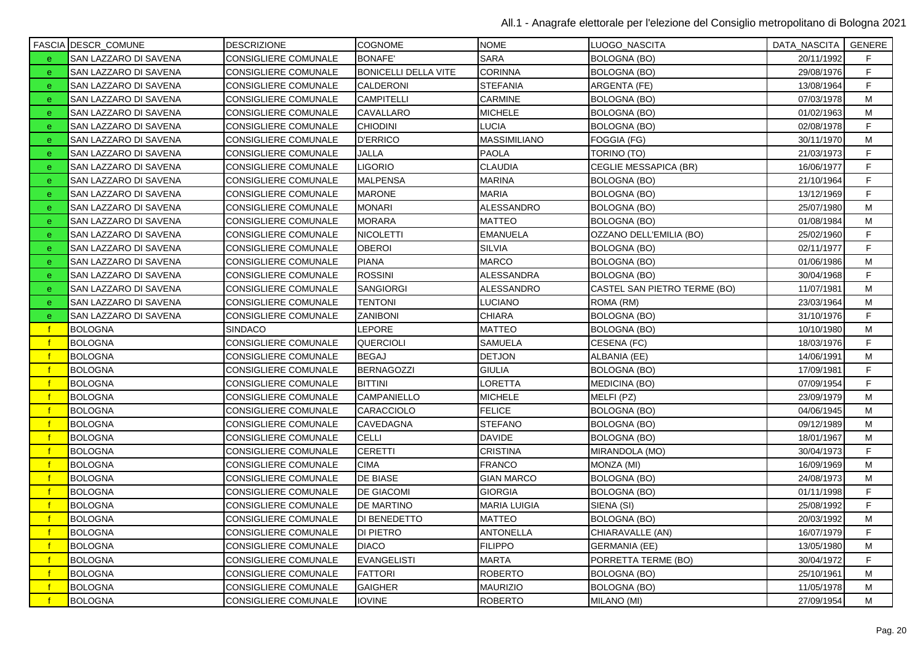|              | <b>FASCIA DESCR_COMUNE</b> | <b>DESCRIZIONE</b>   | <b>COGNOME</b>              | <b>NOME</b>         | LUOGO_NASCITA                | DATA_NASCITA   GENERE |    |
|--------------|----------------------------|----------------------|-----------------------------|---------------------|------------------------------|-----------------------|----|
| e.           | SAN LAZZARO DI SAVENA      | CONSIGLIERE COMUNALE | <b>BONAFE'</b>              | <b>SARA</b>         | BOLOGNA (BO)                 | 20/11/1992            | F. |
| $\mathbf{e}$ | SAN LAZZARO DI SAVENA      | CONSIGLIERE COMUNALE | <b>BONICELLI DELLA VITE</b> | <b>CORINNA</b>      | <b>BOLOGNA (BO)</b>          | 29/08/1976            | F  |
| e.           | SAN LAZZARO DI SAVENA      | CONSIGLIERE COMUNALE | CALDERONI                   | <b>STEFANIA</b>     | ARGENTA (FE)                 | 13/08/1964            | F. |
| e.           | SAN LAZZARO DI SAVENA      | CONSIGLIERE COMUNALE | <b>CAMPITELLI</b>           | CARMINE             | <b>BOLOGNA (BO)</b>          | 07/03/1978            | M  |
| e            | SAN LAZZARO DI SAVENA      | CONSIGLIERE COMUNALE | CAVALLARO                   | <b>MICHELE</b>      | <b>BOLOGNA (BO)</b>          | 01/02/1963            | М  |
| e            | SAN LAZZARO DI SAVENA      | CONSIGLIERE COMUNALE | <b>CHIODINI</b>             | LUCIA               | <b>BOLOGNA (BO)</b>          | 02/08/1978            | F  |
| $\mathbf{e}$ | SAN LAZZARO DI SAVENA      | CONSIGLIERE COMUNALE | <b>D'ERRICO</b>             | MASSIMILIANO        | FOGGIA (FG)                  | 30/11/1970            | М  |
| e            | SAN LAZZARO DI SAVENA      | CONSIGLIERE COMUNALE | JALLA                       | <b>PAOLA</b>        | TORINO (TO)                  | 21/03/1973            | F  |
| e.           | SAN LAZZARO DI SAVENA      | CONSIGLIERE COMUNALE | <b>LIGORIO</b>              | <b>CLAUDIA</b>      | CEGLIE MESSAPICA (BR)        | 16/06/1977            | F. |
| $\mathbf{e}$ | SAN LAZZARO DI SAVENA      | CONSIGLIERE COMUNALE | MALPENSA                    | <b>MARINA</b>       | <b>BOLOGNA (BO)</b>          | 21/10/1964            | F  |
| $\mathbf{e}$ | SAN LAZZARO DI SAVENA      | CONSIGLIERE COMUNALE | MARONE                      | <b>MARIA</b>        | <b>BOLOGNA (BO)</b>          | 13/12/1969            | F  |
| e.           | SAN LAZZARO DI SAVENA      | CONSIGLIERE COMUNALE | MONARI                      | ALESSANDRO          | BOLOGNA (BO)                 | 25/07/1980            | м  |
| e.           | SAN LAZZARO DI SAVENA      | CONSIGLIERE COMUNALE | <b>MORARA</b>               | MATTEO              | <b>BOLOGNA (BO)</b>          | 01/08/1984            | M  |
| e            | SAN LAZZARO DI SAVENA      | CONSIGLIERE COMUNALE | NICOLETTI                   | <b>EMANUELA</b>     | OZZANO DELL'EMILIA (BO)      | 25/02/1960            | F  |
| e            | SAN LAZZARO DI SAVENA      | CONSIGLIERE COMUNALE | <b>OBEROI</b>               | <b>SILVIA</b>       | <b>BOLOGNA (BO)</b>          | 02/11/1977            | F  |
| $\mathbf{e}$ | SAN LAZZARO DI SAVENA      | CONSIGLIERE COMUNALE | <b>PIANA</b>                | <b>MARCO</b>        | BOLOGNA (BO)                 | 01/06/1986            | м  |
| e.           | SAN LAZZARO DI SAVENA      | CONSIGLIERE COMUNALE | <b>ROSSINI</b>              | ALESSANDRA          | BOLOGNA (BO)                 | 30/04/1968            | F  |
| e.           | SAN LAZZARO DI SAVENA      | CONSIGLIERE COMUNALE | SANGIORGI                   | ALESSANDRO          | CASTEL SAN PIETRO TERME (BO) | 11/07/1981            | M  |
| e.           | SAN LAZZARO DI SAVENA      | CONSIGLIERE COMUNALE | <b>TENTONI</b>              | LUCIANO             | ROMA (RM)                    | 23/03/1964            | М  |
| e            | SAN LAZZARO DI SAVENA      | CONSIGLIERE COMUNALE | <b>ZANIBONI</b>             | CHIARA              | <b>BOLOGNA (BO)</b>          | 31/10/1976            | F  |
| -f           | <b>BOLOGNA</b>             | <b>SINDACO</b>       | LEPORE                      | MATTEO              | BOLOGNA (BO)                 | 10/10/1980            | M  |
|              | <b>BOLOGNA</b>             | CONSIGLIERE COMUNALE | <b>QUERCIOLI</b>            | SAMUELA             | CESENA (FC)                  | 18/03/1976            | F  |
|              | <b>BOLOGNA</b>             | CONSIGLIERE COMUNALE | <b>BEGAJ</b>                | <b>DETJON</b>       | ALBANIA (EE)                 | 14/06/1991            | м  |
|              | <b>BOLOGNA</b>             | CONSIGLIERE COMUNALE | <b>BERNAGOZZI</b>           | <b>GIULIA</b>       | <b>BOLOGNA (BO)</b>          | 17/09/1981            | F  |
|              | <b>BOLOGNA</b>             | CONSIGLIERE COMUNALE | <b>BITTINI</b>              | LORETTA             | <b>MEDICINA (BO)</b>         | 07/09/1954            | F  |
|              | <b>BOLOGNA</b>             | CONSIGLIERE COMUNALE | CAMPANIELLO                 | <b>MICHELE</b>      | MELFI (PZ)                   | 23/09/1979            | М  |
|              | <b>BOLOGNA</b>             | CONSIGLIERE COMUNALE | <b>CARACCIOLO</b>           | <b>FELICE</b>       | <b>BOLOGNA (BO)</b>          | 04/06/1945            | M  |
|              | <b>BOLOGNA</b>             | CONSIGLIERE COMUNALE | CAVEDAGNA                   | <b>STEFANO</b>      | <b>BOLOGNA (BO)</b>          | 09/12/1989            | M  |
|              | <b>BOLOGNA</b>             | CONSIGLIERE COMUNALE | <b>CELLI</b>                | <b>DAVIDE</b>       | <b>BOLOGNA (BO)</b>          | 18/01/1967            | м  |
|              | <b>BOLOGNA</b>             | CONSIGLIERE COMUNALE | <b>CERETTI</b>              | CRISTINA            | MIRANDOLA (MO)               | 30/04/1973            | F  |
|              | <b>BOLOGNA</b>             | CONSIGLIERE COMUNALE | <b>CIMA</b>                 | <b>FRANCO</b>       | MONZA (MI)                   | 16/09/1969            | M  |
|              | <b>BOLOGNA</b>             | CONSIGLIERE COMUNALE | DE BIASE                    | <b>GIAN MARCO</b>   | <b>BOLOGNA (BO)</b>          | 24/08/1973            | M  |
|              | <b>BOLOGNA</b>             | CONSIGLIERE COMUNALE | DE GIACOMI                  | <b>GIORGIA</b>      | <b>BOLOGNA (BO)</b>          | 01/11/1998            | F  |
|              | <b>BOLOGNA</b>             | CONSIGLIERE COMUNALE | DE MARTINO                  | <b>MARIA LUIGIA</b> | SIENA (SI)                   | 25/08/1992            | F  |
|              | <b>BOLOGNA</b>             | CONSIGLIERE COMUNALE | DI BENEDETTO                | MATTEO              | <b>BOLOGNA (BO)</b>          | 20/03/1992            | М  |
|              | <b>BOLOGNA</b>             | CONSIGLIERE COMUNALE | <b>DI PIETRO</b>            | <b>ANTONELLA</b>    | CHIARAVALLE (AN)             | 16/07/1979            | F  |
|              | <b>BOLOGNA</b>             | CONSIGLIERE COMUNALE | <b>DIACO</b>                | <b>FILIPPO</b>      | <b>GERMANIA (EE)</b>         | 13/05/1980            | M  |
|              | <b>BOLOGNA</b>             | CONSIGLIERE COMUNALE | <b>EVANGELISTI</b>          | <b>MARTA</b>        | PORRETTA TERME (BO)          | 30/04/1972            | F  |
|              | <b>BOLOGNA</b>             | CONSIGLIERE COMUNALE | <b>FATTORI</b>              | <b>ROBERTO</b>      | BOLOGNA (BO)                 | 25/10/1961            | М  |
|              | <b>BOLOGNA</b>             | CONSIGLIERE COMUNALE | <b>GAIGHER</b>              | <b>MAURIZIO</b>     | <b>BOLOGNA (BO)</b>          | 11/05/1978            | M  |
|              | <b>BOLOGNA</b>             | CONSIGLIERE COMUNALE | <b>IOVINE</b>               | <b>ROBERTO</b>      | MILANO (MI)                  | 27/09/1954            | M  |